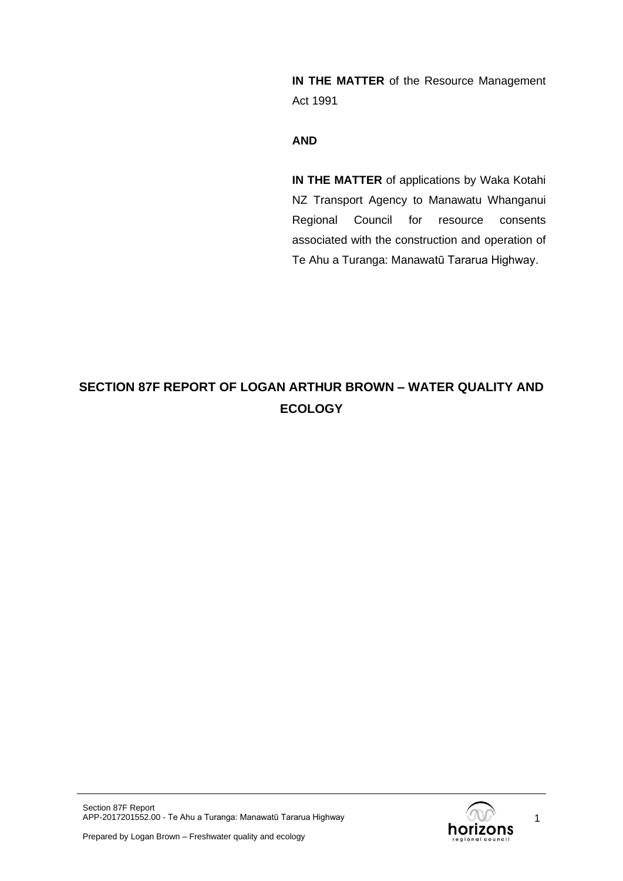**IN THE MATTER** of the Resource Management Act 1991

### **AND**

**IN THE MATTER** of applications by Waka Kotahi NZ Transport Agency to Manawatu Whanganui Regional Council for resource consents associated with the construction and operation of Te Ahu a Turanga: Manawatū Tararua Highway.

# **SECTION 87F REPORT OF LOGAN ARTHUR BROWN – WATER QUALITY AND ECOLOGY**



1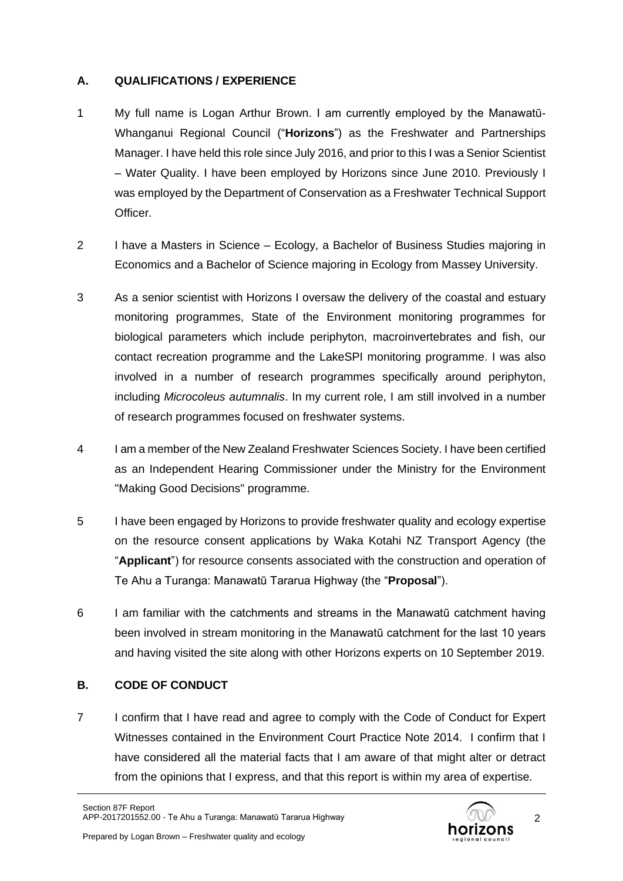# **A. QUALIFICATIONS / EXPERIENCE**

- 1 My full name is Logan Arthur Brown. I am currently employed by the Manawatū-Whanganui Regional Council ("**Horizons**") as the Freshwater and Partnerships Manager. I have held this role since July 2016, and prior to this I was a Senior Scientist – Water Quality. I have been employed by Horizons since June 2010. Previously I was employed by the Department of Conservation as a Freshwater Technical Support **Officer**
- 2 I have a Masters in Science Ecology, a Bachelor of Business Studies majoring in Economics and a Bachelor of Science majoring in Ecology from Massey University.
- 3 As a senior scientist with Horizons I oversaw the delivery of the coastal and estuary monitoring programmes, State of the Environment monitoring programmes for biological parameters which include periphyton, macroinvertebrates and fish, our contact recreation programme and the LakeSPI monitoring programme. I was also involved in a number of research programmes specifically around periphyton, including *Microcoleus autumnalis*. In my current role, I am still involved in a number of research programmes focused on freshwater systems.
- 4 I am a member of the New Zealand Freshwater Sciences Society. I have been certified as an Independent Hearing Commissioner under the Ministry for the Environment "Making Good Decisions" programme.
- 5 I have been engaged by Horizons to provide freshwater quality and ecology expertise on the resource consent applications by Waka Kotahi NZ Transport Agency (the "**Applicant**") for resource consents associated with the construction and operation of Te Ahu a Turanga: Manawatū Tararua Highway (the "**Proposal**").
- 6 I am familiar with the catchments and streams in the Manawatū catchment having been involved in stream monitoring in the Manawatū catchment for the last 10 years and having visited the site along with other Horizons experts on 10 September 2019.

# **B. CODE OF CONDUCT**

7 I confirm that I have read and agree to comply with the Code of Conduct for Expert Witnesses contained in the Environment Court Practice Note 2014. I confirm that I have considered all the material facts that I am aware of that might alter or detract from the opinions that I express, and that this report is within my area of expertise.



2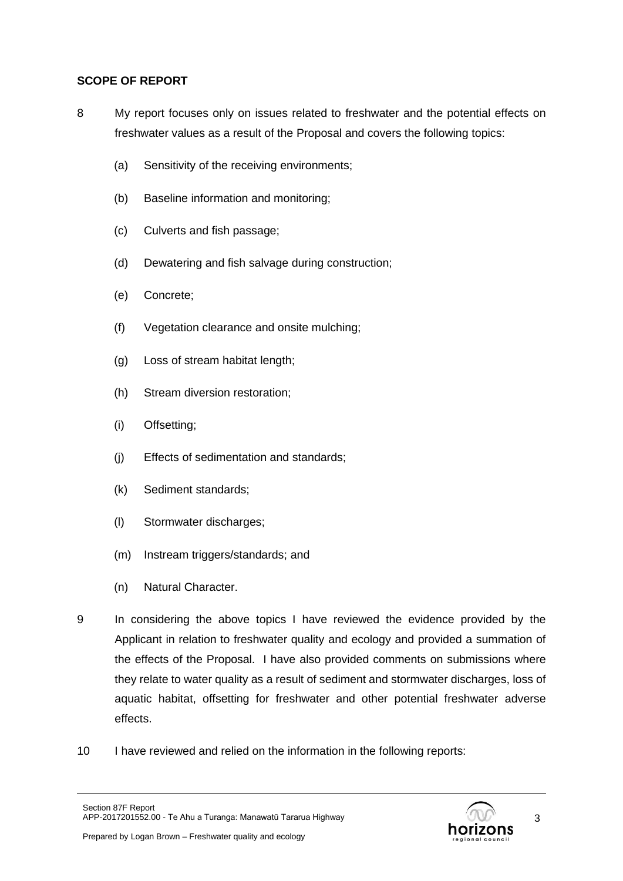# **SCOPE OF REPORT**

- 8 My report focuses only on issues related to freshwater and the potential effects on freshwater values as a result of the Proposal and covers the following topics:
	- (a) Sensitivity of the receiving environments;
	- (b) Baseline information and monitoring;
	- (c) Culverts and fish passage;
	- (d) Dewatering and fish salvage during construction;
	- (e) Concrete;
	- (f) Vegetation clearance and onsite mulching;
	- (g) Loss of stream habitat length;
	- (h) Stream diversion restoration;
	- (i) Offsetting;
	- (j) Effects of sedimentation and standards;
	- (k) Sediment standards;
	- (l) Stormwater discharges;
	- (m) Instream triggers/standards; and
	- (n) Natural Character.
- 9 In considering the above topics I have reviewed the evidence provided by the Applicant in relation to freshwater quality and ecology and provided a summation of the effects of the Proposal. I have also provided comments on submissions where they relate to water quality as a result of sediment and stormwater discharges, loss of aquatic habitat, offsetting for freshwater and other potential freshwater adverse effects.
- 10 I have reviewed and relied on the information in the following reports:

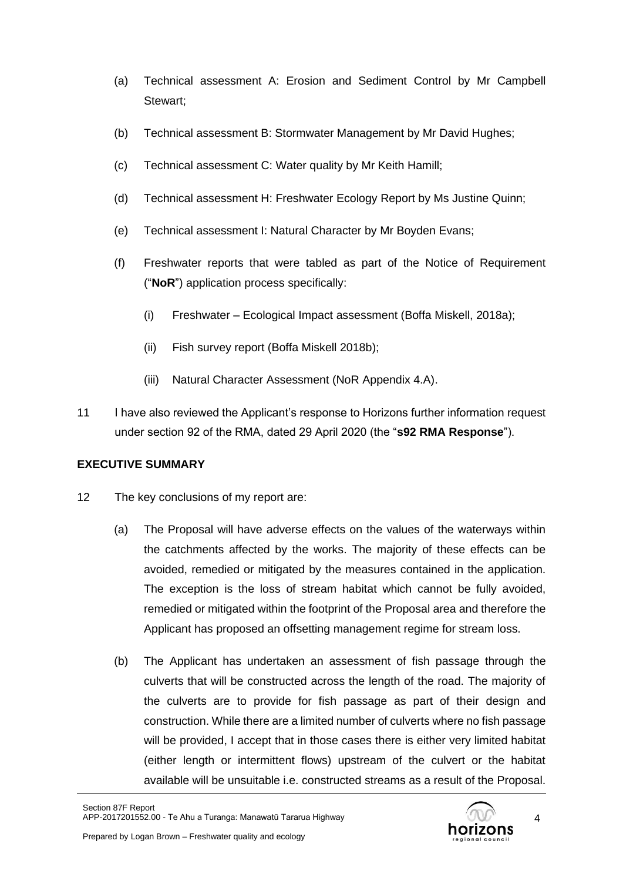- (a) Technical assessment A: Erosion and Sediment Control by Mr Campbell Stewart;
- (b) Technical assessment B: Stormwater Management by Mr David Hughes;
- (c) Technical assessment C: Water quality by Mr Keith Hamill;
- (d) Technical assessment H: Freshwater Ecology Report by Ms Justine Quinn;
- (e) Technical assessment I: Natural Character by Mr Boyden Evans;
- (f) Freshwater reports that were tabled as part of the Notice of Requirement ("**NoR**") application process specifically:
	- (i) Freshwater Ecological Impact assessment (Boffa Miskell, 2018a);
	- (ii) Fish survey report (Boffa Miskell 2018b);
	- (iii) Natural Character Assessment (NoR Appendix 4.A).
- 11 I have also reviewed the Applicant's response to Horizons further information request under section 92 of the RMA, dated 29 April 2020 (the "**s92 RMA Response**").

# **EXECUTIVE SUMMARY**

- 12 The key conclusions of my report are:
	- (a) The Proposal will have adverse effects on the values of the waterways within the catchments affected by the works. The majority of these effects can be avoided, remedied or mitigated by the measures contained in the application. The exception is the loss of stream habitat which cannot be fully avoided, remedied or mitigated within the footprint of the Proposal area and therefore the Applicant has proposed an offsetting management regime for stream loss.
	- (b) The Applicant has undertaken an assessment of fish passage through the culverts that will be constructed across the length of the road. The majority of the culverts are to provide for fish passage as part of their design and construction. While there are a limited number of culverts where no fish passage will be provided, I accept that in those cases there is either very limited habitat (either length or intermittent flows) upstream of the culvert or the habitat available will be unsuitable i.e. constructed streams as a result of the Proposal.



4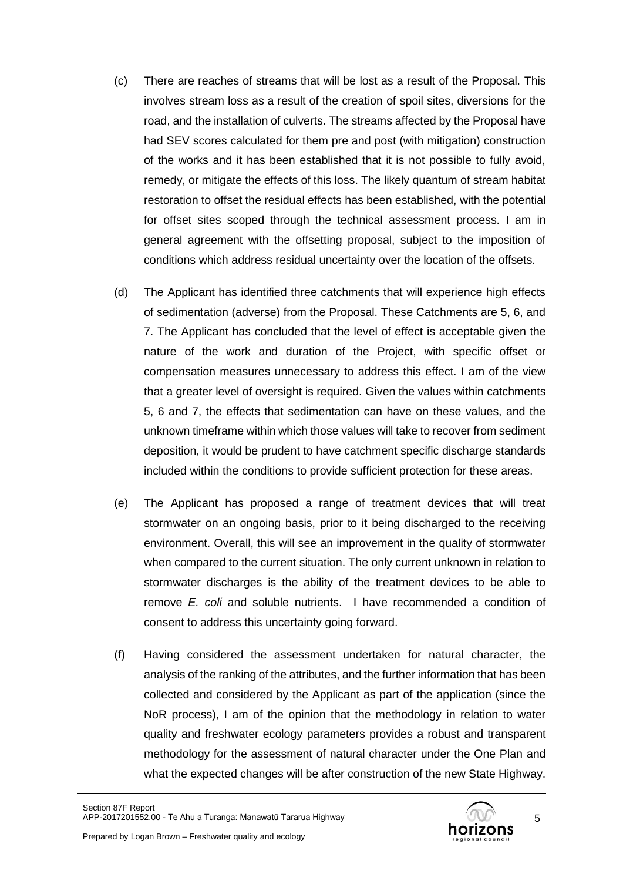- (c) There are reaches of streams that will be lost as a result of the Proposal. This involves stream loss as a result of the creation of spoil sites, diversions for the road, and the installation of culverts. The streams affected by the Proposal have had SEV scores calculated for them pre and post (with mitigation) construction of the works and it has been established that it is not possible to fully avoid, remedy, or mitigate the effects of this loss. The likely quantum of stream habitat restoration to offset the residual effects has been established, with the potential for offset sites scoped through the technical assessment process. I am in general agreement with the offsetting proposal, subject to the imposition of conditions which address residual uncertainty over the location of the offsets.
- (d) The Applicant has identified three catchments that will experience high effects of sedimentation (adverse) from the Proposal. These Catchments are 5, 6, and 7. The Applicant has concluded that the level of effect is acceptable given the nature of the work and duration of the Project, with specific offset or compensation measures unnecessary to address this effect. I am of the view that a greater level of oversight is required. Given the values within catchments 5, 6 and 7, the effects that sedimentation can have on these values, and the unknown timeframe within which those values will take to recover from sediment deposition, it would be prudent to have catchment specific discharge standards included within the conditions to provide sufficient protection for these areas.
- (e) The Applicant has proposed a range of treatment devices that will treat stormwater on an ongoing basis, prior to it being discharged to the receiving environment. Overall, this will see an improvement in the quality of stormwater when compared to the current situation. The only current unknown in relation to stormwater discharges is the ability of the treatment devices to be able to remove *E. coli* and soluble nutrients. I have recommended a condition of consent to address this uncertainty going forward.
- (f) Having considered the assessment undertaken for natural character, the analysis of the ranking of the attributes, and the further information that has been collected and considered by the Applicant as part of the application (since the NoR process), I am of the opinion that the methodology in relation to water quality and freshwater ecology parameters provides a robust and transparent methodology for the assessment of natural character under the One Plan and what the expected changes will be after construction of the new State Highway.



5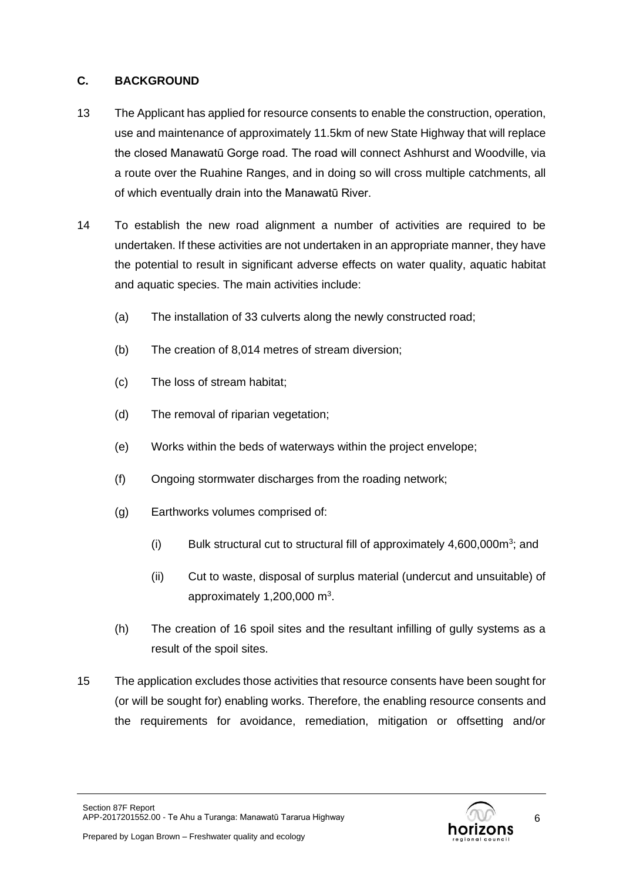# **C. BACKGROUND**

- 13 The Applicant has applied for resource consents to enable the construction, operation, use and maintenance of approximately 11.5km of new State Highway that will replace the closed Manawatū Gorge road. The road will connect Ashhurst and Woodville, via a route over the Ruahine Ranges, and in doing so will cross multiple catchments, all of which eventually drain into the Manawatū River.
- 14 To establish the new road alignment a number of activities are required to be undertaken. If these activities are not undertaken in an appropriate manner, they have the potential to result in significant adverse effects on water quality, aquatic habitat and aquatic species. The main activities include:
	- (a) The installation of 33 culverts along the newly constructed road;
	- (b) The creation of 8,014 metres of stream diversion;
	- (c) The loss of stream habitat;
	- (d) The removal of riparian vegetation;
	- (e) Works within the beds of waterways within the project envelope;
	- (f) Ongoing stormwater discharges from the roading network;
	- (g) Earthworks volumes comprised of:
		- (i) Bulk structural cut to structural fill of approximately  $4,600,000m^3$ ; and
		- (ii) Cut to waste, disposal of surplus material (undercut and unsuitable) of approximately  $1,200,000$  m<sup>3</sup>.
	- (h) The creation of 16 spoil sites and the resultant infilling of gully systems as a result of the spoil sites.
- 15 The application excludes those activities that resource consents have been sought for (or will be sought for) enabling works. Therefore, the enabling resource consents and the requirements for avoidance, remediation, mitigation or offsetting and/or

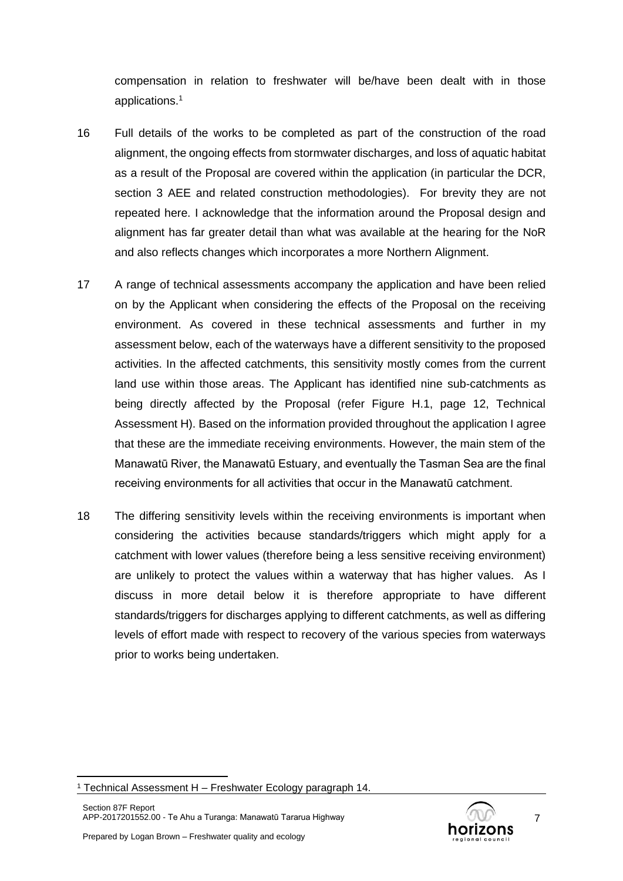compensation in relation to freshwater will be/have been dealt with in those applications. 1

- 16 Full details of the works to be completed as part of the construction of the road alignment, the ongoing effects from stormwater discharges, and loss of aquatic habitat as a result of the Proposal are covered within the application (in particular the DCR, section 3 AEE and related construction methodologies). For brevity they are not repeated here. I acknowledge that the information around the Proposal design and alignment has far greater detail than what was available at the hearing for the NoR and also reflects changes which incorporates a more Northern Alignment.
- 17 A range of technical assessments accompany the application and have been relied on by the Applicant when considering the effects of the Proposal on the receiving environment. As covered in these technical assessments and further in my assessment below, each of the waterways have a different sensitivity to the proposed activities. In the affected catchments, this sensitivity mostly comes from the current land use within those areas. The Applicant has identified nine sub-catchments as being directly affected by the Proposal (refer Figure H.1, page 12, Technical Assessment H). Based on the information provided throughout the application I agree that these are the immediate receiving environments. However, the main stem of the Manawatū River, the Manawatū Estuary, and eventually the Tasman Sea are the final receiving environments for all activities that occur in the Manawatū catchment.
- 18 The differing sensitivity levels within the receiving environments is important when considering the activities because standards/triggers which might apply for a catchment with lower values (therefore being a less sensitive receiving environment) are unlikely to protect the values within a waterway that has higher values. As I discuss in more detail below it is therefore appropriate to have different standards/triggers for discharges applying to different catchments, as well as differing levels of effort made with respect to recovery of the various species from waterways prior to works being undertaken.



<sup>&</sup>lt;sup>1</sup> Technical Assessment H – Freshwater Ecology paragraph 14.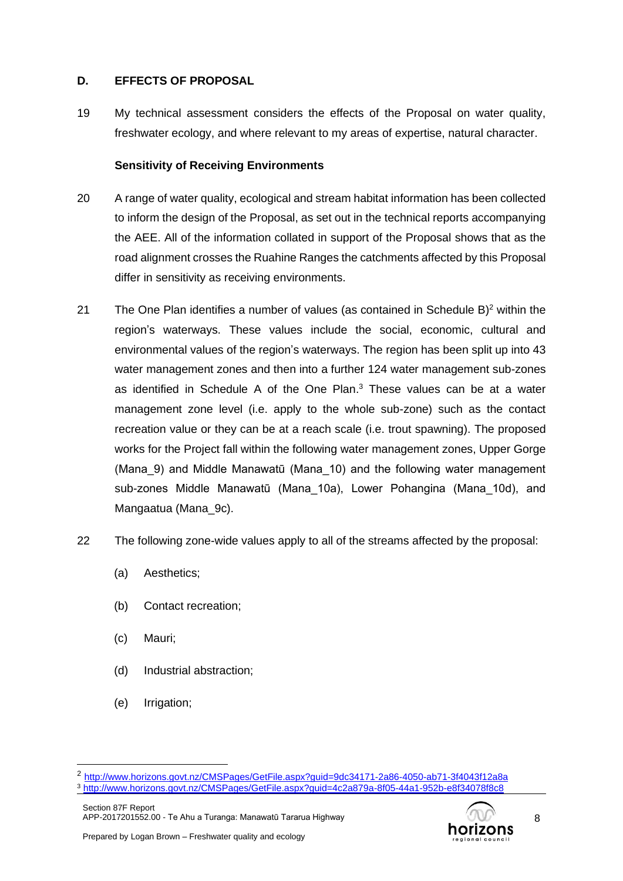# **D. EFFECTS OF PROPOSAL**

19 My technical assessment considers the effects of the Proposal on water quality, freshwater ecology, and where relevant to my areas of expertise, natural character.

# **Sensitivity of Receiving Environments**

- 20 A range of water quality, ecological and stream habitat information has been collected to inform the design of the Proposal, as set out in the technical reports accompanying the AEE. All of the information collated in support of the Proposal shows that as the road alignment crosses the Ruahine Ranges the catchments affected by this Proposal differ in sensitivity as receiving environments.
- 21 The One Plan identifies a number of values (as contained in Schedule B)<sup>2</sup> within the region's waterways. These values include the social, economic, cultural and environmental values of the region's waterways. The region has been split up into 43 water management zones and then into a further 124 water management sub-zones as identified in Schedule A of the One Plan. <sup>3</sup> These values can be at a water management zone level (i.e. apply to the whole sub-zone) such as the contact recreation value or they can be at a reach scale (i.e. trout spawning). The proposed works for the Project fall within the following water management zones, Upper Gorge (Mana\_9) and Middle Manawatū (Mana\_10) and the following water management sub-zones Middle Manawatū (Mana\_10a), Lower Pohangina (Mana\_10d), and Mangaatua (Mana\_9c).
- 22 The following zone-wide values apply to all of the streams affected by the proposal:
	- (a) Aesthetics;
	- (b) Contact recreation;
	- (c) Mauri;
	- (d) Industrial abstraction;
	- (e) Irrigation;

2 <http://www.horizons.govt.nz/CMSPages/GetFile.aspx?guid=9dc34171-2a86-4050-ab71-3f4043f12a8a> <sup>3</sup> <http://www.horizons.govt.nz/CMSPages/GetFile.aspx?guid=4c2a879a-8f05-44a1-952b-e8f34078f8c8>

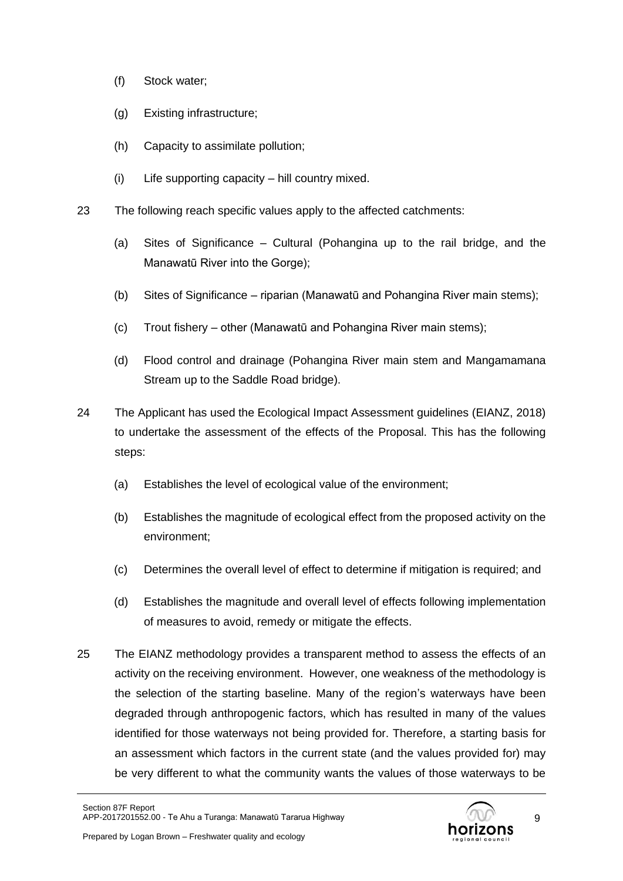- (f) Stock water;
- (g) Existing infrastructure;
- (h) Capacity to assimilate pollution;
- (i) Life supporting capacity hill country mixed.
- 23 The following reach specific values apply to the affected catchments:
	- (a) Sites of Significance Cultural (Pohangina up to the rail bridge, and the Manawatū River into the Gorge);
	- (b) Sites of Significance riparian (Manawatū and Pohangina River main stems);
	- (c) Trout fishery other (Manawatū and Pohangina River main stems);
	- (d) Flood control and drainage (Pohangina River main stem and Mangamamana Stream up to the Saddle Road bridge).
- 24 The Applicant has used the Ecological Impact Assessment guidelines (EIANZ, 2018) to undertake the assessment of the effects of the Proposal. This has the following steps:
	- (a) Establishes the level of ecological value of the environment;
	- (b) Establishes the magnitude of ecological effect from the proposed activity on the environment;
	- (c) Determines the overall level of effect to determine if mitigation is required; and
	- (d) Establishes the magnitude and overall level of effects following implementation of measures to avoid, remedy or mitigate the effects.
- 25 The EIANZ methodology provides a transparent method to assess the effects of an activity on the receiving environment. However, one weakness of the methodology is the selection of the starting baseline. Many of the region's waterways have been degraded through anthropogenic factors, which has resulted in many of the values identified for those waterways not being provided for. Therefore, a starting basis for an assessment which factors in the current state (and the values provided for) may be very different to what the community wants the values of those waterways to be



9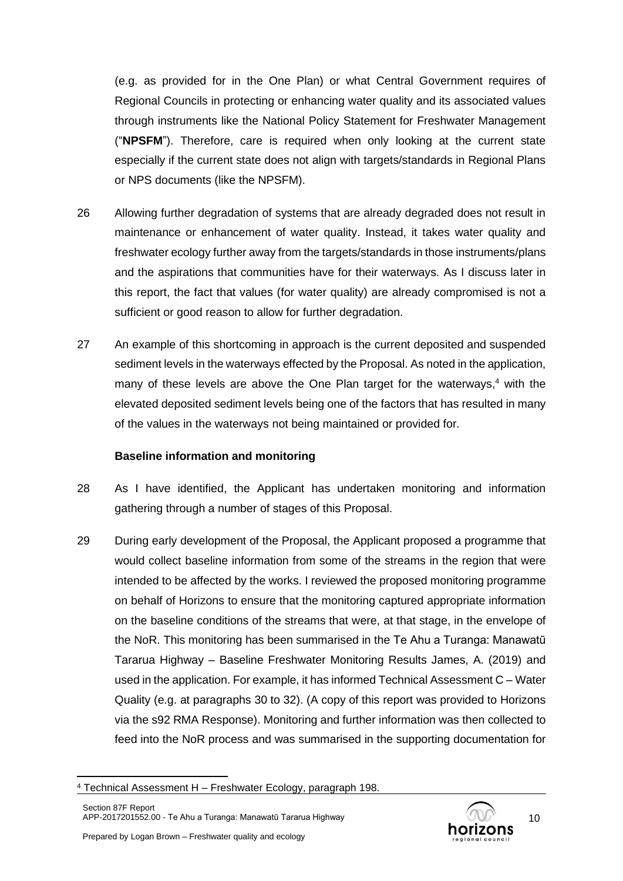(e.g. as provided for in the One Plan) or what Central Government requires of Regional Councils in protecting or enhancing water quality and its associated values through instruments like the National Policy Statement for Freshwater Management ("**NPSFM**"). Therefore, care is required when only looking at the current state especially if the current state does not align with targets/standards in Regional Plans or NPS documents (like the NPSFM).

- 26 Allowing further degradation of systems that are already degraded does not result in maintenance or enhancement of water quality. Instead, it takes water quality and freshwater ecology further away from the targets/standards in those instruments/plans and the aspirations that communities have for their waterways. As I discuss later in this report, the fact that values (for water quality) are already compromised is not a sufficient or good reason to allow for further degradation.
- 27 An example of this shortcoming in approach is the current deposited and suspended sediment levels in the waterways effected by the Proposal. As noted in the application, many of these levels are above the One Plan target for the waterways,<sup>4</sup> with the elevated deposited sediment levels being one of the factors that has resulted in many of the values in the waterways not being maintained or provided for.

# **Baseline information and monitoring**

- 28 As I have identified, the Applicant has undertaken monitoring and information gathering through a number of stages of this Proposal.
- 29 During early development of the Proposal, the Applicant proposed a programme that would collect baseline information from some of the streams in the region that were intended to be affected by the works. I reviewed the proposed monitoring programme on behalf of Horizons to ensure that the monitoring captured appropriate information on the baseline conditions of the streams that were, at that stage, in the envelope of the NoR. This monitoring has been summarised in the Te Ahu a Turanga: Manawatū Tararua Highway – Baseline Freshwater Monitoring Results James, A. (2019) and used in the application. For example, it has informed Technical Assessment C – Water Quality (e.g. at paragraphs 30 to 32). (A copy of this report was provided to Horizons via the s92 RMA Response). Monitoring and further information was then collected to feed into the NoR process and was summarised in the supporting documentation for



<sup>4</sup> Technical Assessment H – Freshwater Ecology, paragraph 198.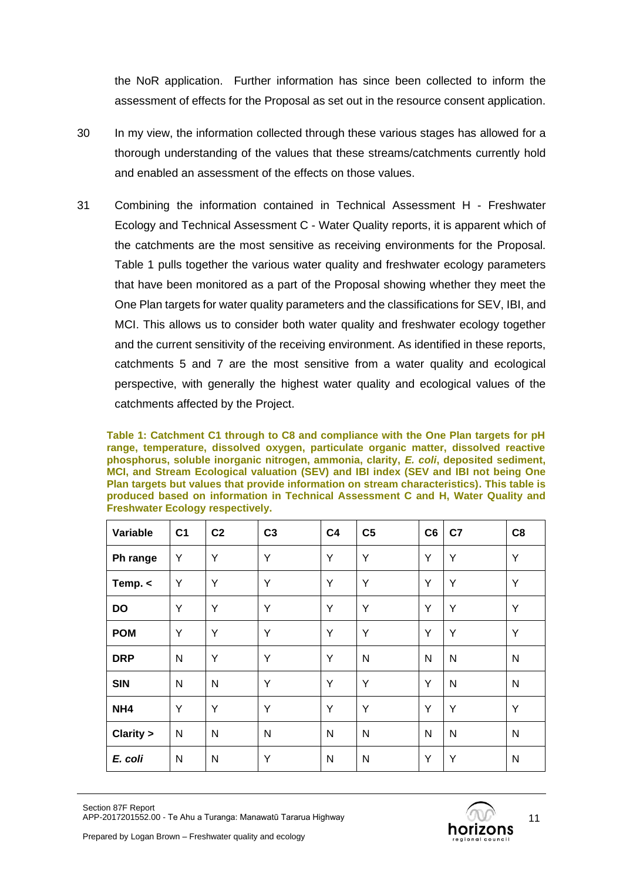the NoR application. Further information has since been collected to inform the assessment of effects for the Proposal as set out in the resource consent application.

- 30 In my view, the information collected through these various stages has allowed for a thorough understanding of the values that these streams/catchments currently hold and enabled an assessment of the effects on those values.
- 31 Combining the information contained in Technical Assessment H Freshwater Ecology and Technical Assessment C - Water Quality reports, it is apparent which of the catchments are the most sensitive as receiving environments for the Proposal. [Table 1](#page-10-0) pulls together the various water quality and freshwater ecology parameters that have been monitored as a part of the Proposal showing whether they meet the One Plan targets for water quality parameters and the classifications for SEV, IBI, and MCI. This allows us to consider both water quality and freshwater ecology together and the current sensitivity of the receiving environment. As identified in these reports, catchments 5 and 7 are the most sensitive from a water quality and ecological perspective, with generally the highest water quality and ecological values of the catchments affected by the Project.

<span id="page-10-0"></span>**Table 1: Catchment C1 through to C8 and compliance with the One Plan targets for pH range, temperature, dissolved oxygen, particulate organic matter, dissolved reactive phosphorus, soluble inorganic nitrogen, ammonia, clarity,** *E. coli***, deposited sediment, MCI, and Stream Ecological valuation (SEV) and IBI index (SEV and IBI not being One Plan targets but values that provide information on stream characteristics). This table is produced based on information in Technical Assessment C and H, Water Quality and Freshwater Ecology respectively.**

| Variable        | C <sub>1</sub> | C <sub>2</sub> | C <sub>3</sub> | C <sub>4</sub> | C <sub>5</sub> | C6 | C <sub>7</sub> | C8 |
|-----------------|----------------|----------------|----------------|----------------|----------------|----|----------------|----|
| Ph range        | Y              | Y              | Y              | Y              | Y              | Y  | Y              | Υ  |
| Temp. <         | Υ              | Y              | Y              | Y              | Y              | Y  | Y              | Y  |
| DO              | Υ              | Y              | Y              | Y              | Y              | Y  | Y              | Y  |
| <b>POM</b>      | Y              | Y              | Y              | Y              | Y              | Y  | Y              | Y  |
| <b>DRP</b>      | N              | Y              | Y              | Y              | N              | N  | $\mathsf{N}$   | N  |
| <b>SIN</b>      | N              | N              | Y              | Y              | Y              | Y  | $\mathsf{N}$   | N  |
| NH <sub>4</sub> | Υ              | Y              | Y              | Y              | Y              | Y  | Y              | Y  |
| Clarity >       | N              | N              | N              | $\mathsf{N}$   | N              | N  | $\mathsf{N}$   | N  |
| E. coli         | N              | N              | Y              | N              | N              | Y  | Y              | N  |

Section 87F Report APP-2017201552.00 - Te Ahu a Turanga: Manawatū Tararua Highway

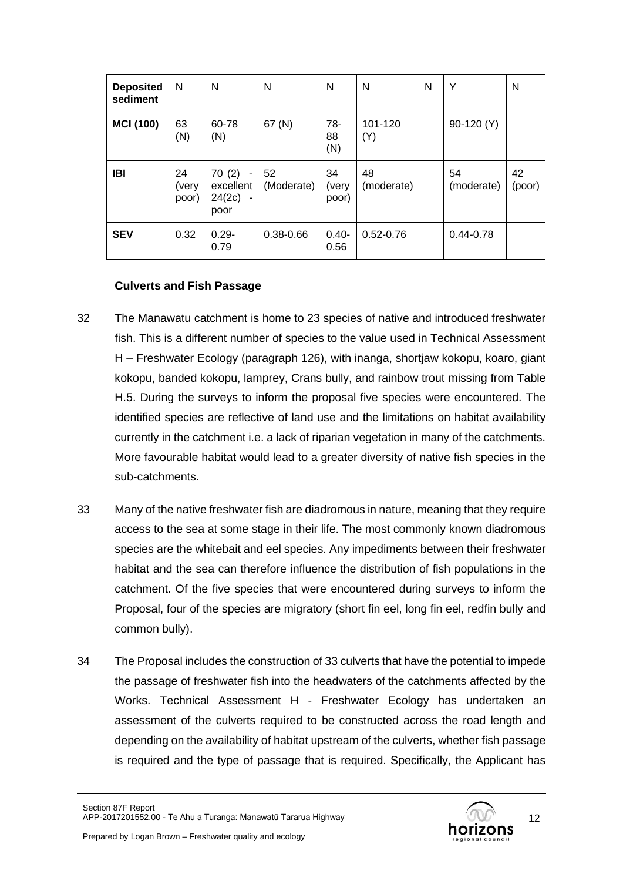| <b>Deposited</b><br>sediment | N                    | N                                                        | N                | N                    | N                | N | Υ                | N            |
|------------------------------|----------------------|----------------------------------------------------------|------------------|----------------------|------------------|---|------------------|--------------|
| <b>MCI (100)</b>             | 63<br>(N)            | 60-78<br>(N)                                             | 67 (N)           | 78-<br>88<br>(N)     | 101-120<br>(Y)   |   | 90-120 (Y)       |              |
| IBI                          | 24<br>(very<br>poor) | 70(2)<br>$\sim$<br>excellent<br>24(2c)<br>$\sim$<br>poor | 52<br>(Moderate) | 34<br>(very<br>poor) | 48<br>(moderate) |   | 54<br>(moderate) | 42<br>(poor) |
| <b>SEV</b>                   | 0.32                 | $0.29 -$<br>0.79                                         | $0.38 - 0.66$    | $0.40 -$<br>0.56     | $0.52 - 0.76$    |   | $0.44 - 0.78$    |              |

#### **Culverts and Fish Passage**

- 32 The Manawatu catchment is home to 23 species of native and introduced freshwater fish. This is a different number of species to the value used in Technical Assessment H – Freshwater Ecology (paragraph 126), with inanga, shortjaw kokopu, koaro, giant kokopu, banded kokopu, lamprey, Crans bully, and rainbow trout missing from Table H.5. During the surveys to inform the proposal five species were encountered. The identified species are reflective of land use and the limitations on habitat availability currently in the catchment i.e. a lack of riparian vegetation in many of the catchments. More favourable habitat would lead to a greater diversity of native fish species in the sub-catchments.
- 33 Many of the native freshwater fish are diadromous in nature, meaning that they require access to the sea at some stage in their life. The most commonly known diadromous species are the whitebait and eel species. Any impediments between their freshwater habitat and the sea can therefore influence the distribution of fish populations in the catchment. Of the five species that were encountered during surveys to inform the Proposal, four of the species are migratory (short fin eel, long fin eel, redfin bully and common bully).
- 34 The Proposal includes the construction of 33 culverts that have the potential to impede the passage of freshwater fish into the headwaters of the catchments affected by the Works. Technical Assessment H - Freshwater Ecology has undertaken an assessment of the culverts required to be constructed across the road length and depending on the availability of habitat upstream of the culverts, whether fish passage is required and the type of passage that is required. Specifically, the Applicant has

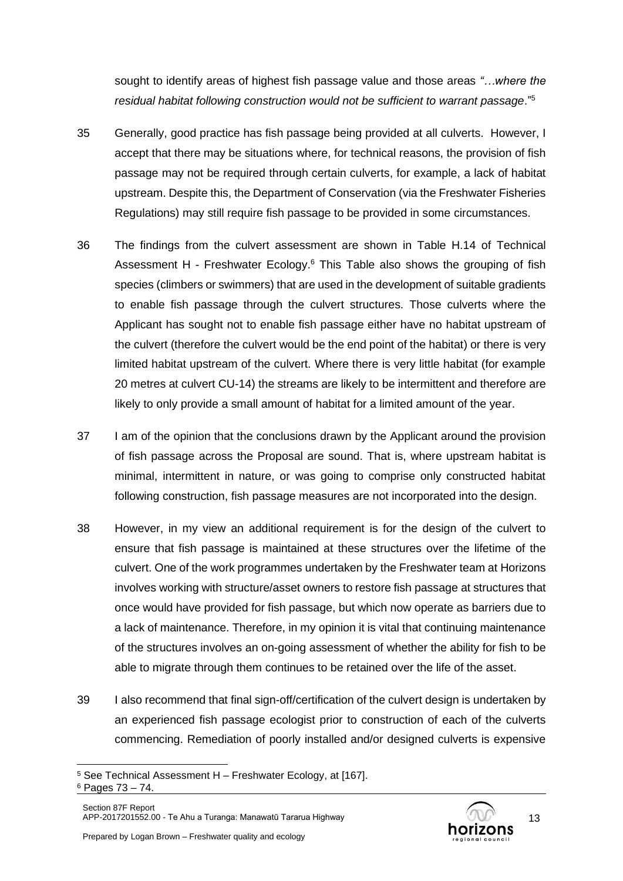sought to identify areas of highest fish passage value and those areas *"…where the residual habitat following construction would not be sufficient to warrant passage*."<sup>5</sup>

- 35 Generally, good practice has fish passage being provided at all culverts. However, I accept that there may be situations where, for technical reasons, the provision of fish passage may not be required through certain culverts, for example, a lack of habitat upstream. Despite this, the Department of Conservation (via the Freshwater Fisheries Regulations) may still require fish passage to be provided in some circumstances.
- 36 The findings from the culvert assessment are shown in Table H.14 of Technical Assessment H - Freshwater Ecology.<sup>6</sup> This Table also shows the grouping of fish species (climbers or swimmers) that are used in the development of suitable gradients to enable fish passage through the culvert structures. Those culverts where the Applicant has sought not to enable fish passage either have no habitat upstream of the culvert (therefore the culvert would be the end point of the habitat) or there is very limited habitat upstream of the culvert. Where there is very little habitat (for example 20 metres at culvert CU-14) the streams are likely to be intermittent and therefore are likely to only provide a small amount of habitat for a limited amount of the year.
- 37 I am of the opinion that the conclusions drawn by the Applicant around the provision of fish passage across the Proposal are sound. That is, where upstream habitat is minimal, intermittent in nature, or was going to comprise only constructed habitat following construction, fish passage measures are not incorporated into the design.
- 38 However, in my view an additional requirement is for the design of the culvert to ensure that fish passage is maintained at these structures over the lifetime of the culvert. One of the work programmes undertaken by the Freshwater team at Horizons involves working with structure/asset owners to restore fish passage at structures that once would have provided for fish passage, but which now operate as barriers due to a lack of maintenance. Therefore, in my opinion it is vital that continuing maintenance of the structures involves an on-going assessment of whether the ability for fish to be able to migrate through them continues to be retained over the life of the asset.
- 39 I also recommend that final sign-off/certification of the culvert design is undertaken by an experienced fish passage ecologist prior to construction of each of the culverts commencing. Remediation of poorly installed and/or designed culverts is expensive



<sup>5</sup> See Technical Assessment H – Freshwater Ecology, at [167].

<sup>6</sup> Pages 73 – 74.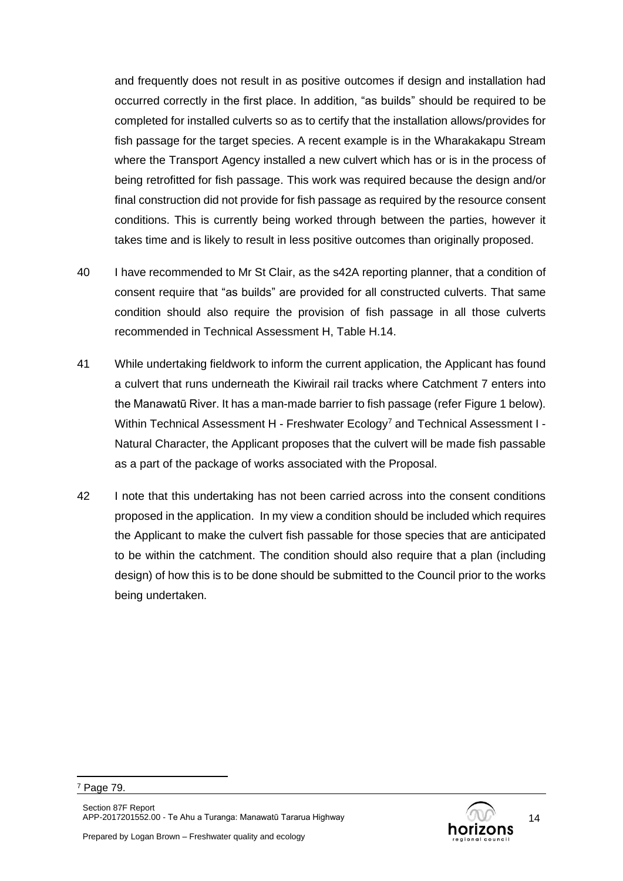and frequently does not result in as positive outcomes if design and installation had occurred correctly in the first place. In addition, "as builds" should be required to be completed for installed culverts so as to certify that the installation allows/provides for fish passage for the target species. A recent example is in the Wharakakapu Stream where the Transport Agency installed a new culvert which has or is in the process of being retrofitted for fish passage. This work was required because the design and/or final construction did not provide for fish passage as required by the resource consent conditions. This is currently being worked through between the parties, however it takes time and is likely to result in less positive outcomes than originally proposed.

- 40 I have recommended to Mr St Clair, as the s42A reporting planner, that a condition of consent require that "as builds" are provided for all constructed culverts. That same condition should also require the provision of fish passage in all those culverts recommended in Technical Assessment H, Table H.14.
- <span id="page-13-0"></span>41 While undertaking fieldwork to inform the current application, the Applicant has found a culvert that runs underneath the Kiwirail rail tracks where Catchment 7 enters into the Manawatū River. It has a man-made barrier to fish passage (refe[r Figure 1](#page-14-0) below). Within Technical Assessment H - Freshwater Ecology<sup>7</sup> and Technical Assessment I -Natural Character, the Applicant proposes that the culvert will be made fish passable as a part of the package of works associated with the Proposal.
- 42 I note that this undertaking has not been carried across into the consent conditions proposed in the application. In my view a condition should be included which requires the Applicant to make the culvert fish passable for those species that are anticipated to be within the catchment. The condition should also require that a plan (including design) of how this is to be done should be submitted to the Council prior to the works being undertaken.



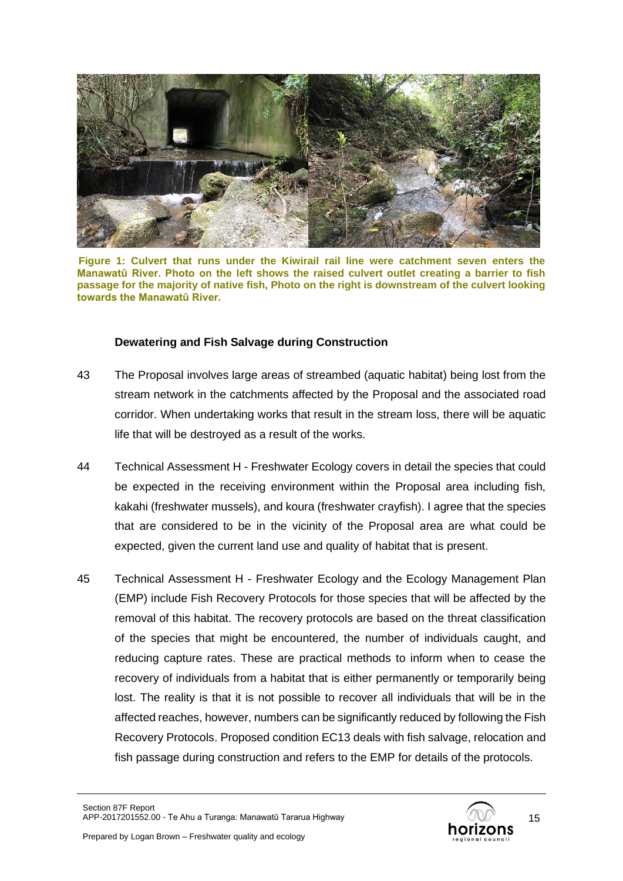

**Figure 1: Culvert that runs under the Kiwirail rail line were catchment seven enters the Manawatū River. Photo on the left shows the raised culvert outlet creating a barrier to fish passage for the majority of native fish, Photo on the right is downstream of the culvert looking towards the Manawatū River.**

#### <span id="page-14-0"></span>**Dewatering and Fish Salvage during Construction**

- 43 The Proposal involves large areas of streambed (aquatic habitat) being lost from the stream network in the catchments affected by the Proposal and the associated road corridor. When undertaking works that result in the stream loss, there will be aquatic life that will be destroyed as a result of the works.
- 44 Technical Assessment H Freshwater Ecology covers in detail the species that could be expected in the receiving environment within the Proposal area including fish, kakahi (freshwater mussels), and koura (freshwater crayfish). I agree that the species that are considered to be in the vicinity of the Proposal area are what could be expected, given the current land use and quality of habitat that is present.
- 45 Technical Assessment H Freshwater Ecology and the Ecology Management Plan (EMP) include Fish Recovery Protocols for those species that will be affected by the removal of this habitat. The recovery protocols are based on the threat classification of the species that might be encountered, the number of individuals caught, and reducing capture rates. These are practical methods to inform when to cease the recovery of individuals from a habitat that is either permanently or temporarily being lost. The reality is that it is not possible to recover all individuals that will be in the affected reaches, however, numbers can be significantly reduced by following the Fish Recovery Protocols. Proposed condition EC13 deals with fish salvage, relocation and fish passage during construction and refers to the EMP for details of the protocols.

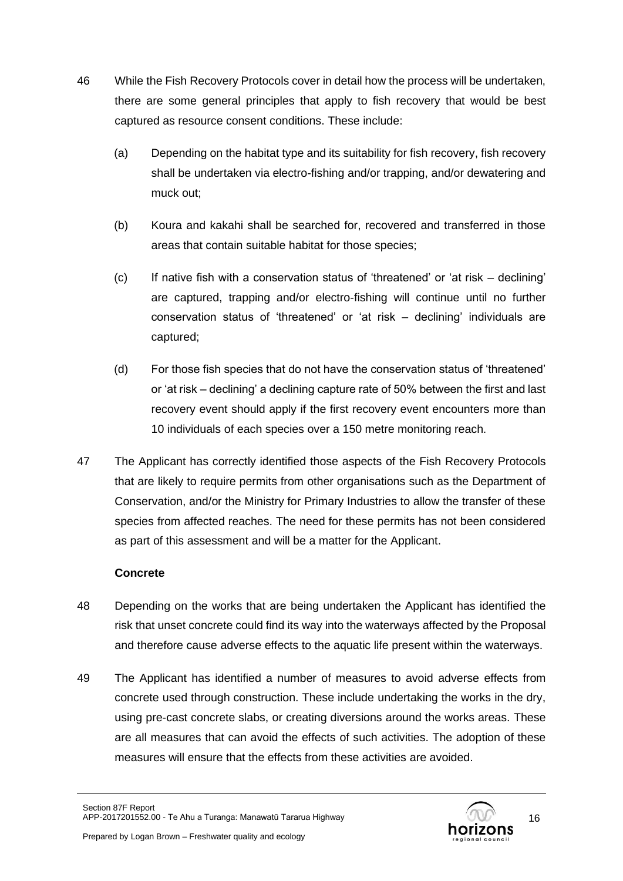- 46 While the Fish Recovery Protocols cover in detail how the process will be undertaken, there are some general principles that apply to fish recovery that would be best captured as resource consent conditions. These include:
	- (a) Depending on the habitat type and its suitability for fish recovery, fish recovery shall be undertaken via electro-fishing and/or trapping, and/or dewatering and muck out;
	- (b) Koura and kakahi shall be searched for, recovered and transferred in those areas that contain suitable habitat for those species;
	- (c) If native fish with a conservation status of 'threatened' or 'at risk declining' are captured, trapping and/or electro-fishing will continue until no further conservation status of 'threatened' or 'at risk – declining' individuals are captured;
	- (d) For those fish species that do not have the conservation status of 'threatened' or 'at risk – declining' a declining capture rate of 50% between the first and last recovery event should apply if the first recovery event encounters more than 10 individuals of each species over a 150 metre monitoring reach.
- 47 The Applicant has correctly identified those aspects of the Fish Recovery Protocols that are likely to require permits from other organisations such as the Department of Conservation, and/or the Ministry for Primary Industries to allow the transfer of these species from affected reaches. The need for these permits has not been considered as part of this assessment and will be a matter for the Applicant.

# **Concrete**

- 48 Depending on the works that are being undertaken the Applicant has identified the risk that unset concrete could find its way into the waterways affected by the Proposal and therefore cause adverse effects to the aquatic life present within the waterways.
- 49 The Applicant has identified a number of measures to avoid adverse effects from concrete used through construction. These include undertaking the works in the dry, using pre-cast concrete slabs, or creating diversions around the works areas. These are all measures that can avoid the effects of such activities. The adoption of these measures will ensure that the effects from these activities are avoided.

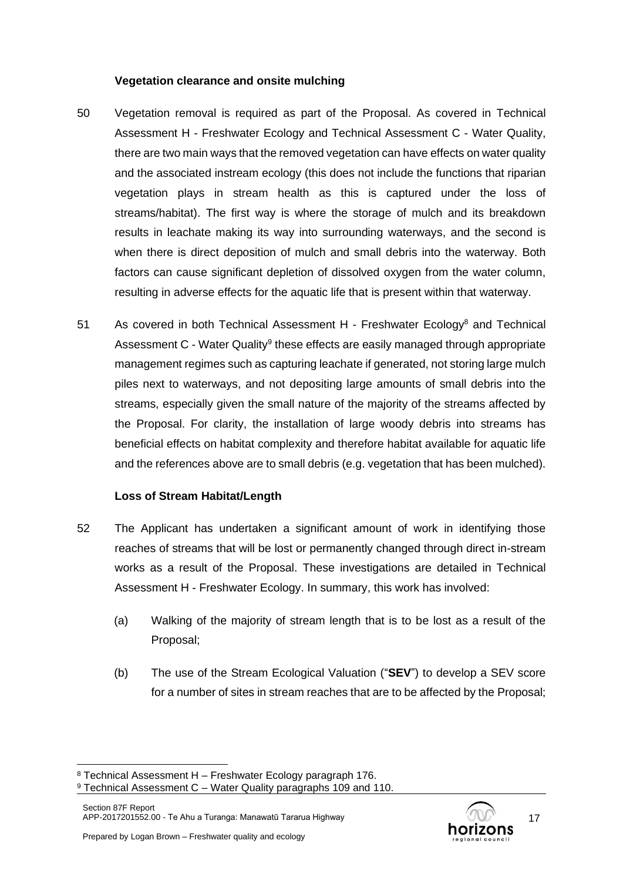#### **Vegetation clearance and onsite mulching**

- 50 Vegetation removal is required as part of the Proposal. As covered in Technical Assessment H - Freshwater Ecology and Technical Assessment C - Water Quality, there are two main ways that the removed vegetation can have effects on water quality and the associated instream ecology (this does not include the functions that riparian vegetation plays in stream health as this is captured under the loss of streams/habitat). The first way is where the storage of mulch and its breakdown results in leachate making its way into surrounding waterways, and the second is when there is direct deposition of mulch and small debris into the waterway. Both factors can cause significant depletion of dissolved oxygen from the water column, resulting in adverse effects for the aquatic life that is present within that waterway.
- 51 As covered in both Technical Assessment H Freshwater Ecology<sup>8</sup> and Technical Assessment C - Water Quality<sup>9</sup> these effects are easily managed through appropriate management regimes such as capturing leachate if generated, not storing large mulch piles next to waterways, and not depositing large amounts of small debris into the streams, especially given the small nature of the majority of the streams affected by the Proposal. For clarity, the installation of large woody debris into streams has beneficial effects on habitat complexity and therefore habitat available for aquatic life and the references above are to small debris (e.g. vegetation that has been mulched).

# **Loss of Stream Habitat/Length**

- 52 The Applicant has undertaken a significant amount of work in identifying those reaches of streams that will be lost or permanently changed through direct in-stream works as a result of the Proposal. These investigations are detailed in Technical Assessment H - Freshwater Ecology. In summary, this work has involved:
	- (a) Walking of the majority of stream length that is to be lost as a result of the Proposal;
	- (b) The use of the Stream Ecological Valuation ("**SEV**") to develop a SEV score for a number of sites in stream reaches that are to be affected by the Proposal;



<sup>8</sup> Technical Assessment H – Freshwater Ecology paragraph 176.

 $9$  Technical Assessment C – Water Quality paragraphs 109 and 110.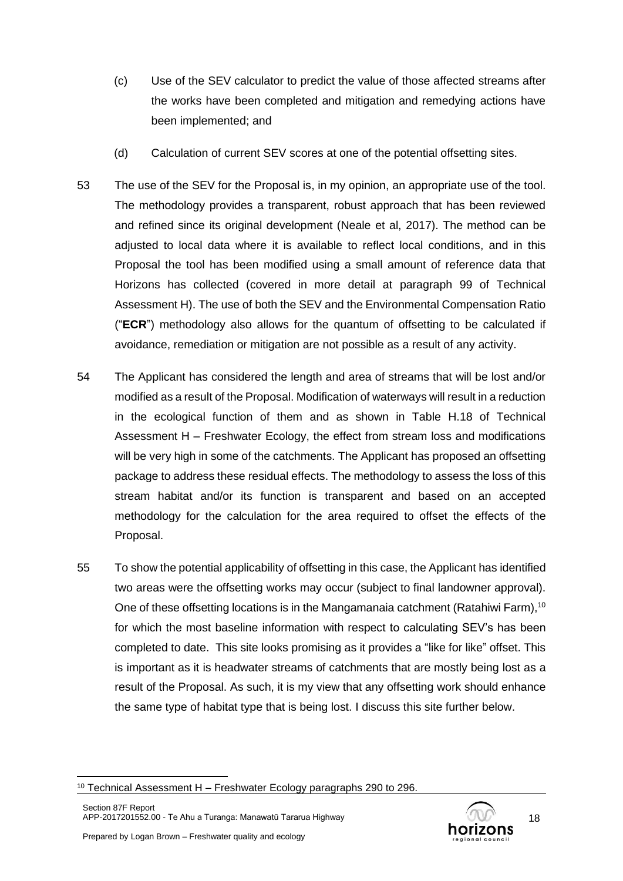- (c) Use of the SEV calculator to predict the value of those affected streams after the works have been completed and mitigation and remedying actions have been implemented; and
- (d) Calculation of current SEV scores at one of the potential offsetting sites.
- 53 The use of the SEV for the Proposal is, in my opinion, an appropriate use of the tool. The methodology provides a transparent, robust approach that has been reviewed and refined since its original development (Neale et al. 2017). The method can be adjusted to local data where it is available to reflect local conditions, and in this Proposal the tool has been modified using a small amount of reference data that Horizons has collected (covered in more detail at paragraph 99 of Technical Assessment H). The use of both the SEV and the Environmental Compensation Ratio ("**ECR**") methodology also allows for the quantum of offsetting to be calculated if avoidance, remediation or mitigation are not possible as a result of any activity.
- 54 The Applicant has considered the length and area of streams that will be lost and/or modified as a result of the Proposal. Modification of waterways will result in a reduction in the ecological function of them and as shown in Table H.18 of Technical Assessment H – Freshwater Ecology, the effect from stream loss and modifications will be very high in some of the catchments. The Applicant has proposed an offsetting package to address these residual effects. The methodology to assess the loss of this stream habitat and/or its function is transparent and based on an accepted methodology for the calculation for the area required to offset the effects of the Proposal.
- 55 To show the potential applicability of offsetting in this case, the Applicant has identified two areas were the offsetting works may occur (subject to final landowner approval). One of these offsetting locations is in the Mangamanaia catchment (Ratahiwi Farm),<sup>10</sup> for which the most baseline information with respect to calculating SEV's has been completed to date. This site looks promising as it provides a "like for like" offset. This is important as it is headwater streams of catchments that are mostly being lost as a result of the Proposal. As such, it is my view that any offsetting work should enhance the same type of habitat type that is being lost. I discuss this site further below.



<sup>&</sup>lt;sup>10</sup> Technical Assessment H – Freshwater Ecology paragraphs 290 to 296.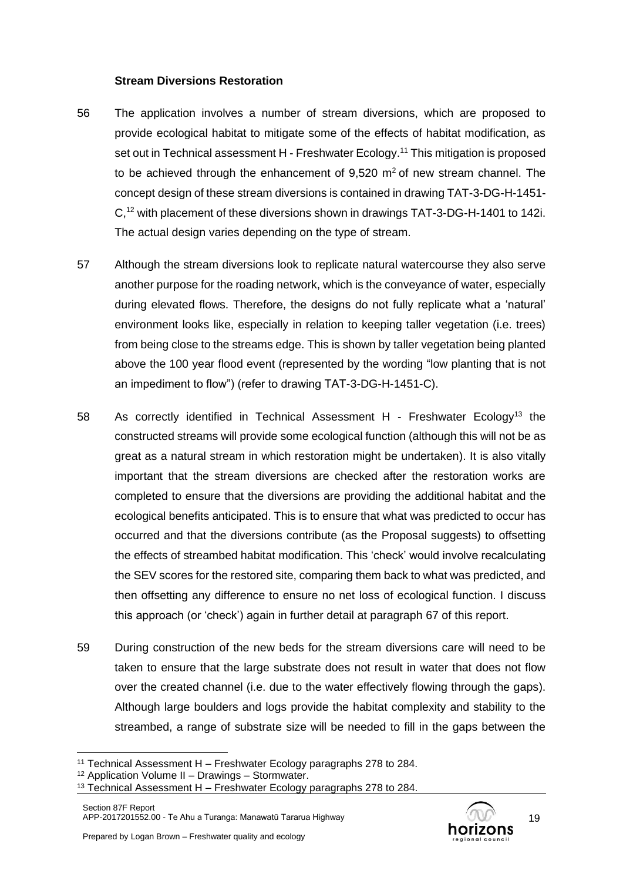#### **Stream Diversions Restoration**

- 56 The application involves a number of stream diversions, which are proposed to provide ecological habitat to mitigate some of the effects of habitat modification, as set out in Technical assessment H - Freshwater Ecology.<sup>11</sup> This mitigation is proposed to be achieved through the enhancement of  $9,520 \text{ m}^2$  of new stream channel. The concept design of these stream diversions is contained in drawing TAT-3-DG-H-1451- C,<sup>12</sup> with placement of these diversions shown in drawings TAT-3-DG-H-1401 to 142i. The actual design varies depending on the type of stream.
- 57 Although the stream diversions look to replicate natural watercourse they also serve another purpose for the roading network, which is the conveyance of water, especially during elevated flows. Therefore, the designs do not fully replicate what a 'natural' environment looks like, especially in relation to keeping taller vegetation (i.e. trees) from being close to the streams edge. This is shown by taller vegetation being planted above the 100 year flood event (represented by the wording "low planting that is not an impediment to flow") (refer to drawing TAT-3-DG-H-1451-C).
- 58 As correctly identified in Technical Assessment H Freshwater Ecology<sup>13</sup> the constructed streams will provide some ecological function (although this will not be as great as a natural stream in which restoration might be undertaken). It is also vitally important that the stream diversions are checked after the restoration works are completed to ensure that the diversions are providing the additional habitat and the ecological benefits anticipated. This is to ensure that what was predicted to occur has occurred and that the diversions contribute (as the Proposal suggests) to offsetting the effects of streambed habitat modification. This 'check' would involve recalculating the SEV scores for the restored site, comparing them back to what was predicted, and then offsetting any difference to ensure no net loss of ecological function. I discuss this approach (or 'check') again in further detail at paragraph [67](#page-20-0) of this report.
- 59 During construction of the new beds for the stream diversions care will need to be taken to ensure that the large substrate does not result in water that does not flow over the created channel (i.e. due to the water effectively flowing through the gaps). Although large boulders and logs provide the habitat complexity and stability to the streambed, a range of substrate size will be needed to fill in the gaps between the



<sup>&</sup>lt;sup>11</sup> Technical Assessment H – Freshwater Ecology paragraphs 278 to 284.

<sup>12</sup> Application Volume II – Drawings – Stormwater.

<sup>&</sup>lt;sup>13</sup> Technical Assessment H – Freshwater Ecology paragraphs 278 to 284.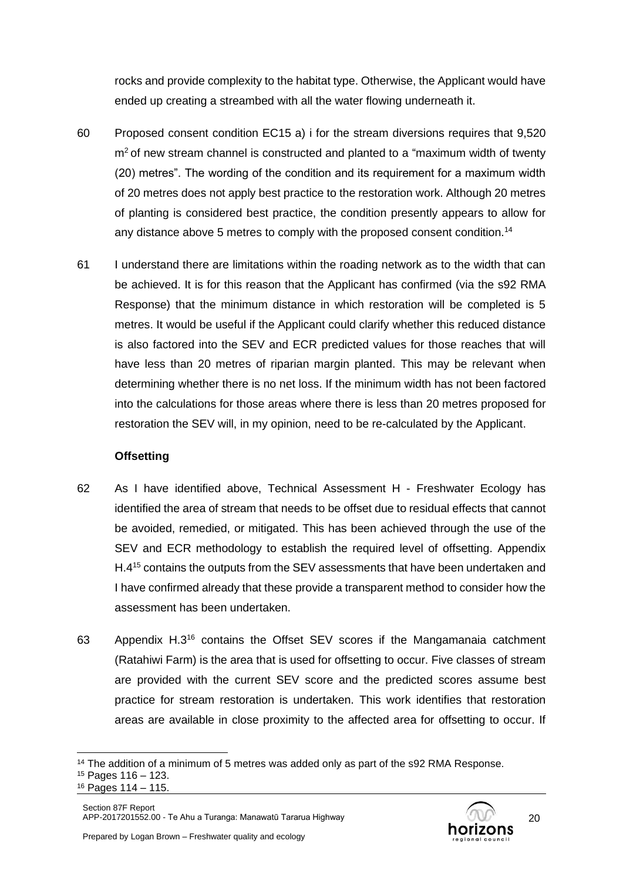rocks and provide complexity to the habitat type. Otherwise, the Applicant would have ended up creating a streambed with all the water flowing underneath it.

- 60 Proposed consent condition EC15 a) i for the stream diversions requires that 9,520  $m<sup>2</sup>$  of new stream channel is constructed and planted to a "maximum width of twenty (20) metres". The wording of the condition and its requirement for a maximum width of 20 metres does not apply best practice to the restoration work. Although 20 metres of planting is considered best practice, the condition presently appears to allow for any distance above 5 metres to comply with the proposed consent condition.<sup>14</sup>
- <span id="page-19-0"></span>61 I understand there are limitations within the roading network as to the width that can be achieved. It is for this reason that the Applicant has confirmed (via the s92 RMA Response) that the minimum distance in which restoration will be completed is 5 metres. It would be useful if the Applicant could clarify whether this reduced distance is also factored into the SEV and ECR predicted values for those reaches that will have less than 20 metres of riparian margin planted. This may be relevant when determining whether there is no net loss. If the minimum width has not been factored into the calculations for those areas where there is less than 20 metres proposed for restoration the SEV will, in my opinion, need to be re-calculated by the Applicant.

# **Offsetting**

- 62 As I have identified above, Technical Assessment H Freshwater Ecology has identified the area of stream that needs to be offset due to residual effects that cannot be avoided, remedied, or mitigated. This has been achieved through the use of the SEV and ECR methodology to establish the required level of offsetting. Appendix H.4<sup>15</sup> contains the outputs from the SEV assessments that have been undertaken and I have confirmed already that these provide a transparent method to consider how the assessment has been undertaken.
- 63 Appendix H.3<sup>16</sup> contains the Offset SEV scores if the Mangamanaia catchment (Ratahiwi Farm) is the area that is used for offsetting to occur. Five classes of stream are provided with the current SEV score and the predicted scores assume best practice for stream restoration is undertaken. This work identifies that restoration areas are available in close proximity to the affected area for offsetting to occur. If

<sup>&</sup>lt;sup>14</sup> The addition of a minimum of 5 metres was added only as part of the s92 RMA Response.

<sup>15</sup> Pages 116 – 123.

<sup>16</sup> Pages 114 – 115.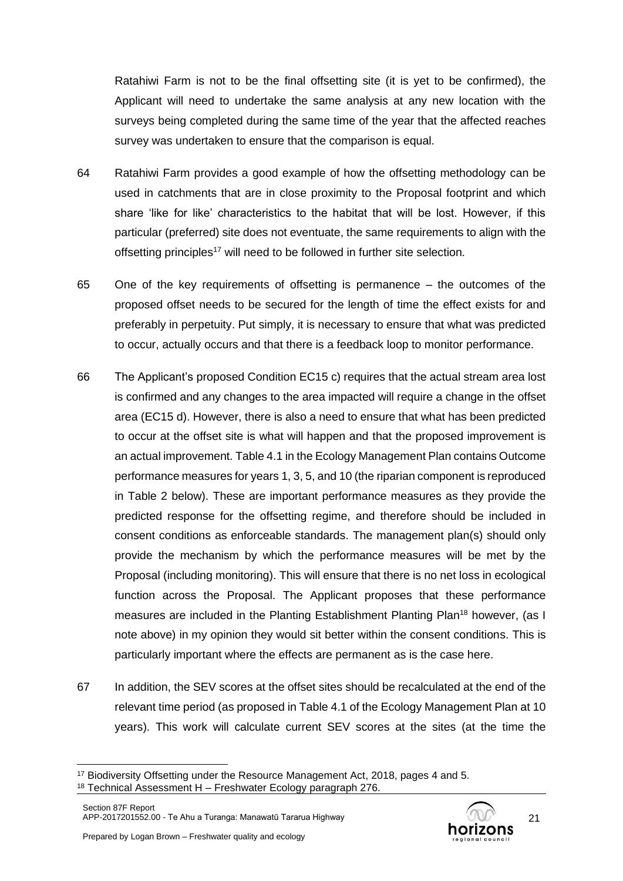Ratahiwi Farm is not to be the final offsetting site (it is yet to be confirmed), the Applicant will need to undertake the same analysis at any new location with the surveys being completed during the same time of the year that the affected reaches survey was undertaken to ensure that the comparison is equal.

- 64 Ratahiwi Farm provides a good example of how the offsetting methodology can be used in catchments that are in close proximity to the Proposal footprint and which share 'like for like' characteristics to the habitat that will be lost. However, if this particular (preferred) site does not eventuate, the same requirements to align with the offsetting principles<sup>17</sup> will need to be followed in further site selection.
- 65 One of the key requirements of offsetting is permanence the outcomes of the proposed offset needs to be secured for the length of time the effect exists for and preferably in perpetuity. Put simply, it is necessary to ensure that what was predicted to occur, actually occurs and that there is a feedback loop to monitor performance.
- 66 The Applicant's proposed Condition EC15 c) requires that the actual stream area lost is confirmed and any changes to the area impacted will require a change in the offset area (EC15 d). However, there is also a need to ensure that what has been predicted to occur at the offset site is what will happen and that the proposed improvement is an actual improvement. Table 4.1 in the Ecology Management Plan contains Outcome performance measures for years 1, 3, 5, and 10 (the riparian component is reproduced in [Table 2](#page-22-0) below). These are important performance measures as they provide the predicted response for the offsetting regime, and therefore should be included in consent conditions as enforceable standards. The management plan(s) should only provide the mechanism by which the performance measures will be met by the Proposal (including monitoring). This will ensure that there is no net loss in ecological function across the Proposal. The Applicant proposes that these performance measures are included in the Planting Establishment Planting Plan<sup>18</sup> however, (as I note above) in my opinion they would sit better within the consent conditions. This is particularly important where the effects are permanent as is the case here.
- <span id="page-20-0"></span>67 In addition, the SEV scores at the offset sites should be recalculated at the end of the relevant time period (as proposed in Table 4.1 of the Ecology Management Plan at 10 years). This work will calculate current SEV scores at the sites (at the time the



<sup>17</sup> Biodiversity Offsetting under the Resource Management Act, 2018, pages 4 and 5.

 $18$  Technical Assessment H – Freshwater Ecology paragraph 276.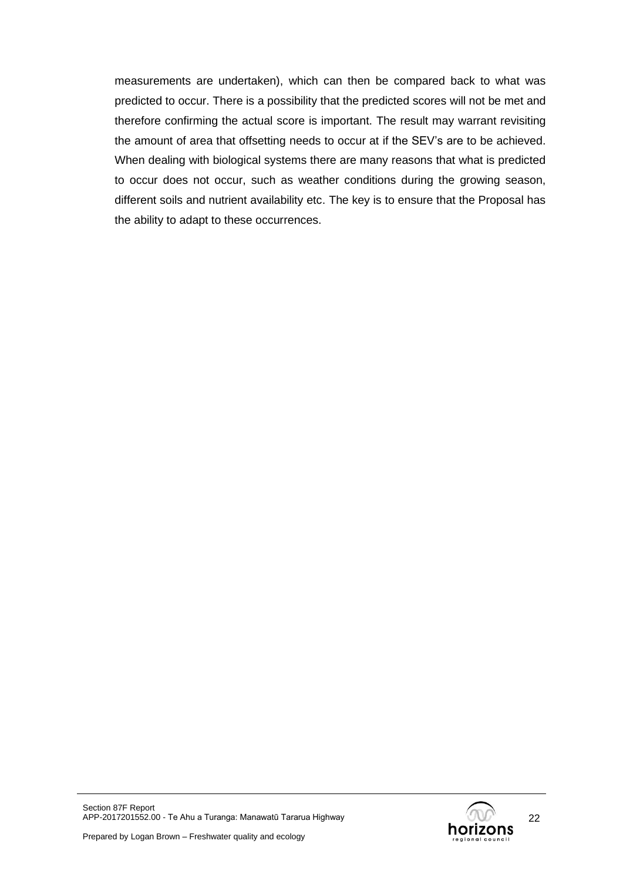measurements are undertaken), which can then be compared back to what was predicted to occur. There is a possibility that the predicted scores will not be met and therefore confirming the actual score is important. The result may warrant revisiting the amount of area that offsetting needs to occur at if the SEV's are to be achieved. When dealing with biological systems there are many reasons that what is predicted to occur does not occur, such as weather conditions during the growing season, different soils and nutrient availability etc. The key is to ensure that the Proposal has the ability to adapt to these occurrences.

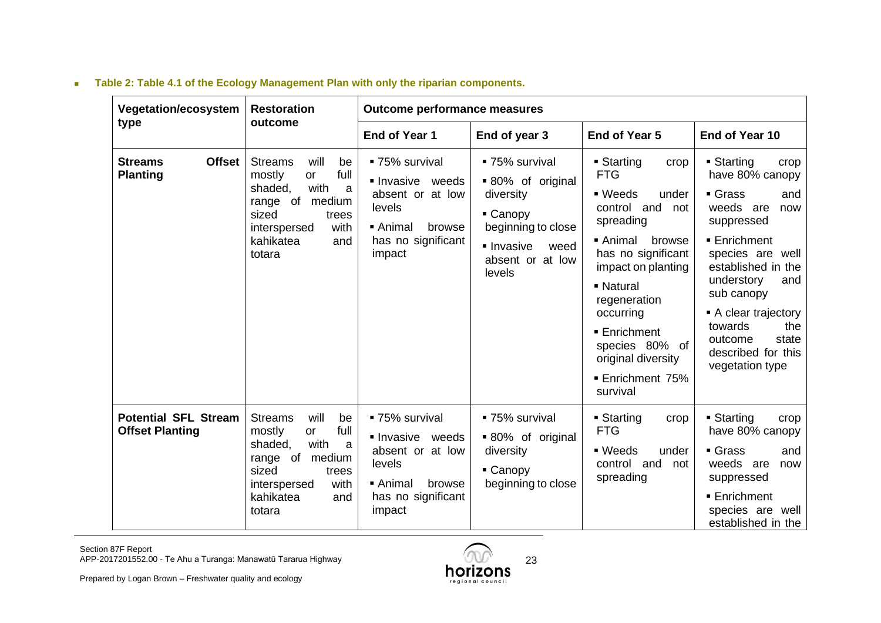| <b>Vegetation/ecosystem</b>                           | <b>Restoration</b>                                                                                                                                                         | <b>Outcome performance measures</b>                                                                                               |                                                                                                                                        |                                                                                                                                                                                                                                                                                                          |                                                                                                                                                                                                                                                                                                             |  |
|-------------------------------------------------------|----------------------------------------------------------------------------------------------------------------------------------------------------------------------------|-----------------------------------------------------------------------------------------------------------------------------------|----------------------------------------------------------------------------------------------------------------------------------------|----------------------------------------------------------------------------------------------------------------------------------------------------------------------------------------------------------------------------------------------------------------------------------------------------------|-------------------------------------------------------------------------------------------------------------------------------------------------------------------------------------------------------------------------------------------------------------------------------------------------------------|--|
| type                                                  | outcome                                                                                                                                                                    | End of Year 1                                                                                                                     | End of year 3                                                                                                                          | End of Year 5                                                                                                                                                                                                                                                                                            | End of Year 10                                                                                                                                                                                                                                                                                              |  |
| <b>Offset</b><br><b>Streams</b><br><b>Planting</b>    | <b>Streams</b><br>will<br>be<br>full<br>mostly<br>or<br>with<br>shaded,<br>a<br>medium<br>range of<br>sized<br>trees<br>with<br>interspersed<br>kahikatea<br>and<br>totara | ■ 75% survival<br>Invasive weeds<br>absent or at low<br>levels<br>■ Animal<br>browse<br>has no significant<br>impact              | ■ 75% survival<br>■ 80% of original<br>diversity<br>• Canopy<br>beginning to close<br>• Invasive<br>weed<br>absent or at low<br>levels | ■ Starting<br>crop<br><b>FTG</b><br>$\blacksquare$ Weeds<br>under<br>control and<br>not<br>spreading<br>■ Animal<br>browse<br>has no significant<br>impact on planting<br>- Natural<br>regeneration<br>occurring<br>■ Enrichment<br>species 80% of<br>original diversity<br>■ Enrichment 75%<br>survival | $\blacksquare$ Starting<br>crop<br>have 80% canopy<br>Grass<br>and<br>weeds are<br>now<br>suppressed<br><b>Enrichment</b><br>species are well<br>established in the<br>understory<br>and<br>sub canopy<br>A clear trajectory<br>towards<br>the<br>state<br>outcome<br>described for this<br>vegetation type |  |
| <b>Potential SFL Stream</b><br><b>Offset Planting</b> | will<br><b>Streams</b><br>be<br>full<br>mostly<br>or<br>with<br>shaded,<br>a<br>medium<br>range of<br>sized<br>trees<br>with<br>interspersed<br>kahikatea<br>and<br>totara | ■ 75% survival<br>Invasive weeds<br>absent or at low<br>levels<br>$\blacksquare$ Animal<br>browse<br>has no significant<br>impact | ■ 75% survival<br>■ 80% of original<br>diversity<br>• Canopy<br>beginning to close                                                     | $\blacksquare$ Starting<br>crop<br><b>FTG</b><br>■ Weeds<br>under<br>control and<br>not<br>spreading                                                                                                                                                                                                     | ■ Starting<br>crop<br>have 80% canopy<br>$\blacksquare$ Grass<br>and<br>weeds are<br>now<br>suppressed<br><b>Enrichment</b><br>species are well<br>established in the                                                                                                                                       |  |

# <sup>◼</sup> **Table 2: Table 4.1 of the Ecology Management Plan with only the riparian components.**

<span id="page-22-0"></span>Section 87F Report APP-2017201552.00 - Te Ahu a Turanga: Manawatū Tararua Highway

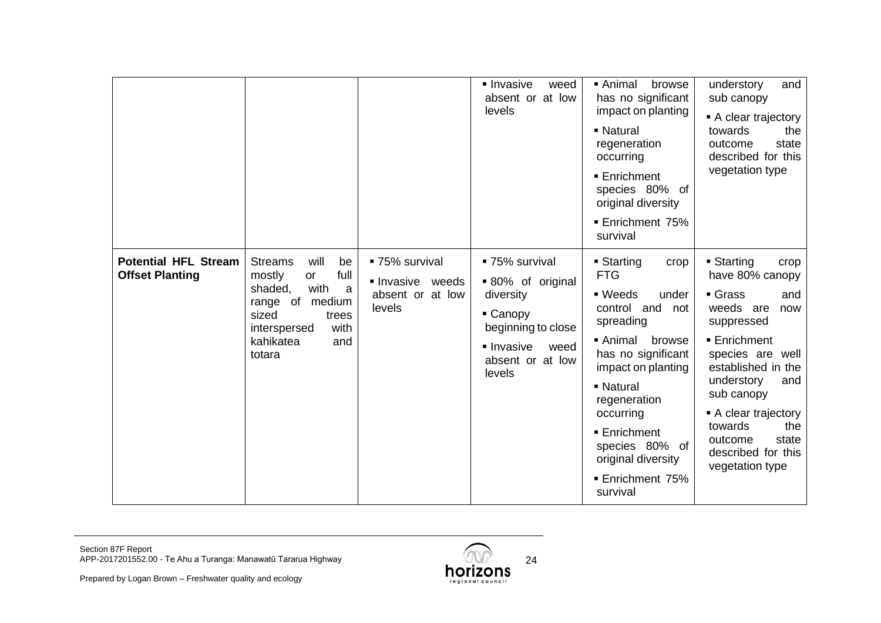|                                                       |                                                                                                                                                                                   |                                                                | lnvasive<br>weed<br>absent or at low<br>levels                                                                                       | ■ Animal<br>browse<br>has no significant<br>impact on planting<br>- Natural<br>regeneration<br>occurring<br>■ Enrichment<br>species 80% of<br>original diversity<br><b>Enrichment 75%</b><br>survival                                                                                         | and<br>understory<br>sub canopy<br>A clear trajectory<br>towards<br>the<br>state<br>outcome<br>described for this<br>vegetation type                                                                                                                                                                     |
|-------------------------------------------------------|-----------------------------------------------------------------------------------------------------------------------------------------------------------------------------------|----------------------------------------------------------------|--------------------------------------------------------------------------------------------------------------------------------------|-----------------------------------------------------------------------------------------------------------------------------------------------------------------------------------------------------------------------------------------------------------------------------------------------|----------------------------------------------------------------------------------------------------------------------------------------------------------------------------------------------------------------------------------------------------------------------------------------------------------|
| <b>Potential HFL Stream</b><br><b>Offset Planting</b> | will<br><b>Streams</b><br>be<br>full<br>mostly<br><b>or</b><br>with<br>shaded,<br>a<br>range of<br>medium<br>sized<br>trees<br>with<br>interspersed<br>kahikatea<br>and<br>totara | ■ 75% survival<br>Invasive weeds<br>absent or at low<br>levels | ■ 75% survival<br>■ 80% of original<br>diversity<br>• Canopy<br>beginning to close<br>lnvasive<br>weed<br>absent or at low<br>levels | ■ Starting<br>crop<br><b>FTG</b><br>■ Weeds<br>under<br>control and not<br>spreading<br>■ Animal<br>browse<br>has no significant<br>impact on planting<br>- Natural<br>regeneration<br>occurring<br>■ Enrichment<br>species 80% of<br>original diversity<br><b>Enrichment 75%</b><br>survival | $\blacksquare$ Starting<br>crop<br>have 80% canopy<br>Grass<br>and<br>weeds are<br>now<br>suppressed<br>■ Enrichment<br>species are well<br>established in the<br>understory<br>and<br>sub canopy<br>• A clear trajectory<br>towards<br>the<br>state<br>outcome<br>described for this<br>vegetation type |



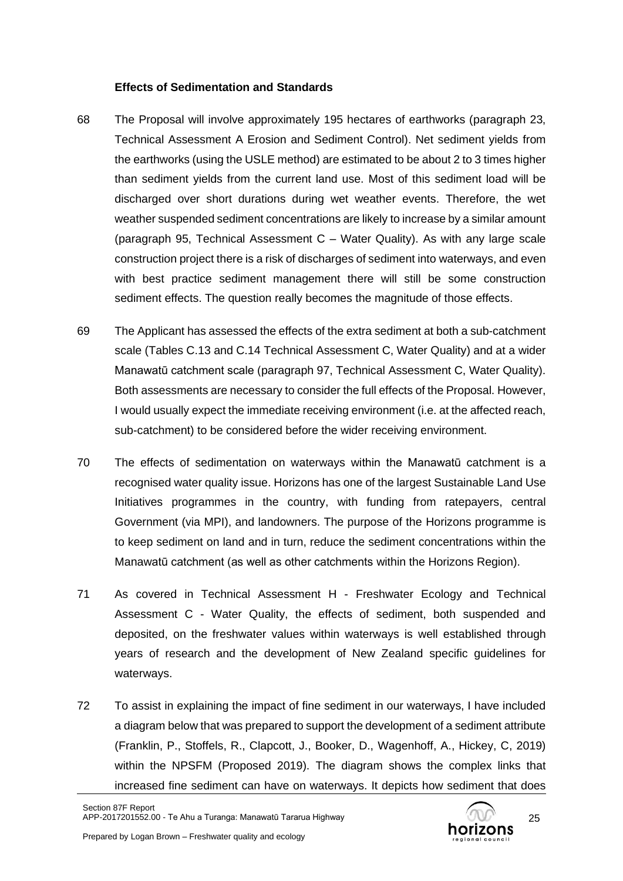#### **Effects of Sedimentation and Standards**

- 68 The Proposal will involve approximately 195 hectares of earthworks (paragraph 23, Technical Assessment A Erosion and Sediment Control). Net sediment yields from the earthworks (using the USLE method) are estimated to be about 2 to 3 times higher than sediment yields from the current land use. Most of this sediment load will be discharged over short durations during wet weather events. Therefore, the wet weather suspended sediment concentrations are likely to increase by a similar amount (paragraph 95, Technical Assessment C – Water Quality). As with any large scale construction project there is a risk of discharges of sediment into waterways, and even with best practice sediment management there will still be some construction sediment effects. The question really becomes the magnitude of those effects.
- 69 The Applicant has assessed the effects of the extra sediment at both a sub-catchment scale (Tables C.13 and C.14 Technical Assessment C, Water Quality) and at a wider Manawatū catchment scale (paragraph 97, Technical Assessment C, Water Quality). Both assessments are necessary to consider the full effects of the Proposal. However, I would usually expect the immediate receiving environment (i.e. at the affected reach, sub-catchment) to be considered before the wider receiving environment.
- 70 The effects of sedimentation on waterways within the Manawatū catchment is a recognised water quality issue. Horizons has one of the largest Sustainable Land Use Initiatives programmes in the country, with funding from ratepayers, central Government (via MPI), and landowners. The purpose of the Horizons programme is to keep sediment on land and in turn, reduce the sediment concentrations within the Manawatū catchment (as well as other catchments within the Horizons Region).
- 71 As covered in Technical Assessment H Freshwater Ecology and Technical Assessment C - Water Quality, the effects of sediment, both suspended and deposited, on the freshwater values within waterways is well established through years of research and the development of New Zealand specific guidelines for waterways.
- 72 To assist in explaining the impact of fine sediment in our waterways, I have included a diagram below that was prepared to support the development of a sediment attribute (Franklin, P., Stoffels, R., Clapcott, J., Booker, D., Wagenhoff, A., Hickey, C, 2019) within the NPSFM (Proposed 2019). The diagram shows the complex links that increased fine sediment can have on waterways. It depicts how sediment that does

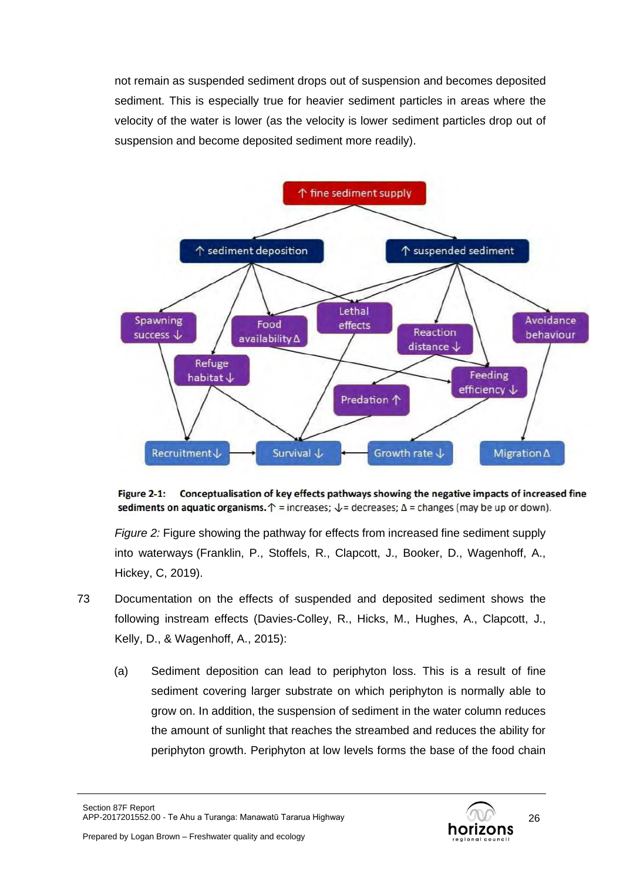not remain as suspended sediment drops out of suspension and becomes deposited sediment. This is especially true for heavier sediment particles in areas where the velocity of the water is lower (as the velocity is lower sediment particles drop out of suspension and become deposited sediment more readily).



Figure 2-1: Conceptualisation of key effects pathways showing the negative impacts of increased fine sediments on aquatic organisms.  $\uparrow$  = increases;  $\downarrow$  = decreases;  $\Delta$  = changes (may be up or down).

*Figure 2:* Figure showing the pathway for effects from increased fine sediment supply into waterways (Franklin, P., Stoffels, R., Clapcott, J., Booker, D., Wagenhoff, A., Hickey, C, 2019).

- 73 Documentation on the effects of suspended and deposited sediment shows the following instream effects (Davies-Colley, R., Hicks, M., Hughes, A., Clapcott, J., Kelly, D., & Wagenhoff, A., 2015):
	- (a) Sediment deposition can lead to periphyton loss. This is a result of fine sediment covering larger substrate on which periphyton is normally able to grow on. In addition, the suspension of sediment in the water column reduces the amount of sunlight that reaches the streambed and reduces the ability for periphyton growth. Periphyton at low levels forms the base of the food chain

Section 87F Report APP-2017201552.00 - Te Ahu a Turanga: Manawatū Tararua Highway

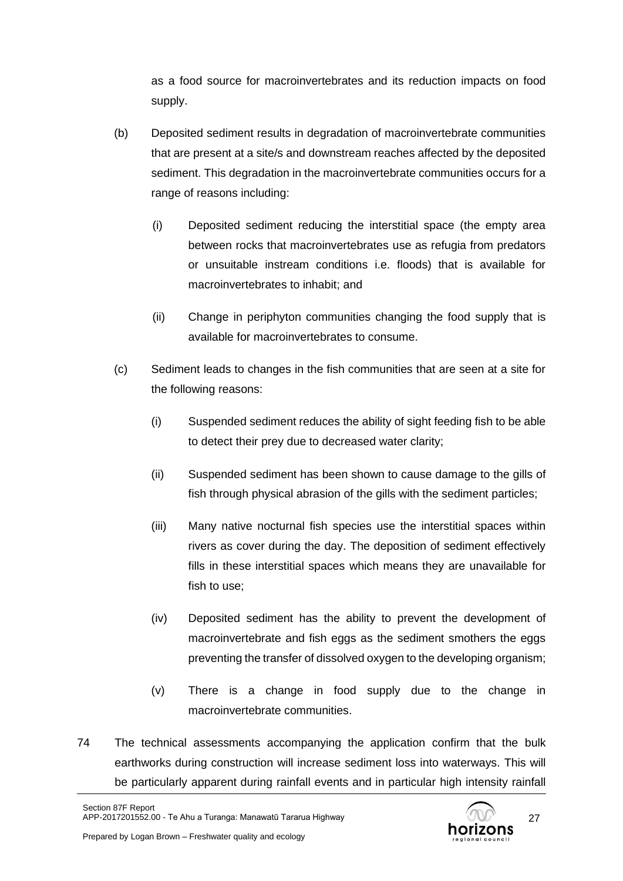as a food source for macroinvertebrates and its reduction impacts on food supply.

- (b) Deposited sediment results in degradation of macroinvertebrate communities that are present at a site/s and downstream reaches affected by the deposited sediment. This degradation in the macroinvertebrate communities occurs for a range of reasons including:
	- (i) Deposited sediment reducing the interstitial space (the empty area between rocks that macroinvertebrates use as refugia from predators or unsuitable instream conditions i.e. floods) that is available for macroinvertebrates to inhabit; and
	- (ii) Change in periphyton communities changing the food supply that is available for macroinvertebrates to consume.
- (c) Sediment leads to changes in the fish communities that are seen at a site for the following reasons:
	- (i) Suspended sediment reduces the ability of sight feeding fish to be able to detect their prey due to decreased water clarity;
	- (ii) Suspended sediment has been shown to cause damage to the gills of fish through physical abrasion of the gills with the sediment particles;
	- (iii) Many native nocturnal fish species use the interstitial spaces within rivers as cover during the day. The deposition of sediment effectively fills in these interstitial spaces which means they are unavailable for fish to use;
	- (iv) Deposited sediment has the ability to prevent the development of macroinvertebrate and fish eggs as the sediment smothers the eggs preventing the transfer of dissolved oxygen to the developing organism;
	- (v) There is a change in food supply due to the change in macroinvertebrate communities.
- 74 The technical assessments accompanying the application confirm that the bulk earthworks during construction will increase sediment loss into waterways. This will be particularly apparent during rainfall events and in particular high intensity rainfall

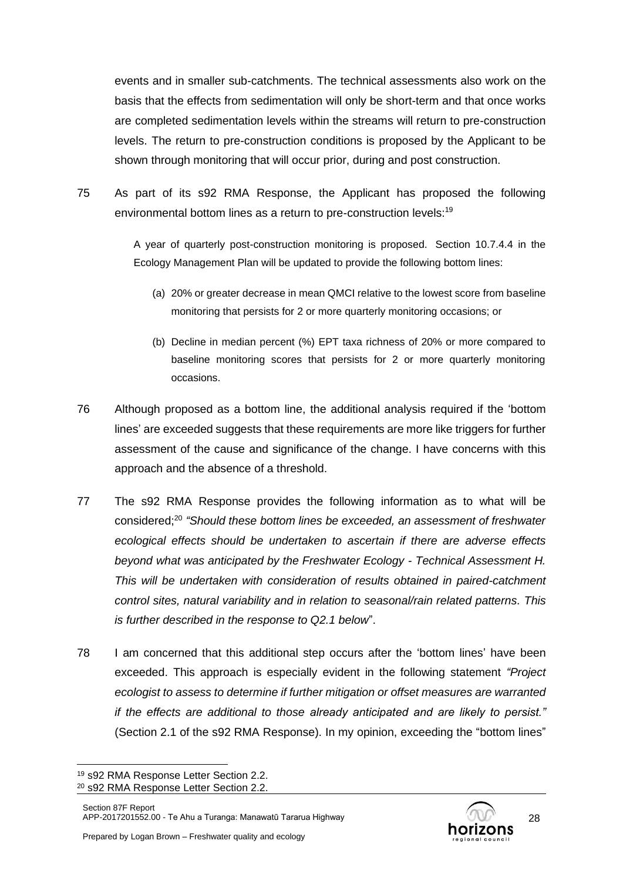events and in smaller sub-catchments. The technical assessments also work on the basis that the effects from sedimentation will only be short-term and that once works are completed sedimentation levels within the streams will return to pre-construction levels. The return to pre-construction conditions is proposed by the Applicant to be shown through monitoring that will occur prior, during and post construction.

75 As part of its s92 RMA Response, the Applicant has proposed the following environmental bottom lines as a return to pre-construction levels:<sup>19</sup>

> A year of quarterly post-construction monitoring is proposed. Section 10.7.4.4 in the Ecology Management Plan will be updated to provide the following bottom lines:

- (a) 20% or greater decrease in mean QMCI relative to the lowest score from baseline monitoring that persists for 2 or more quarterly monitoring occasions; or
- (b) Decline in median percent (%) EPT taxa richness of 20% or more compared to baseline monitoring scores that persists for 2 or more quarterly monitoring occasions.
- 76 Although proposed as a bottom line, the additional analysis required if the 'bottom lines' are exceeded suggests that these requirements are more like triggers for further assessment of the cause and significance of the change. I have concerns with this approach and the absence of a threshold.
- 77 The s92 RMA Response provides the following information as to what will be considered; 20 *"Should these bottom lines be exceeded, an assessment of freshwater ecological effects should be undertaken to ascertain if there are adverse effects beyond what was anticipated by the Freshwater Ecology - Technical Assessment H. This will be undertaken with consideration of results obtained in paired-catchment control sites, natural variability and in relation to seasonal/rain related patterns. This is further described in the response to Q2.1 below*".
- 78 I am concerned that this additional step occurs after the 'bottom lines' have been exceeded. This approach is especially evident in the following statement *"Project ecologist to assess to determine if further mitigation or offset measures are warranted if the effects are additional to those already anticipated and are likely to persist."* (Section 2.1 of the s92 RMA Response). In my opinion, exceeding the "bottom lines"



<sup>19</sup> s92 RMA Response Letter Section 2.2.

<sup>20</sup> s92 RMA Response Letter Section 2.2.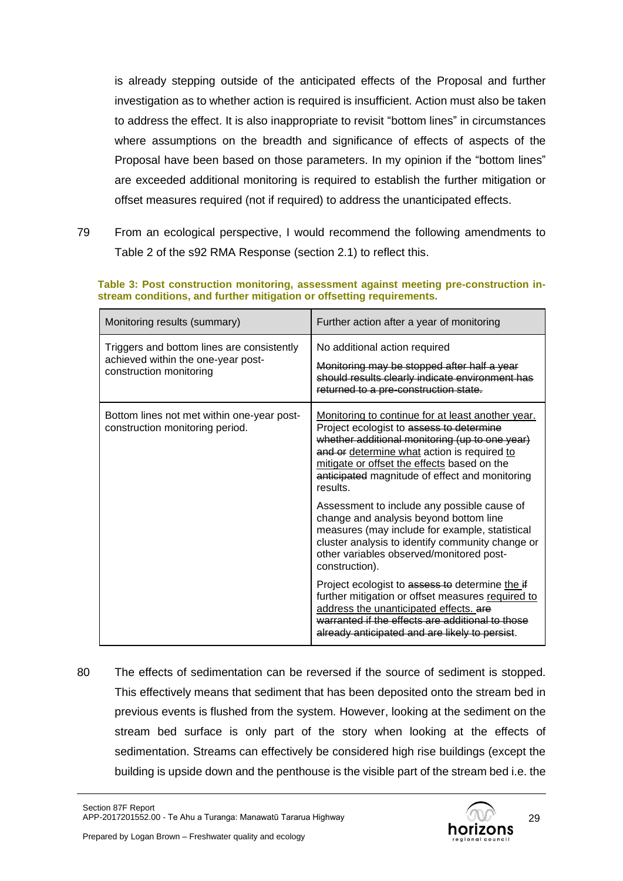is already stepping outside of the anticipated effects of the Proposal and further investigation as to whether action is required is insufficient. Action must also be taken to address the effect. It is also inappropriate to revisit "bottom lines" in circumstances where assumptions on the breadth and significance of effects of aspects of the Proposal have been based on those parameters. In my opinion if the "bottom lines" are exceeded additional monitoring is required to establish the further mitigation or offset measures required (not if required) to address the unanticipated effects.

79 From an ecological perspective, I would recommend the following amendments to Table 2 of the s92 RMA Response (section 2.1) to reflect this.

| Monitoring results (summary)                                                                                | Further action after a year of monitoring                                                                                                                                                                                                                                                                   |
|-------------------------------------------------------------------------------------------------------------|-------------------------------------------------------------------------------------------------------------------------------------------------------------------------------------------------------------------------------------------------------------------------------------------------------------|
| Triggers and bottom lines are consistently<br>achieved within the one-year post-<br>construction monitoring | No additional action required<br>Monitoring may be stopped after half a year<br>should results clearly indicate environment has<br>returned to a pre-construction state.                                                                                                                                    |
| Bottom lines not met within one-year post-<br>construction monitoring period.                               | Monitoring to continue for at least another year.<br>Project ecologist to assess to determine<br>whether additional monitoring (up to one year)<br>and or determine what action is required to<br>mitigate or offset the effects based on the<br>anticipated magnitude of effect and monitoring<br>results. |
|                                                                                                             | Assessment to include any possible cause of<br>change and analysis beyond bottom line<br>measures (may include for example, statistical<br>cluster analysis to identify community change or<br>other variables observed/monitored post-<br>construction).                                                   |
|                                                                                                             | Project ecologist to assess to determine the if<br>further mitigation or offset measures required to<br>address the unanticipated effects. are<br>warranted if the effects are additional to those<br>already anticipated and are likely to persist.                                                        |

**Table 3: Post construction monitoring, assessment against meeting pre-construction instream conditions, and further mitigation or offsetting requirements.**

80 The effects of sedimentation can be reversed if the source of sediment is stopped. This effectively means that sediment that has been deposited onto the stream bed in previous events is flushed from the system. However, looking at the sediment on the stream bed surface is only part of the story when looking at the effects of sedimentation. Streams can effectively be considered high rise buildings (except the building is upside down and the penthouse is the visible part of the stream bed i.e. the

Section 87F Report APP-2017201552.00 - Te Ahu a Turanga: Manawatū Tararua Highway

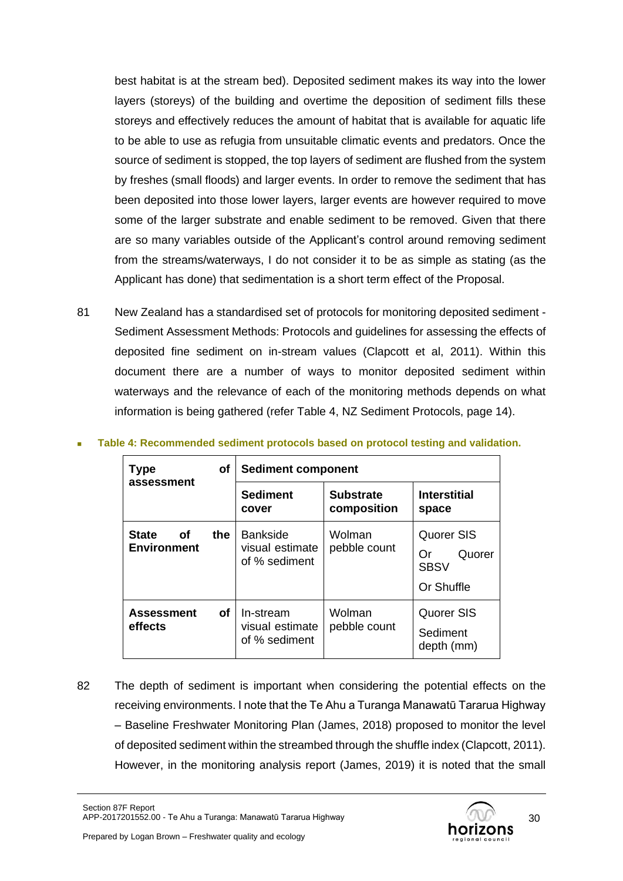best habitat is at the stream bed). Deposited sediment makes its way into the lower layers (storeys) of the building and overtime the deposition of sediment fills these storeys and effectively reduces the amount of habitat that is available for aquatic life to be able to use as refugia from unsuitable climatic events and predators. Once the source of sediment is stopped, the top layers of sediment are flushed from the system by freshes (small floods) and larger events. In order to remove the sediment that has been deposited into those lower layers, larger events are however required to move some of the larger substrate and enable sediment to be removed. Given that there are so many variables outside of the Applicant's control around removing sediment from the streams/waterways, I do not consider it to be as simple as stating (as the Applicant has done) that sedimentation is a short term effect of the Proposal.

81 New Zealand has a standardised set of protocols for monitoring deposited sediment - Sediment Assessment Methods: Protocols and guidelines for assessing the effects of deposited fine sediment on in-stream values (Clapcott et al, 2011). Within this document there are a number of ways to monitor deposited sediment within waterways and the relevance of each of the monitoring methods depends on what information is being gathered (refer [Table 4,](#page-29-0) NZ Sediment Protocols, page 14).

| <b>Type</b>                              | оf        | <b>Sediment component</b>                           |                                 |                                                         |  |
|------------------------------------------|-----------|-----------------------------------------------------|---------------------------------|---------------------------------------------------------|--|
| assessment                               |           | <b>Sediment</b><br>cover                            | <b>Substrate</b><br>composition | <b>Interstitial</b><br>space                            |  |
| <b>State</b><br>Οf<br><b>Environment</b> | the       | <b>Bankside</b><br>visual estimate<br>of % sediment | Wolman<br>pebble count          | Quorer SIS<br>Quorer<br>Or<br><b>SBSV</b><br>Or Shuffle |  |
| <b>Assessment</b><br>effects             | <b>of</b> | In-stream<br>visual estimate<br>of % sediment       | Wolman<br>pebble count          | Quorer SIS<br>Sediment<br>depth (mm)                    |  |

<span id="page-29-0"></span><sup>◼</sup> **Table 4: Recommended sediment protocols based on protocol testing and validation.**

82 The depth of sediment is important when considering the potential effects on the receiving environments. I note that the Te Ahu a Turanga Manawatū Tararua Highway – Baseline Freshwater Monitoring Plan (James, 2018) proposed to monitor the level of deposited sediment within the streambed through the shuffle index (Clapcott, 2011). However, in the monitoring analysis report (James, 2019) it is noted that the small

Section 87F Report APP-2017201552.00 - Te Ahu a Turanga: Manawatū Tararua Highway

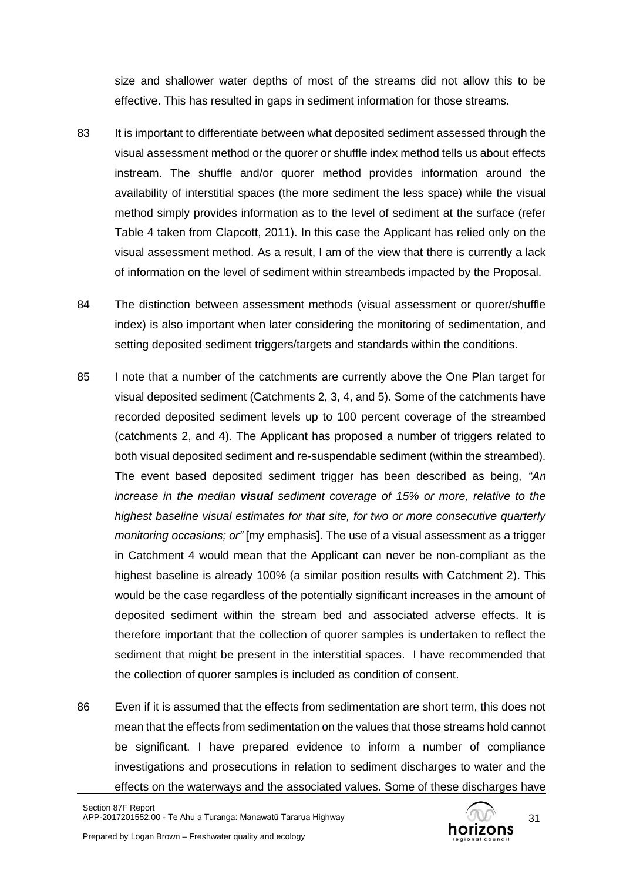size and shallower water depths of most of the streams did not allow this to be effective. This has resulted in gaps in sediment information for those streams.

- 83 It is important to differentiate between what deposited sediment assessed through the visual assessment method or the quorer or shuffle index method tells us about effects instream. The shuffle and/or quorer method provides information around the availability of interstitial spaces (the more sediment the less space) while the visual method simply provides information as to the level of sediment at the surface (refer [Table 4](#page-29-0) taken from Clapcott, 2011). In this case the Applicant has relied only on the visual assessment method. As a result, I am of the view that there is currently a lack of information on the level of sediment within streambeds impacted by the Proposal.
- 84 The distinction between assessment methods (visual assessment or quorer/shuffle index) is also important when later considering the monitoring of sedimentation, and setting deposited sediment triggers/targets and standards within the conditions.
- 85 I note that a number of the catchments are currently above the One Plan target for visual deposited sediment (Catchments 2, 3, 4, and 5). Some of the catchments have recorded deposited sediment levels up to 100 percent coverage of the streambed (catchments 2, and 4). The Applicant has proposed a number of triggers related to both visual deposited sediment and re-suspendable sediment (within the streambed). The event based deposited sediment trigger has been described as being, *"An increase in the median visual sediment coverage of 15% or more, relative to the highest baseline visual estimates for that site, for two or more consecutive quarterly monitoring occasions; or"* [my emphasis]. The use of a visual assessment as a trigger in Catchment 4 would mean that the Applicant can never be non-compliant as the highest baseline is already 100% (a similar position results with Catchment 2). This would be the case regardless of the potentially significant increases in the amount of deposited sediment within the stream bed and associated adverse effects. It is therefore important that the collection of quorer samples is undertaken to reflect the sediment that might be present in the interstitial spaces. I have recommended that the collection of quorer samples is included as condition of consent.
- <span id="page-30-0"></span>86 Even if it is assumed that the effects from sedimentation are short term, this does not mean that the effects from sedimentation on the values that those streams hold cannot be significant. I have prepared evidence to inform a number of compliance investigations and prosecutions in relation to sediment discharges to water and the effects on the waterways and the associated values. Some of these discharges have

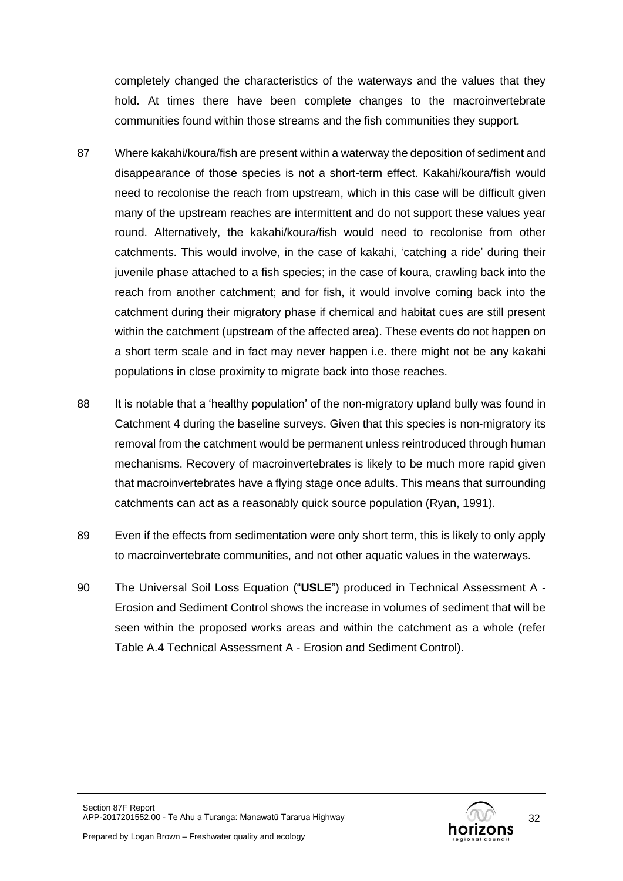completely changed the characteristics of the waterways and the values that they hold. At times there have been complete changes to the macroinvertebrate communities found within those streams and the fish communities they support.

- 87 Where kakahi/koura/fish are present within a waterway the deposition of sediment and disappearance of those species is not a short-term effect. Kakahi/koura/fish would need to recolonise the reach from upstream, which in this case will be difficult given many of the upstream reaches are intermittent and do not support these values year round. Alternatively, the kakahi/koura/fish would need to recolonise from other catchments. This would involve, in the case of kakahi, 'catching a ride' during their juvenile phase attached to a fish species; in the case of koura, crawling back into the reach from another catchment; and for fish, it would involve coming back into the catchment during their migratory phase if chemical and habitat cues are still present within the catchment (upstream of the affected area). These events do not happen on a short term scale and in fact may never happen i.e. there might not be any kakahi populations in close proximity to migrate back into those reaches.
- 88 It is notable that a 'healthy population' of the non-migratory upland bully was found in Catchment 4 during the baseline surveys. Given that this species is non-migratory its removal from the catchment would be permanent unless reintroduced through human mechanisms. Recovery of macroinvertebrates is likely to be much more rapid given that macroinvertebrates have a flying stage once adults. This means that surrounding catchments can act as a reasonably quick source population (Ryan, 1991).
- 89 Even if the effects from sedimentation were only short term, this is likely to only apply to macroinvertebrate communities, and not other aquatic values in the waterways.
- 90 The Universal Soil Loss Equation ("**USLE**") produced in Technical Assessment A Erosion and Sediment Control shows the increase in volumes of sediment that will be seen within the proposed works areas and within the catchment as a whole (refer Table A.4 Technical Assessment A - Erosion and Sediment Control).

32

Prepared by Logan Brown – Freshwater quality and ecology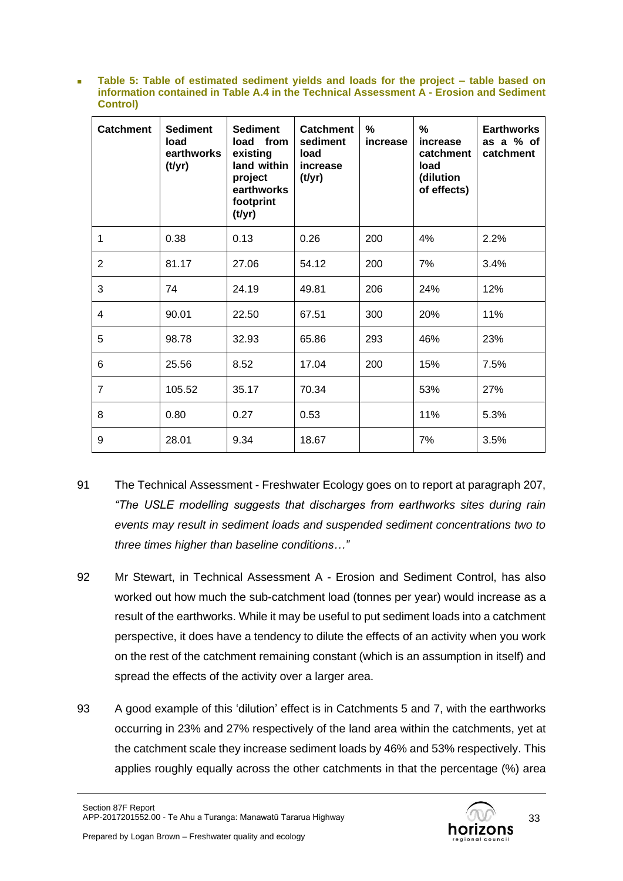■ Table 5: Table of estimated sediment yields and loads for the project – table based on **information contained in Table A.4 in the Technical Assessment A - Erosion and Sediment Control)**

| <b>Catchment</b> | <b>Sediment</b><br>load<br>earthworks<br>(t/yr) | <b>Sediment</b><br>load from<br>existing<br>land within<br>project<br>earthworks<br>footprint<br>(t/yr) | <b>Catchment</b><br>sediment<br>load<br>increase<br>(t/yr) | $\%$<br>increase | %<br>increase<br>catchment<br>load<br>(dilution<br>of effects) | <b>Earthworks</b><br>as a % of<br>catchment |
|------------------|-------------------------------------------------|---------------------------------------------------------------------------------------------------------|------------------------------------------------------------|------------------|----------------------------------------------------------------|---------------------------------------------|
| 1                | 0.38                                            | 0.13                                                                                                    | 0.26                                                       | 200              | 4%                                                             | 2.2%                                        |
| $\overline{2}$   | 81.17                                           | 27.06                                                                                                   | 54.12                                                      | 200              | 7%                                                             | 3.4%                                        |
| 3                | 74                                              | 24.19                                                                                                   | 49.81                                                      | 206              | 24%                                                            | 12%                                         |
| 4                | 90.01                                           | 22.50                                                                                                   | 67.51                                                      | 300              | 20%                                                            | 11%                                         |
| 5                | 98.78                                           | 32.93                                                                                                   | 65.86                                                      | 293              | 46%                                                            | 23%                                         |
| 6                | 25.56                                           | 8.52                                                                                                    | 17.04                                                      | 200              | 15%                                                            | 7.5%                                        |
| $\overline{7}$   | 105.52                                          | 35.17                                                                                                   | 70.34                                                      |                  | 53%                                                            | 27%                                         |
| 8                | 0.80                                            | 0.27                                                                                                    | 0.53                                                       |                  | 11%                                                            | 5.3%                                        |
| 9                | 28.01                                           | 9.34                                                                                                    | 18.67                                                      |                  | 7%                                                             | 3.5%                                        |

- 91 The Technical Assessment Freshwater Ecology goes on to report at paragraph 207, *"The USLE modelling suggests that discharges from earthworks sites during rain events may result in sediment loads and suspended sediment concentrations two to three times higher than baseline conditions…"*
- 92 Mr Stewart, in Technical Assessment A Erosion and Sediment Control, has also worked out how much the sub-catchment load (tonnes per year) would increase as a result of the earthworks. While it may be useful to put sediment loads into a catchment perspective, it does have a tendency to dilute the effects of an activity when you work on the rest of the catchment remaining constant (which is an assumption in itself) and spread the effects of the activity over a larger area.
- 93 A good example of this 'dilution' effect is in Catchments 5 and 7, with the earthworks occurring in 23% and 27% respectively of the land area within the catchments, yet at the catchment scale they increase sediment loads by 46% and 53% respectively. This applies roughly equally across the other catchments in that the percentage (%) area

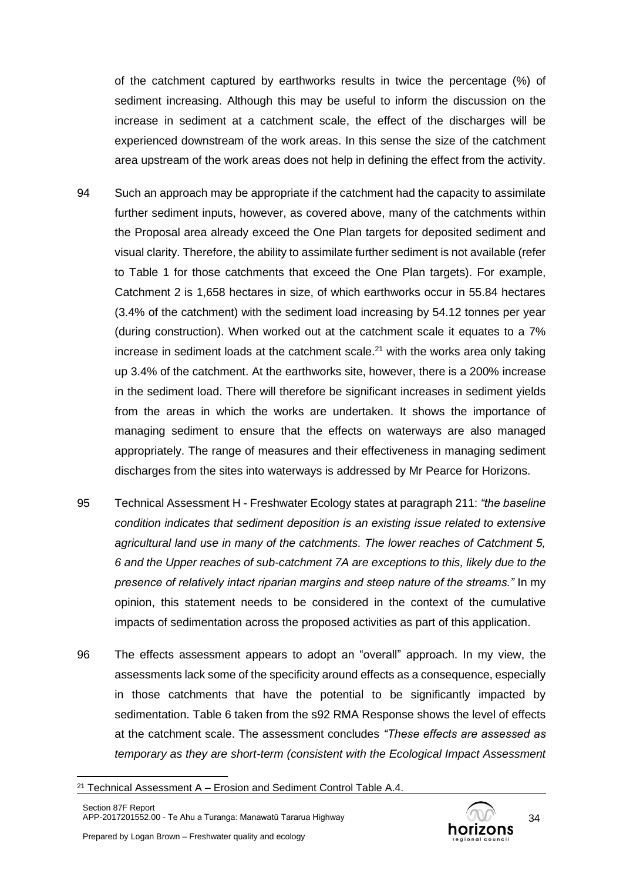of the catchment captured by earthworks results in twice the percentage (%) of sediment increasing. Although this may be useful to inform the discussion on the increase in sediment at a catchment scale, the effect of the discharges will be experienced downstream of the work areas. In this sense the size of the catchment area upstream of the work areas does not help in defining the effect from the activity.

- 94 Such an approach may be appropriate if the catchment had the capacity to assimilate further sediment inputs, however, as covered above, many of the catchments within the Proposal area already exceed the One Plan targets for deposited sediment and visual clarity. Therefore, the ability to assimilate further sediment is not available (refer to [Table 1](#page-10-0) for those catchments that exceed the One Plan targets). For example, Catchment 2 is 1,658 hectares in size, of which earthworks occur in 55.84 hectares (3.4% of the catchment) with the sediment load increasing by 54.12 tonnes per year (during construction). When worked out at the catchment scale it equates to a 7% increase in sediment loads at the catchment scale. $21$  with the works area only taking up 3.4% of the catchment. At the earthworks site, however, there is a 200% increase in the sediment load. There will therefore be significant increases in sediment yields from the areas in which the works are undertaken. It shows the importance of managing sediment to ensure that the effects on waterways are also managed appropriately. The range of measures and their effectiveness in managing sediment discharges from the sites into waterways is addressed by Mr Pearce for Horizons.
- 95 Technical Assessment H Freshwater Ecology states at paragraph 211: *"the baseline condition indicates that sediment deposition is an existing issue related to extensive agricultural land use in many of the catchments. The lower reaches of Catchment 5, 6 and the Upper reaches of sub-catchment 7A are exceptions to this, likely due to the presence of relatively intact riparian margins and steep nature of the streams."* In my opinion, this statement needs to be considered in the context of the cumulative impacts of sedimentation across the proposed activities as part of this application.
- 96 The effects assessment appears to adopt an "overall" approach. In my view, the assessments lack some of the specificity around effects as a consequence, especially in those catchments that have the potential to be significantly impacted by sedimentation. [Table 6](#page-49-0) taken from the s92 RMA Response shows the level of effects at the catchment scale. The assessment concludes *"These effects are assessed as temporary as they are short-term (consistent with the Ecological Impact Assessment*



 $21$  Technical Assessment A – Erosion and Sediment Control Table A.4.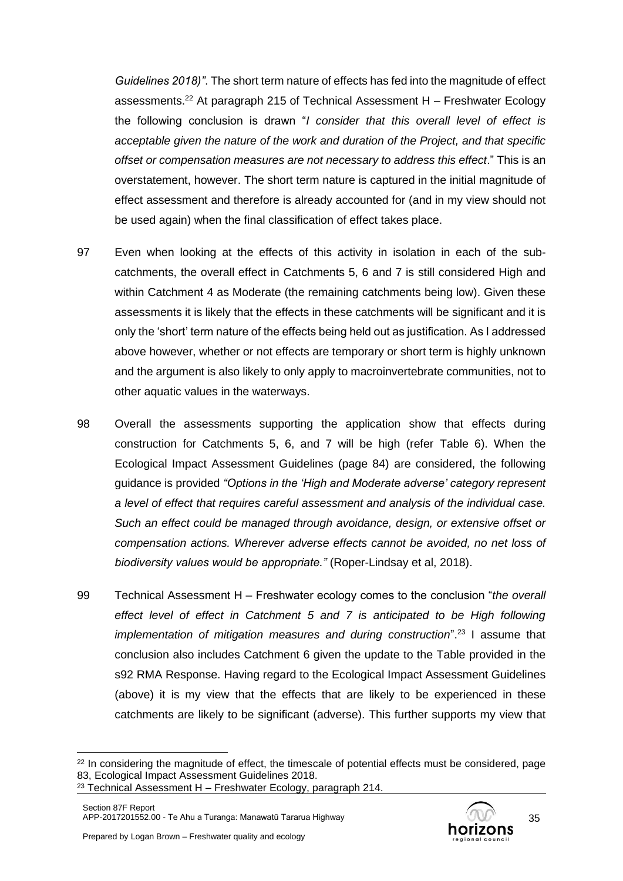*Guidelines 2018)"*. The short term nature of effects has fed into the magnitude of effect assessments. <sup>22</sup> At paragraph 215 of Technical Assessment H – Freshwater Ecology the following conclusion is drawn "*I consider that this overall level of effect is acceptable given the nature of the work and duration of the Project, and that specific offset or compensation measures are not necessary to address this effect*." This is an overstatement, however. The short term nature is captured in the initial magnitude of effect assessment and therefore is already accounted for (and in my view should not be used again) when the final classification of effect takes place.

- 97 Even when looking at the effects of this activity in isolation in each of the subcatchments, the overall effect in Catchments 5, 6 and 7 is still considered High and within Catchment 4 as Moderate (the remaining catchments being low). Given these assessments it is likely that the effects in these catchments will be significant and it is only the 'short' term nature of the effects being held out as justification. As I addressed above however, whether or not effects are temporary or short term is highly unknown and the argument is also likely to only apply to macroinvertebrate communities, not to other aquatic values in the waterways.
- 98 Overall the assessments supporting the application show that effects during construction for Catchments 5, 6, and 7 will be high (refer [Table 6\)](#page-49-0). When the Ecological Impact Assessment Guidelines (page 84) are considered, the following guidance is provided *"Options in the 'High and Moderate adverse' category represent a level of effect that requires careful assessment and analysis of the individual case. Such an effect could be managed through avoidance, design, or extensive offset or compensation actions. Wherever adverse effects cannot be avoided, no net loss of biodiversity values would be appropriate."* (Roper-Lindsay et al, 2018).
- 99 Technical Assessment H Freshwater ecology comes to the conclusion "*the overall effect level of effect in Catchment 5 and 7 is anticipated to be High following implementation of mitigation measures and during construction*". <sup>23</sup> I assume that conclusion also includes Catchment 6 given the update to the Table provided in the s92 RMA Response. Having regard to the Ecological Impact Assessment Guidelines (above) it is my view that the effects that are likely to be experienced in these catchments are likely to be significant (adverse). This further supports my view that



<sup>&</sup>lt;sup>22</sup> In considering the magnitude of effect, the timescale of potential effects must be considered, page 83, Ecological Impact Assessment Guidelines 2018.

 $23$  Technical Assessment H - Freshwater Ecology, paragraph 214.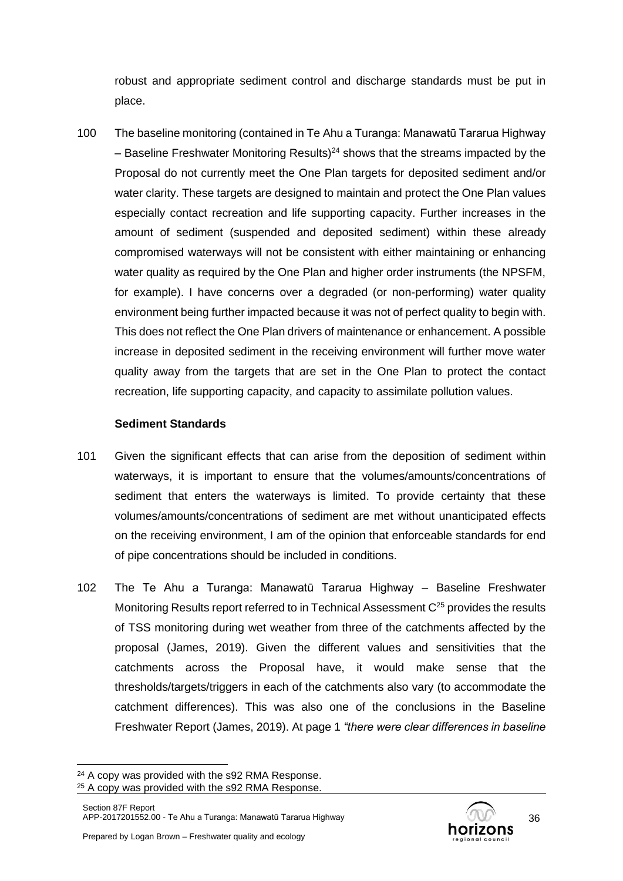robust and appropriate sediment control and discharge standards must be put in place.

100 The baseline monitoring (contained in Te Ahu a Turanga: Manawatū Tararua Highway – Baseline Freshwater Monitoring Results)<sup>24</sup> shows that the streams impacted by the Proposal do not currently meet the One Plan targets for deposited sediment and/or water clarity. These targets are designed to maintain and protect the One Plan values especially contact recreation and life supporting capacity. Further increases in the amount of sediment (suspended and deposited sediment) within these already compromised waterways will not be consistent with either maintaining or enhancing water quality as required by the One Plan and higher order instruments (the NPSFM, for example). I have concerns over a degraded (or non-performing) water quality environment being further impacted because it was not of perfect quality to begin with. This does not reflect the One Plan drivers of maintenance or enhancement. A possible increase in deposited sediment in the receiving environment will further move water quality away from the targets that are set in the One Plan to protect the contact recreation, life supporting capacity, and capacity to assimilate pollution values.

### **Sediment Standards**

- 101 Given the significant effects that can arise from the deposition of sediment within waterways, it is important to ensure that the volumes/amounts/concentrations of sediment that enters the waterways is limited. To provide certainty that these volumes/amounts/concentrations of sediment are met without unanticipated effects on the receiving environment, I am of the opinion that enforceable standards for end of pipe concentrations should be included in conditions.
- 102 The Te Ahu a Turanga: Manawatū Tararua Highway Baseline Freshwater Monitoring Results report referred to in Technical Assessment  $C^{25}$  provides the results of TSS monitoring during wet weather from three of the catchments affected by the proposal (James, 2019). Given the different values and sensitivities that the catchments across the Proposal have, it would make sense that the thresholds/targets/triggers in each of the catchments also vary (to accommodate the catchment differences). This was also one of the conclusions in the Baseline Freshwater Report (James, 2019). At page 1 *"there were clear differences in baseline*



<sup>&</sup>lt;sup>24</sup> A copy was provided with the s92 RMA Response.

<sup>&</sup>lt;sup>25</sup> A copy was provided with the s92 RMA Response.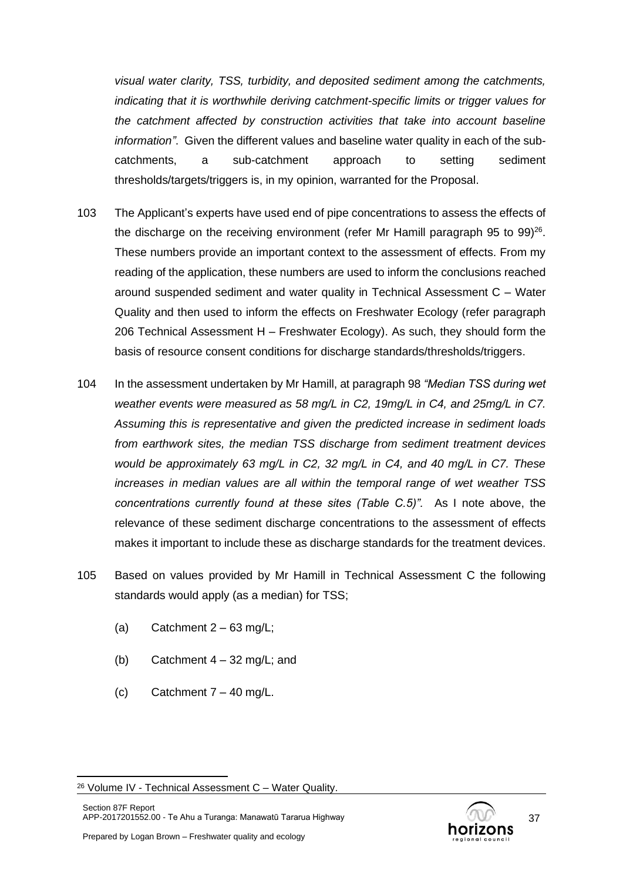*visual water clarity, TSS, turbidity, and deposited sediment among the catchments, indicating that it is worthwhile deriving catchment-specific limits or trigger values for the catchment affected by construction activities that take into account baseline information"*. Given the different values and baseline water quality in each of the subcatchments, a sub-catchment approach to setting sediment thresholds/targets/triggers is, in my opinion, warranted for the Proposal.

- 103 The Applicant's experts have used end of pipe concentrations to assess the effects of the discharge on the receiving environment (refer Mr Hamill paragraph 95 to 99)<sup>26</sup>. These numbers provide an important context to the assessment of effects. From my reading of the application, these numbers are used to inform the conclusions reached around suspended sediment and water quality in Technical Assessment C – Water Quality and then used to inform the effects on Freshwater Ecology (refer paragraph 206 Technical Assessment H – Freshwater Ecology). As such, they should form the basis of resource consent conditions for discharge standards/thresholds/triggers.
- 104 In the assessment undertaken by Mr Hamill, at paragraph 98 *"Median TSS during wet weather events were measured as 58 mg/L in C2, 19mg/L in C4, and 25mg/L in C7. Assuming this is representative and given the predicted increase in sediment loads from earthwork sites, the median TSS discharge from sediment treatment devices would be approximately 63 mg/L in C2, 32 mg/L in C4, and 40 mg/L in C7. These increases in median values are all within the temporal range of wet weather TSS concentrations currently found at these sites (Table C.5)".* As I note above, the relevance of these sediment discharge concentrations to the assessment of effects makes it important to include these as discharge standards for the treatment devices.
- 105 Based on values provided by Mr Hamill in Technical Assessment C the following standards would apply (as a median) for TSS;
	- (a) Catchment  $2 63$  mg/L;
	- (b) Catchment  $4 32$  mg/L; and
	- (c) Catchment  $7 40$  mg/L.

<span id="page-36-0"></span>

<sup>26</sup> Volume IV - Technical Assessment C – Water Quality.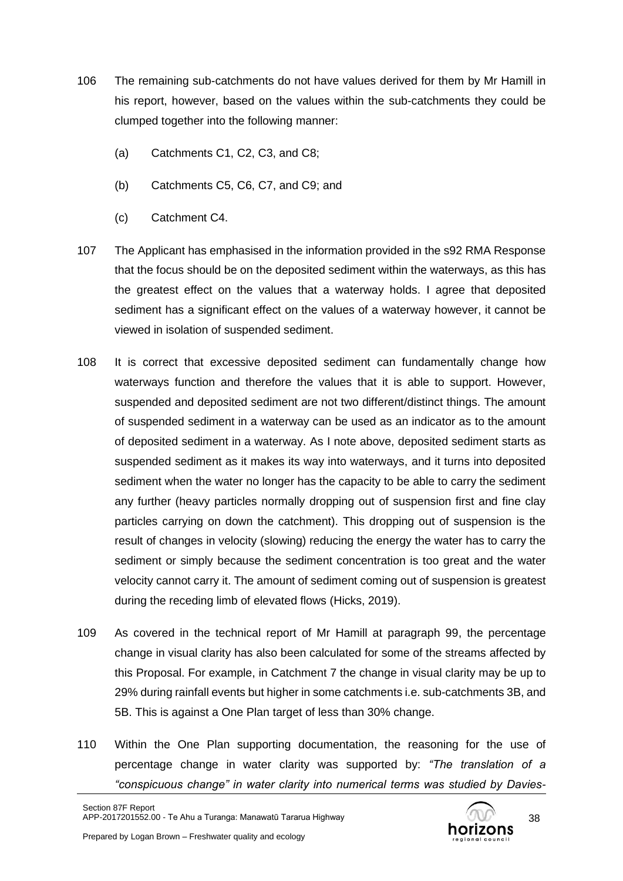- <span id="page-37-0"></span>106 The remaining sub-catchments do not have values derived for them by Mr Hamill in his report, however, based on the values within the sub-catchments they could be clumped together into the following manner:
	- (a) Catchments C1, C2, C3, and C8;
	- (b) Catchments C5, C6, C7, and C9; and
	- (c) Catchment C4.
- 107 The Applicant has emphasised in the information provided in the s92 RMA Response that the focus should be on the deposited sediment within the waterways, as this has the greatest effect on the values that a waterway holds. I agree that deposited sediment has a significant effect on the values of a waterway however, it cannot be viewed in isolation of suspended sediment.
- 108 It is correct that excessive deposited sediment can fundamentally change how waterways function and therefore the values that it is able to support. However, suspended and deposited sediment are not two different/distinct things. The amount of suspended sediment in a waterway can be used as an indicator as to the amount of deposited sediment in a waterway. As I note above, deposited sediment starts as suspended sediment as it makes its way into waterways, and it turns into deposited sediment when the water no longer has the capacity to be able to carry the sediment any further (heavy particles normally dropping out of suspension first and fine clay particles carrying on down the catchment). This dropping out of suspension is the result of changes in velocity (slowing) reducing the energy the water has to carry the sediment or simply because the sediment concentration is too great and the water velocity cannot carry it. The amount of sediment coming out of suspension is greatest during the receding limb of elevated flows (Hicks, 2019).
- 109 As covered in the technical report of Mr Hamill at paragraph 99, the percentage change in visual clarity has also been calculated for some of the streams affected by this Proposal. For example, in Catchment 7 the change in visual clarity may be up to 29% during rainfall events but higher in some catchments i.e. sub-catchments 3B, and 5B. This is against a One Plan target of less than 30% change.
- 110 Within the One Plan supporting documentation, the reasoning for the use of percentage change in water clarity was supported by: *"The translation of a "conspicuous change" in water clarity into numerical terms was studied by Davies-*



38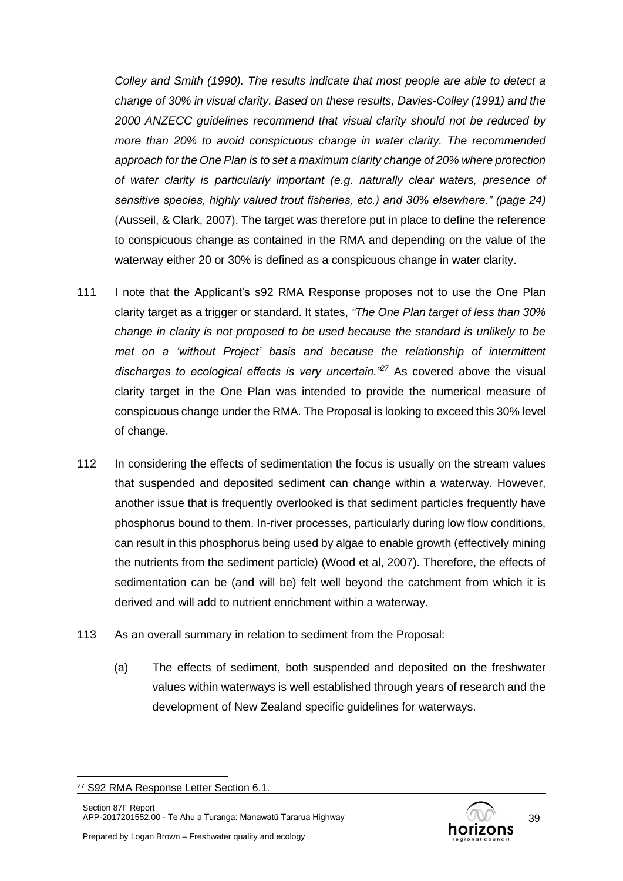*Colley and Smith (1990). The results indicate that most people are able to detect a change of 30% in visual clarity. Based on these results, Davies-Colley (1991) and the 2000 ANZECC guidelines recommend that visual clarity should not be reduced by more than 20% to avoid conspicuous change in water clarity. The recommended approach for the One Plan is to set a maximum clarity change of 20% where protection of water clarity is particularly important (e.g. naturally clear waters, presence of sensitive species, highly valued trout fisheries, etc.) and 30% elsewhere." (page 24)*  (Ausseil, & Clark, 2007). The target was therefore put in place to define the reference to conspicuous change as contained in the RMA and depending on the value of the waterway either 20 or 30% is defined as a conspicuous change in water clarity.

- 111 I note that the Applicant's s92 RMA Response proposes not to use the One Plan clarity target as a trigger or standard. It states, *"The One Plan target of less than 30% change in clarity is not proposed to be used because the standard is unlikely to be met on a 'without Project' basis and because the relationship of intermittent discharges to ecological effects is very uncertain."<sup>27</sup>* As covered above the visual clarity target in the One Plan was intended to provide the numerical measure of conspicuous change under the RMA. The Proposal is looking to exceed this 30% level of change.
- 112 In considering the effects of sedimentation the focus is usually on the stream values that suspended and deposited sediment can change within a waterway. However, another issue that is frequently overlooked is that sediment particles frequently have phosphorus bound to them. In-river processes, particularly during low flow conditions, can result in this phosphorus being used by algae to enable growth (effectively mining the nutrients from the sediment particle) (Wood et al, 2007). Therefore, the effects of sedimentation can be (and will be) felt well beyond the catchment from which it is derived and will add to nutrient enrichment within a waterway.
- 113 As an overall summary in relation to sediment from the Proposal:
	- (a) The effects of sediment, both suspended and deposited on the freshwater values within waterways is well established through years of research and the development of New Zealand specific guidelines for waterways.



<sup>27</sup> S92 RMA Response Letter Section 6.1.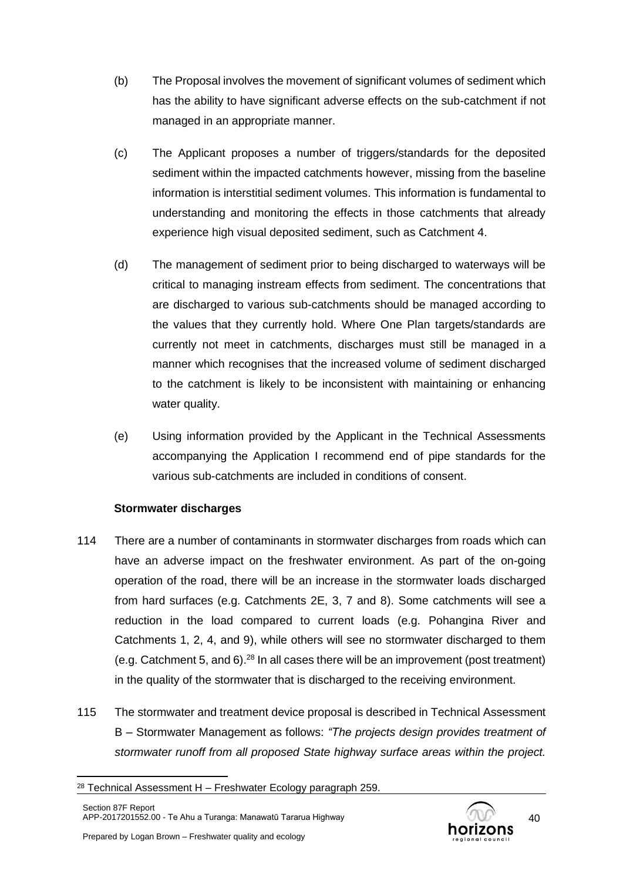- (b) The Proposal involves the movement of significant volumes of sediment which has the ability to have significant adverse effects on the sub-catchment if not managed in an appropriate manner.
- (c) The Applicant proposes a number of triggers/standards for the deposited sediment within the impacted catchments however, missing from the baseline information is interstitial sediment volumes. This information is fundamental to understanding and monitoring the effects in those catchments that already experience high visual deposited sediment, such as Catchment 4.
- (d) The management of sediment prior to being discharged to waterways will be critical to managing instream effects from sediment. The concentrations that are discharged to various sub-catchments should be managed according to the values that they currently hold. Where One Plan targets/standards are currently not meet in catchments, discharges must still be managed in a manner which recognises that the increased volume of sediment discharged to the catchment is likely to be inconsistent with maintaining or enhancing water quality.
- (e) Using information provided by the Applicant in the Technical Assessments accompanying the Application I recommend end of pipe standards for the various sub-catchments are included in conditions of consent.

# **Stormwater discharges**

- 114 There are a number of contaminants in stormwater discharges from roads which can have an adverse impact on the freshwater environment. As part of the on-going operation of the road, there will be an increase in the stormwater loads discharged from hard surfaces (e.g. Catchments 2E, 3, 7 and 8). Some catchments will see a reduction in the load compared to current loads (e.g. Pohangina River and Catchments 1, 2, 4, and 9), while others will see no stormwater discharged to them (e.g. Catchment 5, and 6).<sup>28</sup> In all cases there will be an improvement (post treatment) in the quality of the stormwater that is discharged to the receiving environment.
- 115 The stormwater and treatment device proposal is described in Technical Assessment B – Stormwater Management as follows: *"The projects design provides treatment of stormwater runoff from all proposed State highway surface areas within the project.*



 $28$  Technical Assessment H – Freshwater Ecology paragraph 259.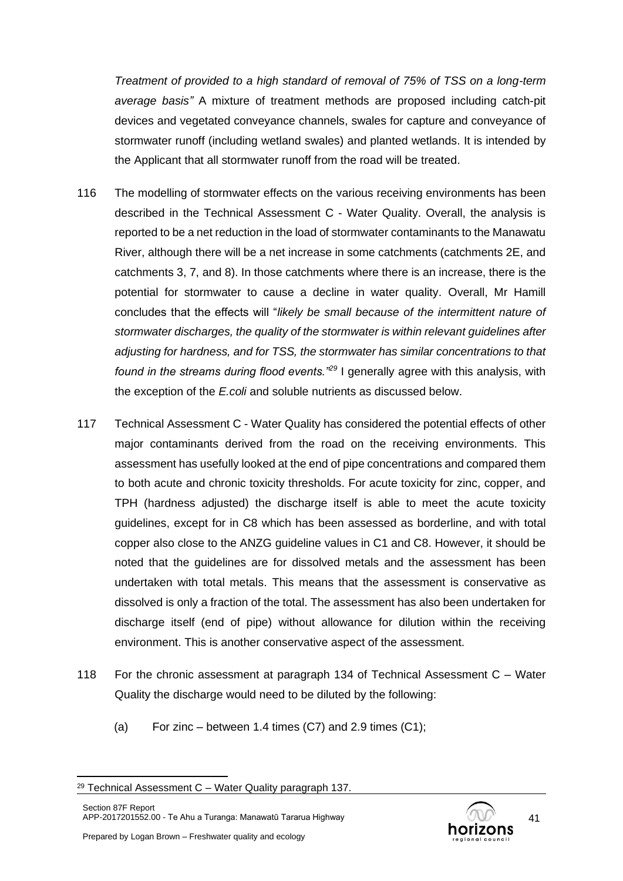*Treatment of provided to a high standard of removal of 75% of TSS on a long-term average basis"* A mixture of treatment methods are proposed including catch-pit devices and vegetated conveyance channels, swales for capture and conveyance of stormwater runoff (including wetland swales) and planted wetlands. It is intended by the Applicant that all stormwater runoff from the road will be treated.

- 116 The modelling of stormwater effects on the various receiving environments has been described in the Technical Assessment C - Water Quality. Overall, the analysis is reported to be a net reduction in the load of stormwater contaminants to the Manawatu River, although there will be a net increase in some catchments (catchments 2E, and catchments 3, 7, and 8). In those catchments where there is an increase, there is the potential for stormwater to cause a decline in water quality. Overall, Mr Hamill concludes that the effects will "*likely be small because of the intermittent nature of stormwater discharges, the quality of the stormwater is within relevant guidelines after adjusting for hardness, and for TSS, the stormwater has similar concentrations to that found in the streams during flood events."<sup>29</sup>* I generally agree with this analysis, with the exception of the *E.coli* and soluble nutrients as discussed below.
- 117 Technical Assessment C Water Quality has considered the potential effects of other major contaminants derived from the road on the receiving environments. This assessment has usefully looked at the end of pipe concentrations and compared them to both acute and chronic toxicity thresholds. For acute toxicity for zinc, copper, and TPH (hardness adjusted) the discharge itself is able to meet the acute toxicity guidelines, except for in C8 which has been assessed as borderline, and with total copper also close to the ANZG guideline values in C1 and C8. However, it should be noted that the guidelines are for dissolved metals and the assessment has been undertaken with total metals. This means that the assessment is conservative as dissolved is only a fraction of the total. The assessment has also been undertaken for discharge itself (end of pipe) without allowance for dilution within the receiving environment. This is another conservative aspect of the assessment.
- 118 For the chronic assessment at paragraph 134 of Technical Assessment C Water Quality the discharge would need to be diluted by the following:
	- (a) For zinc between 1.4 times  $(C7)$  and 2.9 times  $(C1)$ ;



 $29$  Technical Assessment C – Water Quality paragraph 137.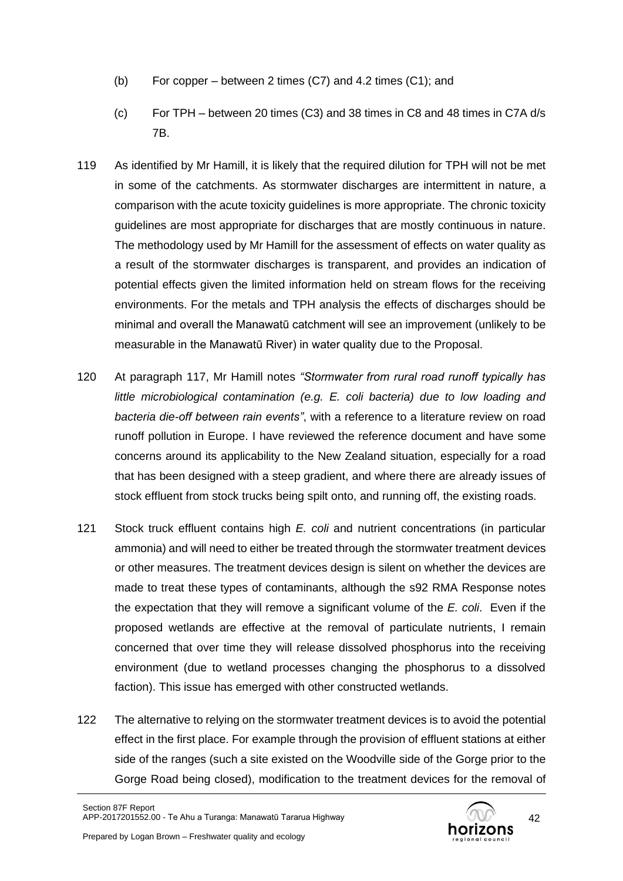- (b) For copper between 2 times (C7) and 4.2 times (C1); and
- (c) For TPH between 20 times (C3) and 38 times in C8 and 48 times in C7A d/s 7B.
- 119 As identified by Mr Hamill, it is likely that the required dilution for TPH will not be met in some of the catchments. As stormwater discharges are intermittent in nature, a comparison with the acute toxicity guidelines is more appropriate. The chronic toxicity guidelines are most appropriate for discharges that are mostly continuous in nature. The methodology used by Mr Hamill for the assessment of effects on water quality as a result of the stormwater discharges is transparent, and provides an indication of potential effects given the limited information held on stream flows for the receiving environments. For the metals and TPH analysis the effects of discharges should be minimal and overall the Manawatū catchment will see an improvement (unlikely to be measurable in the Manawatū River) in water quality due to the Proposal.
- 120 At paragraph 117, Mr Hamill notes *"Stormwater from rural road runoff typically has little microbiological contamination (e.g. E. coli bacteria) due to low loading and bacteria die-off between rain events"*, with a reference to a literature review on road runoff pollution in Europe. I have reviewed the reference document and have some concerns around its applicability to the New Zealand situation, especially for a road that has been designed with a steep gradient, and where there are already issues of stock effluent from stock trucks being spilt onto, and running off, the existing roads.
- 121 Stock truck effluent contains high *E. coli* and nutrient concentrations (in particular ammonia) and will need to either be treated through the stormwater treatment devices or other measures. The treatment devices design is silent on whether the devices are made to treat these types of contaminants, although the s92 RMA Response notes the expectation that they will remove a significant volume of the *E. coli*. Even if the proposed wetlands are effective at the removal of particulate nutrients, I remain concerned that over time they will release dissolved phosphorus into the receiving environment (due to wetland processes changing the phosphorus to a dissolved faction). This issue has emerged with other constructed wetlands.
- 122 The alternative to relying on the stormwater treatment devices is to avoid the potential effect in the first place. For example through the provision of effluent stations at either side of the ranges (such a site existed on the Woodville side of the Gorge prior to the Gorge Road being closed), modification to the treatment devices for the removal of

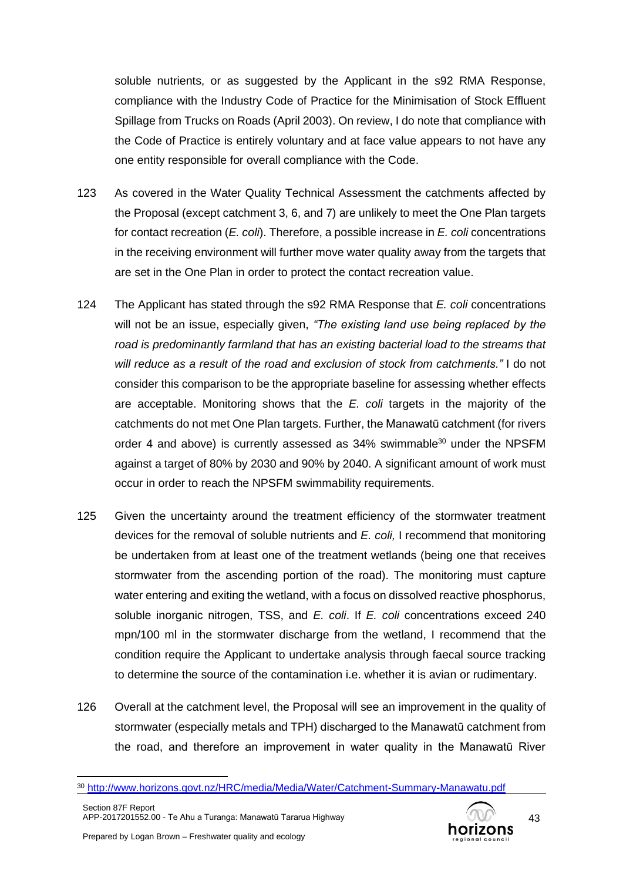soluble nutrients, or as suggested by the Applicant in the s92 RMA Response, compliance with the Industry Code of Practice for the Minimisation of Stock Effluent Spillage from Trucks on Roads (April 2003). On review, I do note that compliance with the Code of Practice is entirely voluntary and at face value appears to not have any one entity responsible for overall compliance with the Code.

- 123 As covered in the Water Quality Technical Assessment the catchments affected by the Proposal (except catchment 3, 6, and 7) are unlikely to meet the One Plan targets for contact recreation (*E. coli*). Therefore, a possible increase in *E. coli* concentrations in the receiving environment will further move water quality away from the targets that are set in the One Plan in order to protect the contact recreation value.
- 124 The Applicant has stated through the s92 RMA Response that *E. coli* concentrations will not be an issue, especially given, *"The existing land use being replaced by the road is predominantly farmland that has an existing bacterial load to the streams that will reduce as a result of the road and exclusion of stock from catchments."* I do not consider this comparison to be the appropriate baseline for assessing whether effects are acceptable. Monitoring shows that the *E. coli* targets in the majority of the catchments do not met One Plan targets. Further, the Manawatū catchment (for rivers order 4 and above) is currently assessed as  $34\%$  swimmable<sup>30</sup> under the NPSFM against a target of 80% by 2030 and 90% by 2040. A significant amount of work must occur in order to reach the NPSFM swimmability requirements.
- 125 Given the uncertainty around the treatment efficiency of the stormwater treatment devices for the removal of soluble nutrients and *E. coli,* I recommend that monitoring be undertaken from at least one of the treatment wetlands (being one that receives stormwater from the ascending portion of the road). The monitoring must capture water entering and exiting the wetland, with a focus on dissolved reactive phosphorus, soluble inorganic nitrogen, TSS, and *E. coli*. If *E. coli* concentrations exceed 240 mpn/100 ml in the stormwater discharge from the wetland, I recommend that the condition require the Applicant to undertake analysis through faecal source tracking to determine the source of the contamination i.e. whether it is avian or rudimentary.
- 126 Overall at the catchment level, the Proposal will see an improvement in the quality of stormwater (especially metals and TPH) discharged to the Manawatū catchment from the road, and therefore an improvement in water quality in the Manawatū River



<sup>30</sup> <http://www.horizons.govt.nz/HRC/media/Media/Water/Catchment-Summary-Manawatu.pdf>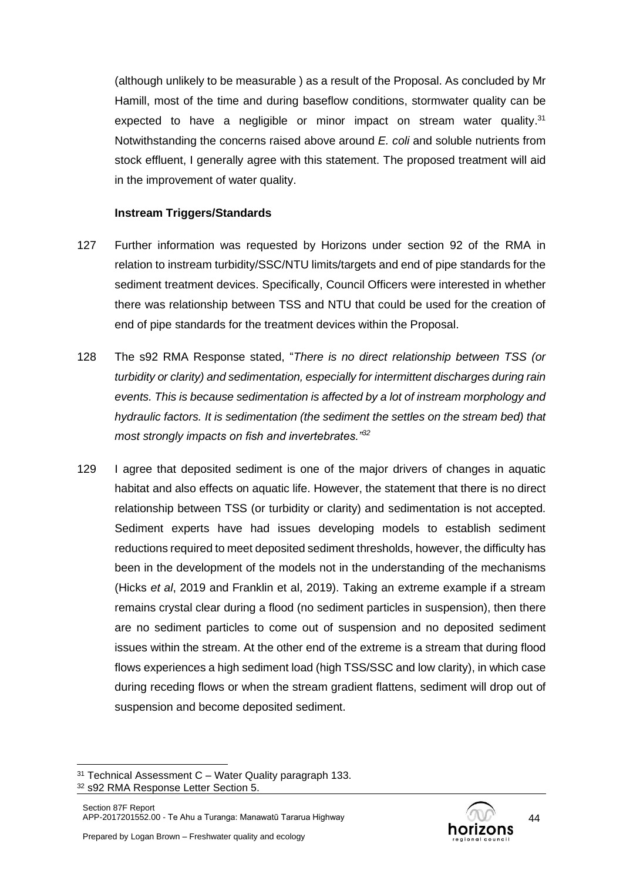(although unlikely to be measurable ) as a result of the Proposal. As concluded by Mr Hamill, most of the time and during baseflow conditions, stormwater quality can be expected to have a negligible or minor impact on stream water quality.<sup>31</sup> Notwithstanding the concerns raised above around *E. coli* and soluble nutrients from stock effluent, I generally agree with this statement. The proposed treatment will aid in the improvement of water quality.

#### **Instream Triggers/Standards**

- 127 Further information was requested by Horizons under section 92 of the RMA in relation to instream turbidity/SSC/NTU limits/targets and end of pipe standards for the sediment treatment devices. Specifically, Council Officers were interested in whether there was relationship between TSS and NTU that could be used for the creation of end of pipe standards for the treatment devices within the Proposal.
- 128 The s92 RMA Response stated, "*There is no direct relationship between TSS (or turbidity or clarity) and sedimentation, especially for intermittent discharges during rain events. This is because sedimentation is affected by a lot of instream morphology and hydraulic factors. It is sedimentation (the sediment the settles on the stream bed) that most strongly impacts on fish and invertebrates."<sup>32</sup>*
- 129 I agree that deposited sediment is one of the major drivers of changes in aquatic habitat and also effects on aquatic life. However, the statement that there is no direct relationship between TSS (or turbidity or clarity) and sedimentation is not accepted. Sediment experts have had issues developing models to establish sediment reductions required to meet deposited sediment thresholds, however, the difficulty has been in the development of the models not in the understanding of the mechanisms (Hicks *et al*, 2019 and Franklin et al, 2019). Taking an extreme example if a stream remains crystal clear during a flood (no sediment particles in suspension), then there are no sediment particles to come out of suspension and no deposited sediment issues within the stream. At the other end of the extreme is a stream that during flood flows experiences a high sediment load (high TSS/SSC and low clarity), in which case during receding flows or when the stream gradient flattens, sediment will drop out of suspension and become deposited sediment.



 $31$  Technical Assessment C – Water Quality paragraph 133. <sup>32</sup> s92 RMA Response Letter Section 5.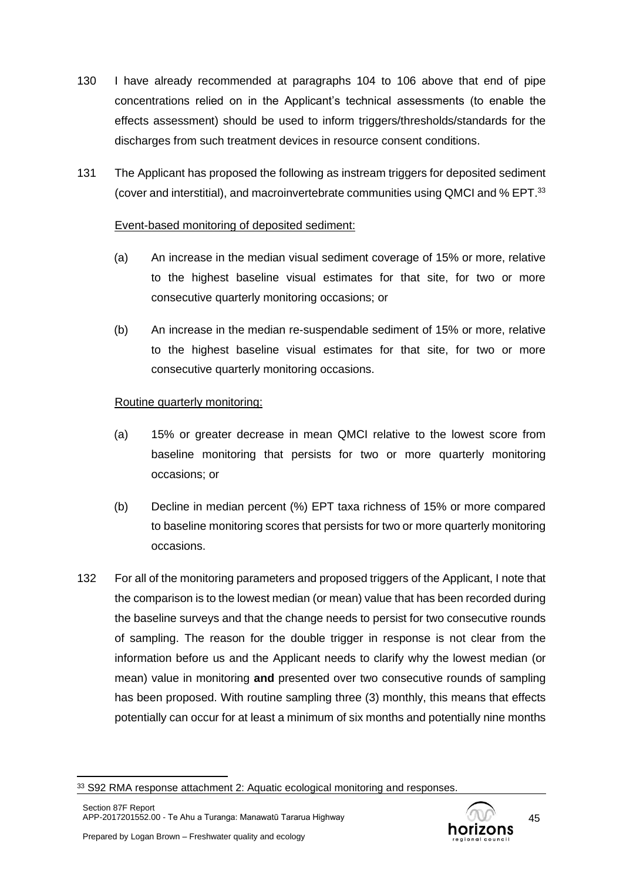- 130 I have already recommended at paragraphs [104](#page-36-0) to [106](#page-37-0) above that end of pipe concentrations relied on in the Applicant's technical assessments (to enable the effects assessment) should be used to inform triggers/thresholds/standards for the discharges from such treatment devices in resource consent conditions.
- 131 The Applicant has proposed the following as instream triggers for deposited sediment (cover and interstitial), and macroinvertebrate communities using QMCI and % EPT.<sup>33</sup>

# Event-based monitoring of deposited sediment:

- (a) An increase in the median visual sediment coverage of 15% or more, relative to the highest baseline visual estimates for that site, for two or more consecutive quarterly monitoring occasions; or
- (b) An increase in the median re-suspendable sediment of 15% or more, relative to the highest baseline visual estimates for that site, for two or more consecutive quarterly monitoring occasions.

# Routine quarterly monitoring:

- (a) 15% or greater decrease in mean QMCI relative to the lowest score from baseline monitoring that persists for two or more quarterly monitoring occasions; or
- (b) Decline in median percent (%) EPT taxa richness of 15% or more compared to baseline monitoring scores that persists for two or more quarterly monitoring occasions.
- 132 For all of the monitoring parameters and proposed triggers of the Applicant, I note that the comparison is to the lowest median (or mean) value that has been recorded during the baseline surveys and that the change needs to persist for two consecutive rounds of sampling. The reason for the double trigger in response is not clear from the information before us and the Applicant needs to clarify why the lowest median (or mean) value in monitoring **and** presented over two consecutive rounds of sampling has been proposed. With routine sampling three (3) monthly, this means that effects potentially can occur for at least a minimum of six months and potentially nine months



<sup>33</sup> S92 RMA response attachment 2: Aquatic ecological monitoring and responses.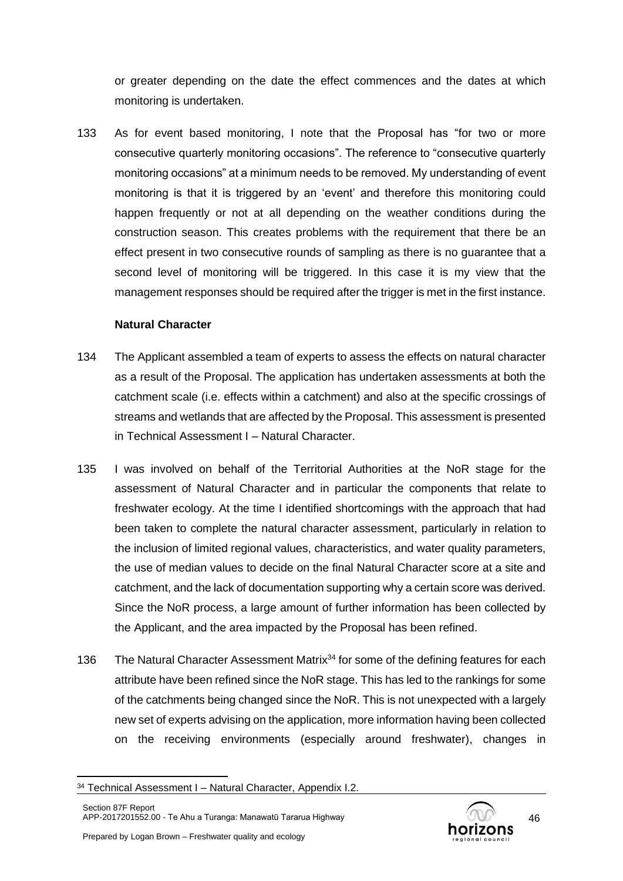or greater depending on the date the effect commences and the dates at which monitoring is undertaken.

133 As for event based monitoring, I note that the Proposal has "for two or more consecutive quarterly monitoring occasions". The reference to "consecutive quarterly monitoring occasions" at a minimum needs to be removed. My understanding of event monitoring is that it is triggered by an 'event' and therefore this monitoring could happen frequently or not at all depending on the weather conditions during the construction season. This creates problems with the requirement that there be an effect present in two consecutive rounds of sampling as there is no guarantee that a second level of monitoring will be triggered. In this case it is my view that the management responses should be required after the trigger is met in the first instance.

# **Natural Character**

- 134 The Applicant assembled a team of experts to assess the effects on natural character as a result of the Proposal. The application has undertaken assessments at both the catchment scale (i.e. effects within a catchment) and also at the specific crossings of streams and wetlands that are affected by the Proposal. This assessment is presented in Technical Assessment I – Natural Character.
- 135 I was involved on behalf of the Territorial Authorities at the NoR stage for the assessment of Natural Character and in particular the components that relate to freshwater ecology. At the time I identified shortcomings with the approach that had been taken to complete the natural character assessment, particularly in relation to the inclusion of limited regional values, characteristics, and water quality parameters, the use of median values to decide on the final Natural Character score at a site and catchment, and the lack of documentation supporting why a certain score was derived. Since the NoR process, a large amount of further information has been collected by the Applicant, and the area impacted by the Proposal has been refined.
- 136 The Natural Character Assessment Matrix<sup>34</sup> for some of the defining features for each attribute have been refined since the NoR stage. This has led to the rankings for some of the catchments being changed since the NoR. This is not unexpected with a largely new set of experts advising on the application, more information having been collected on the receiving environments (especially around freshwater), changes in



<sup>&</sup>lt;sup>34</sup> Technical Assessment I - Natural Character, Appendix I.2.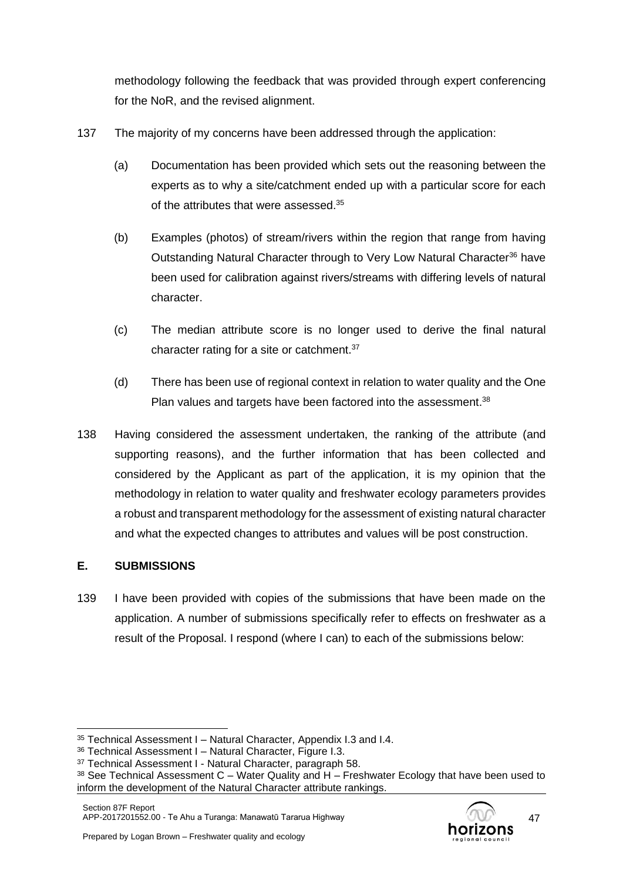methodology following the feedback that was provided through expert conferencing for the NoR, and the revised alignment.

- 137 The majority of my concerns have been addressed through the application:
	- (a) Documentation has been provided which sets out the reasoning between the experts as to why a site/catchment ended up with a particular score for each of the attributes that were assessed.<sup>35</sup>
	- (b) Examples (photos) of stream/rivers within the region that range from having Outstanding Natural Character through to Very Low Natural Character<sup>36</sup> have been used for calibration against rivers/streams with differing levels of natural character.
	- (c) The median attribute score is no longer used to derive the final natural character rating for a site or catchment.<sup>37</sup>
	- (d) There has been use of regional context in relation to water quality and the One Plan values and targets have been factored into the assessment.<sup>38</sup>
- 138 Having considered the assessment undertaken, the ranking of the attribute (and supporting reasons), and the further information that has been collected and considered by the Applicant as part of the application, it is my opinion that the methodology in relation to water quality and freshwater ecology parameters provides a robust and transparent methodology for the assessment of existing natural character and what the expected changes to attributes and values will be post construction.

# **E. SUBMISSIONS**

139 I have been provided with copies of the submissions that have been made on the application. A number of submissions specifically refer to effects on freshwater as a result of the Proposal. I respond (where I can) to each of the submissions below:

<sup>35</sup> Technical Assessment I – Natural Character, Appendix I.3 and I.4.

<sup>36</sup> Technical Assessment I – Natural Character, Figure I.3.

<sup>&</sup>lt;sup>37</sup> Technical Assessment I - Natural Character, paragraph 58.

 $38$  See Technical Assessment C – Water Quality and H – Freshwater Ecology that have been used to inform the development of the Natural Character attribute rankings.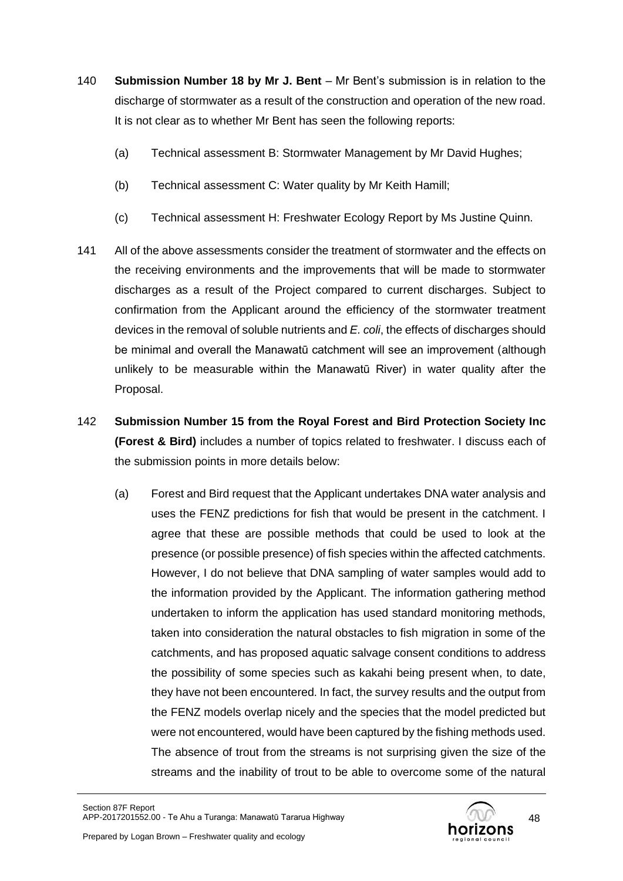- 140 **Submission Number 18 by Mr J. Bent** Mr Bent's submission is in relation to the discharge of stormwater as a result of the construction and operation of the new road. It is not clear as to whether Mr Bent has seen the following reports:
	- (a) Technical assessment B: Stormwater Management by Mr David Hughes;
	- (b) Technical assessment C: Water quality by Mr Keith Hamill;
	- (c) Technical assessment H: Freshwater Ecology Report by Ms Justine Quinn.
- 141 All of the above assessments consider the treatment of stormwater and the effects on the receiving environments and the improvements that will be made to stormwater discharges as a result of the Project compared to current discharges. Subject to confirmation from the Applicant around the efficiency of the stormwater treatment devices in the removal of soluble nutrients and *E. coli*, the effects of discharges should be minimal and overall the Manawatū catchment will see an improvement (although unlikely to be measurable within the Manawatū River) in water quality after the Proposal.
- 142 **Submission Number 15 from the Royal Forest and Bird Protection Society Inc (Forest & Bird)** includes a number of topics related to freshwater. I discuss each of the submission points in more details below:
	- (a) Forest and Bird request that the Applicant undertakes DNA water analysis and uses the FENZ predictions for fish that would be present in the catchment. I agree that these are possible methods that could be used to look at the presence (or possible presence) of fish species within the affected catchments. However, I do not believe that DNA sampling of water samples would add to the information provided by the Applicant. The information gathering method undertaken to inform the application has used standard monitoring methods, taken into consideration the natural obstacles to fish migration in some of the catchments, and has proposed aquatic salvage consent conditions to address the possibility of some species such as kakahi being present when, to date, they have not been encountered. In fact, the survey results and the output from the FENZ models overlap nicely and the species that the model predicted but were not encountered, would have been captured by the fishing methods used. The absence of trout from the streams is not surprising given the size of the streams and the inability of trout to be able to overcome some of the natural

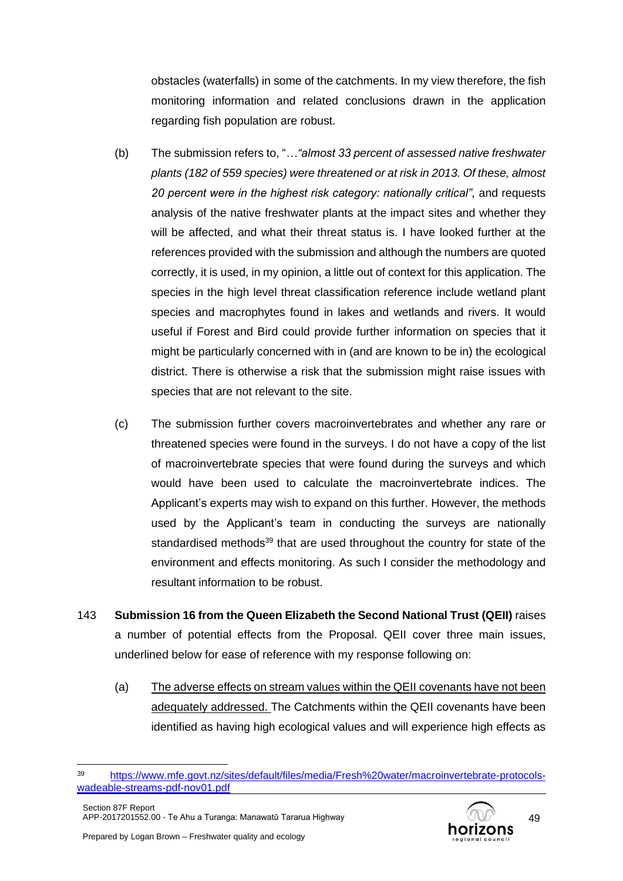obstacles (waterfalls) in some of the catchments. In my view therefore, the fish monitoring information and related conclusions drawn in the application regarding fish population are robust.

- (b) The submission refers to, "*…"almost 33 percent of assessed native freshwater plants (182 of 559 species) were threatened or at risk in 2013. Of these, almost 20 percent were in the highest risk category: nationally critical",* and requests analysis of the native freshwater plants at the impact sites and whether they will be affected, and what their threat status is. I have looked further at the references provided with the submission and although the numbers are quoted correctly, it is used, in my opinion, a little out of context for this application. The species in the high level threat classification reference include wetland plant species and macrophytes found in lakes and wetlands and rivers. It would useful if Forest and Bird could provide further information on species that it might be particularly concerned with in (and are known to be in) the ecological district. There is otherwise a risk that the submission might raise issues with species that are not relevant to the site.
- (c) The submission further covers macroinvertebrates and whether any rare or threatened species were found in the surveys. I do not have a copy of the list of macroinvertebrate species that were found during the surveys and which would have been used to calculate the macroinvertebrate indices. The Applicant's experts may wish to expand on this further. However, the methods used by the Applicant's team in conducting the surveys are nationally standardised methods<sup>39</sup> that are used throughout the country for state of the environment and effects monitoring. As such I consider the methodology and resultant information to be robust.
- 143 **Submission 16 from the Queen Elizabeth the Second National Trust (QEII)** raises a number of potential effects from the Proposal. QEII cover three main issues, underlined below for ease of reference with my response following on:
	- (a) The adverse effects on stream values within the QEII covenants have not been adequately addressed. The Catchments within the QEII covenants have been identified as having high ecological values and will experience high effects as



<sup>39</sup> [https://www.mfe.govt.nz/sites/default/files/media/Fresh%20water/macroinvertebrate-protocols](https://www.mfe.govt.nz/sites/default/files/media/Fresh%20water/macroinvertebrate-protocols-wadeable-streams-pdf-nov01.pdf)[wadeable-streams-pdf-nov01.pdf](https://www.mfe.govt.nz/sites/default/files/media/Fresh%20water/macroinvertebrate-protocols-wadeable-streams-pdf-nov01.pdf)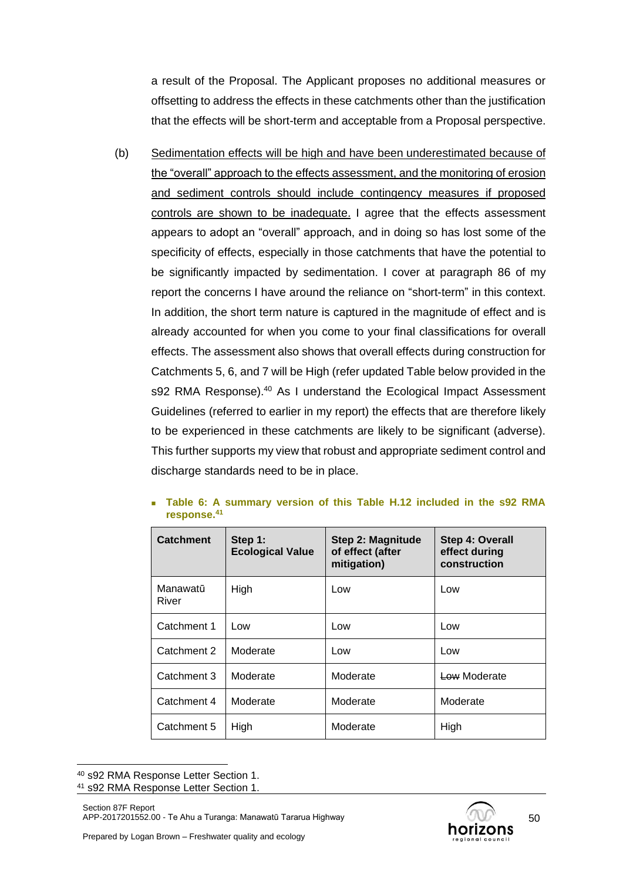a result of the Proposal. The Applicant proposes no additional measures or offsetting to address the effects in these catchments other than the justification that the effects will be short-term and acceptable from a Proposal perspective.

(b) Sedimentation effects will be high and have been underestimated because of the "overall" approach to the effects assessment, and the monitoring of erosion and sediment controls should include contingency measures if proposed controls are shown to be inadequate. I agree that the effects assessment appears to adopt an "overall" approach, and in doing so has lost some of the specificity of effects, especially in those catchments that have the potential to be significantly impacted by sedimentation. I cover at paragraph [86](#page-30-0) of my report the concerns I have around the reliance on "short-term" in this context. In addition, the short term nature is captured in the magnitude of effect and is already accounted for when you come to your final classifications for overall effects. The assessment also shows that overall effects during construction for Catchments 5, 6, and 7 will be High (refer updated Table below provided in the s92 RMA Response).<sup>40</sup> As I understand the Ecological Impact Assessment Guidelines (referred to earlier in my report) the effects that are therefore likely to be experienced in these catchments are likely to be significant (adverse). This further supports my view that robust and appropriate sediment control and discharge standards need to be in place.

| <b>Catchment</b>  | Step 1:<br><b>Ecological Value</b> | Step 2: Magnitude<br>of effect (after<br>mitigation) | Step 4: Overall<br>effect during<br>construction |
|-------------------|------------------------------------|------------------------------------------------------|--------------------------------------------------|
| Manawatū<br>River | High                               | Low                                                  | Low                                              |
| Catchment 1       | Low                                | Low                                                  | Low                                              |
| Catchment 2       | Moderate                           | Low                                                  | Low                                              |
| Catchment 3       | Moderate                           | Moderate                                             | Low Moderate                                     |
| Catchment 4       | Moderate                           | Moderate                                             | Moderate                                         |
| Catchment 5       | High                               | Moderate                                             | High                                             |

<span id="page-49-0"></span><sup>◼</sup> **Table 6: A summary version of this Table H.12 included in the s92 RMA response. 41**



<sup>40</sup> s92 RMA Response Letter Section 1.

<sup>41</sup> s92 RMA Response Letter Section 1.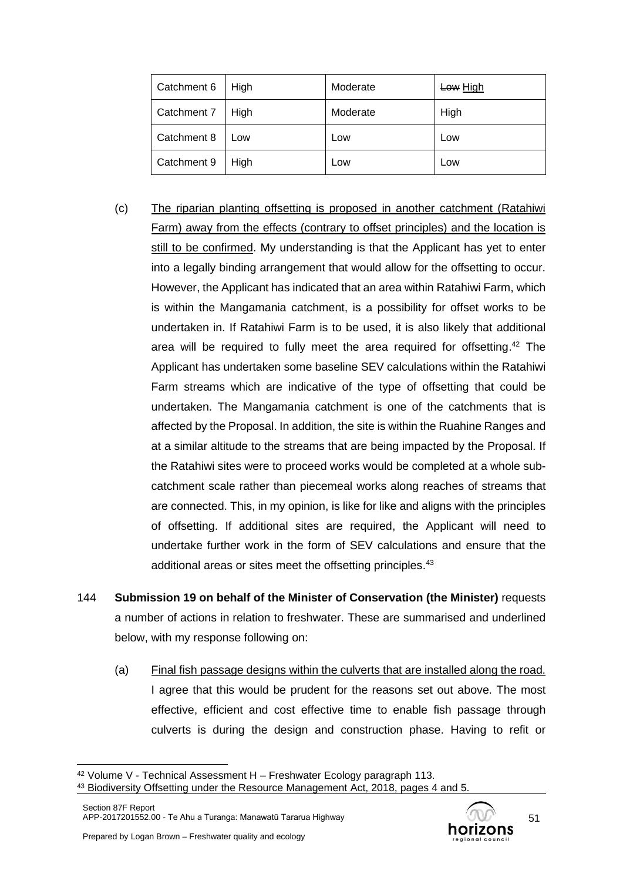| Catchment 6 | High | Moderate | Low High |
|-------------|------|----------|----------|
| Catchment 7 | High | Moderate | High     |
| Catchment 8 | Low  | Low      | Low      |
| Catchment 9 | High | Low      | Low      |

- (c) The riparian planting offsetting is proposed in another catchment (Ratahiwi Farm) away from the effects (contrary to offset principles) and the location is still to be confirmed. My understanding is that the Applicant has yet to enter into a legally binding arrangement that would allow for the offsetting to occur. However, the Applicant has indicated that an area within Ratahiwi Farm, which is within the Mangamania catchment, is a possibility for offset works to be undertaken in. If Ratahiwi Farm is to be used, it is also likely that additional area will be required to fully meet the area required for offsetting. <sup>42</sup> The Applicant has undertaken some baseline SEV calculations within the Ratahiwi Farm streams which are indicative of the type of offsetting that could be undertaken. The Mangamania catchment is one of the catchments that is affected by the Proposal. In addition, the site is within the Ruahine Ranges and at a similar altitude to the streams that are being impacted by the Proposal. If the Ratahiwi sites were to proceed works would be completed at a whole subcatchment scale rather than piecemeal works along reaches of streams that are connected. This, in my opinion, is like for like and aligns with the principles of offsetting. If additional sites are required, the Applicant will need to undertake further work in the form of SEV calculations and ensure that the additional areas or sites meet the offsetting principles.<sup>43</sup>
- 144 **Submission 19 on behalf of the Minister of Conservation (the Minister)** requests a number of actions in relation to freshwater. These are summarised and underlined below, with my response following on:
	- (a) Final fish passage designs within the culverts that are installed along the road. I agree that this would be prudent for the reasons set out above. The most effective, efficient and cost effective time to enable fish passage through culverts is during the design and construction phase. Having to refit or

<sup>42</sup> Volume V - Technical Assessment H – Freshwater Ecology paragraph 113.

<sup>43</sup> Biodiversity Offsetting under the Resource Management Act, 2018, pages 4 and 5.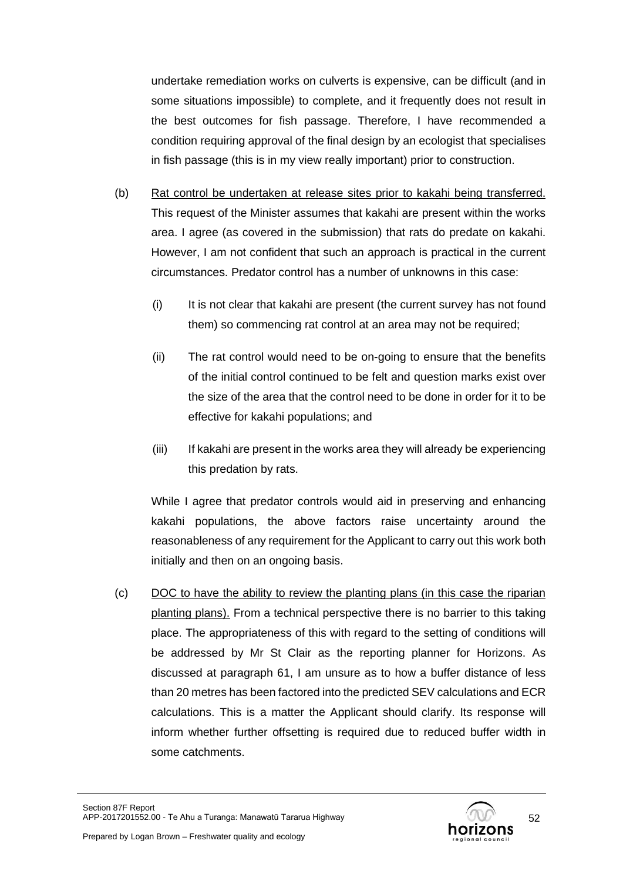undertake remediation works on culverts is expensive, can be difficult (and in some situations impossible) to complete, and it frequently does not result in the best outcomes for fish passage. Therefore, I have recommended a condition requiring approval of the final design by an ecologist that specialises in fish passage (this is in my view really important) prior to construction.

- (b) Rat control be undertaken at release sites prior to kakahi being transferred. This request of the Minister assumes that kakahi are present within the works area. I agree (as covered in the submission) that rats do predate on kakahi. However, I am not confident that such an approach is practical in the current circumstances. Predator control has a number of unknowns in this case:
	- (i) It is not clear that kakahi are present (the current survey has not found them) so commencing rat control at an area may not be required;
	- (ii) The rat control would need to be on-going to ensure that the benefits of the initial control continued to be felt and question marks exist over the size of the area that the control need to be done in order for it to be effective for kakahi populations; and
	- (iii) If kakahi are present in the works area they will already be experiencing this predation by rats.

While I agree that predator controls would aid in preserving and enhancing kakahi populations, the above factors raise uncertainty around the reasonableness of any requirement for the Applicant to carry out this work both initially and then on an ongoing basis.

(c) DOC to have the ability to review the planting plans (in this case the riparian planting plans). From a technical perspective there is no barrier to this taking place. The appropriateness of this with regard to the setting of conditions will be addressed by Mr St Clair as the reporting planner for Horizons. As discussed at paragraph [61,](#page-19-0) I am unsure as to how a buffer distance of less than 20 metres has been factored into the predicted SEV calculations and ECR calculations. This is a matter the Applicant should clarify. Its response will inform whether further offsetting is required due to reduced buffer width in some catchments.

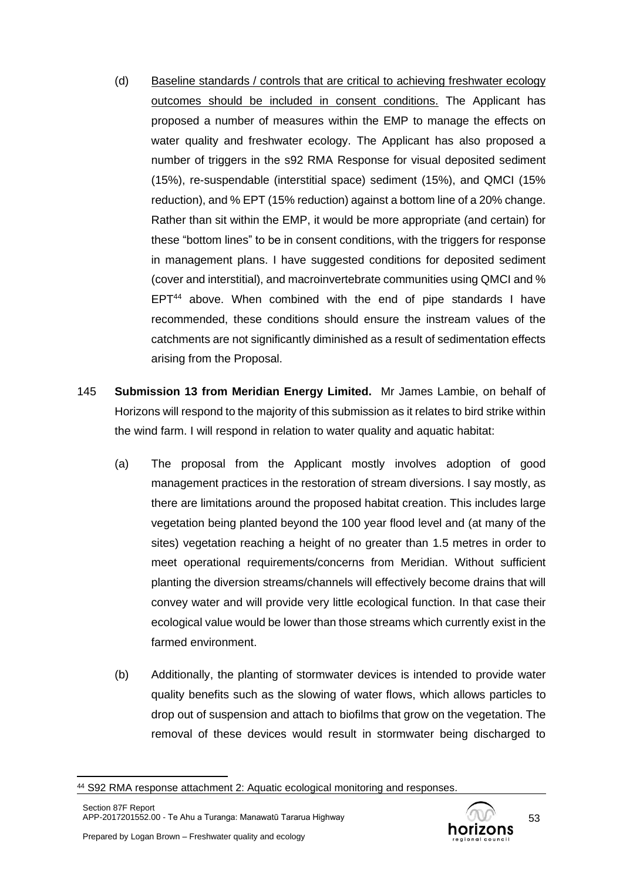- (d) Baseline standards / controls that are critical to achieving freshwater ecology outcomes should be included in consent conditions. The Applicant has proposed a number of measures within the EMP to manage the effects on water quality and freshwater ecology. The Applicant has also proposed a number of triggers in the s92 RMA Response for visual deposited sediment (15%), re-suspendable (interstitial space) sediment (15%), and QMCI (15% reduction), and % EPT (15% reduction) against a bottom line of a 20% change. Rather than sit within the EMP, it would be more appropriate (and certain) for these "bottom lines" to be in consent conditions, with the triggers for response in management plans. I have suggested conditions for deposited sediment (cover and interstitial), and macroinvertebrate communities using QMCI and %  $EPT<sup>44</sup>$  above. When combined with the end of pipe standards I have recommended, these conditions should ensure the instream values of the catchments are not significantly diminished as a result of sedimentation effects arising from the Proposal.
- 145 **Submission 13 from Meridian Energy Limited.** Mr James Lambie, on behalf of Horizons will respond to the majority of this submission as it relates to bird strike within the wind farm. I will respond in relation to water quality and aquatic habitat:
	- (a) The proposal from the Applicant mostly involves adoption of good management practices in the restoration of stream diversions. I say mostly, as there are limitations around the proposed habitat creation. This includes large vegetation being planted beyond the 100 year flood level and (at many of the sites) vegetation reaching a height of no greater than 1.5 metres in order to meet operational requirements/concerns from Meridian. Without sufficient planting the diversion streams/channels will effectively become drains that will convey water and will provide very little ecological function. In that case their ecological value would be lower than those streams which currently exist in the farmed environment.
	- (b) Additionally, the planting of stormwater devices is intended to provide water quality benefits such as the slowing of water flows, which allows particles to drop out of suspension and attach to biofilms that grow on the vegetation. The removal of these devices would result in stormwater being discharged to



<sup>44</sup> S92 RMA response attachment 2: Aquatic ecological monitoring and responses.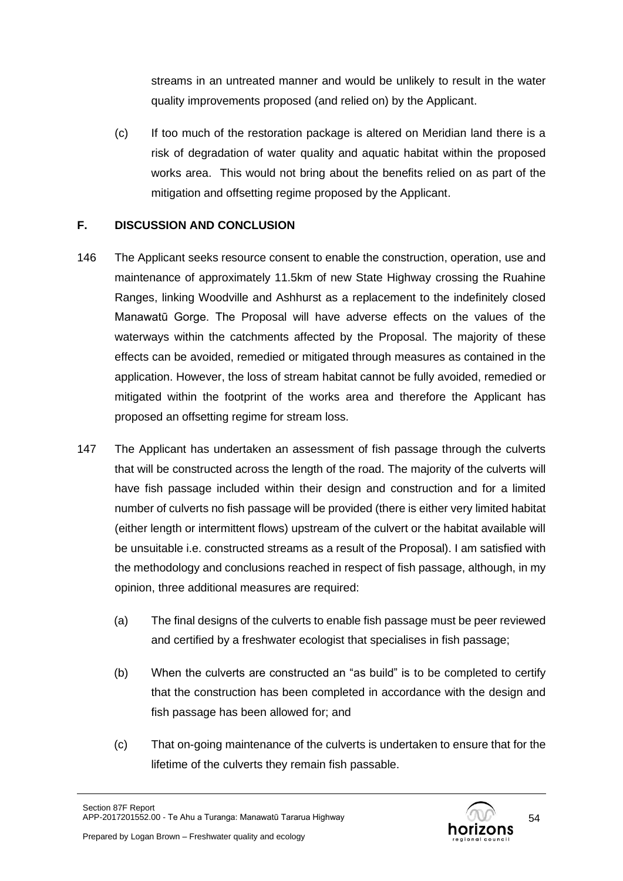streams in an untreated manner and would be unlikely to result in the water quality improvements proposed (and relied on) by the Applicant.

(c) If too much of the restoration package is altered on Meridian land there is a risk of degradation of water quality and aquatic habitat within the proposed works area. This would not bring about the benefits relied on as part of the mitigation and offsetting regime proposed by the Applicant.

# **F. DISCUSSION AND CONCLUSION**

- 146 The Applicant seeks resource consent to enable the construction, operation, use and maintenance of approximately 11.5km of new State Highway crossing the Ruahine Ranges, linking Woodville and Ashhurst as a replacement to the indefinitely closed Manawatū Gorge. The Proposal will have adverse effects on the values of the waterways within the catchments affected by the Proposal. The majority of these effects can be avoided, remedied or mitigated through measures as contained in the application. However, the loss of stream habitat cannot be fully avoided, remedied or mitigated within the footprint of the works area and therefore the Applicant has proposed an offsetting regime for stream loss.
- <span id="page-53-0"></span>147 The Applicant has undertaken an assessment of fish passage through the culverts that will be constructed across the length of the road. The majority of the culverts will have fish passage included within their design and construction and for a limited number of culverts no fish passage will be provided (there is either very limited habitat (either length or intermittent flows) upstream of the culvert or the habitat available will be unsuitable i.e. constructed streams as a result of the Proposal). I am satisfied with the methodology and conclusions reached in respect of fish passage, although, in my opinion, three additional measures are required:
	- (a) The final designs of the culverts to enable fish passage must be peer reviewed and certified by a freshwater ecologist that specialises in fish passage;
	- (b) When the culverts are constructed an "as build" is to be completed to certify that the construction has been completed in accordance with the design and fish passage has been allowed for; and
	- (c) That on-going maintenance of the culverts is undertaken to ensure that for the lifetime of the culverts they remain fish passable.

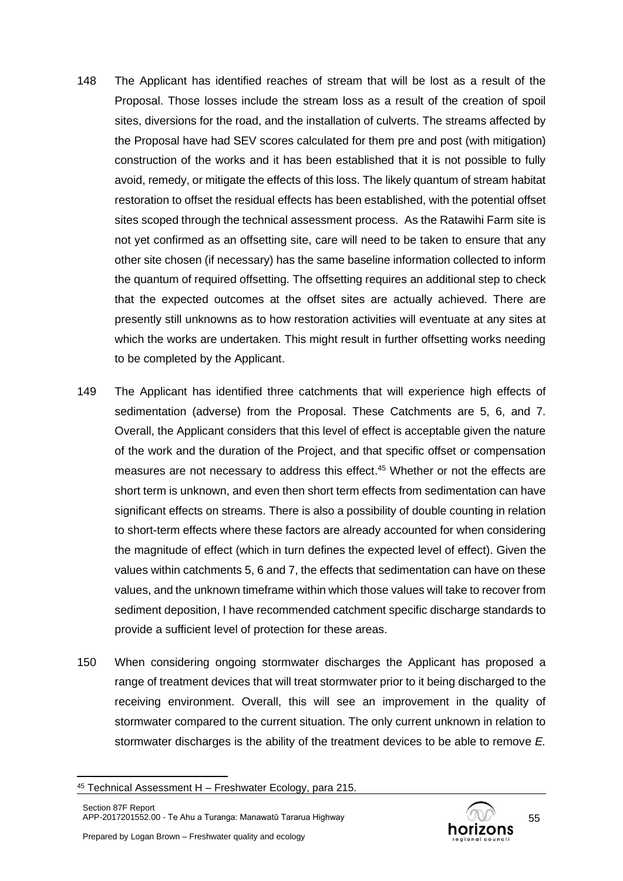- 148 The Applicant has identified reaches of stream that will be lost as a result of the Proposal. Those losses include the stream loss as a result of the creation of spoil sites, diversions for the road, and the installation of culverts. The streams affected by the Proposal have had SEV scores calculated for them pre and post (with mitigation) construction of the works and it has been established that it is not possible to fully avoid, remedy, or mitigate the effects of this loss. The likely quantum of stream habitat restoration to offset the residual effects has been established, with the potential offset sites scoped through the technical assessment process. As the Ratawihi Farm site is not yet confirmed as an offsetting site, care will need to be taken to ensure that any other site chosen (if necessary) has the same baseline information collected to inform the quantum of required offsetting. The offsetting requires an additional step to check that the expected outcomes at the offset sites are actually achieved. There are presently still unknowns as to how restoration activities will eventuate at any sites at which the works are undertaken. This might result in further offsetting works needing to be completed by the Applicant.
- 149 The Applicant has identified three catchments that will experience high effects of sedimentation (adverse) from the Proposal. These Catchments are 5, 6, and 7. Overall, the Applicant considers that this level of effect is acceptable given the nature of the work and the duration of the Project, and that specific offset or compensation measures are not necessary to address this effect. <sup>45</sup> Whether or not the effects are short term is unknown, and even then short term effects from sedimentation can have significant effects on streams. There is also a possibility of double counting in relation to short-term effects where these factors are already accounted for when considering the magnitude of effect (which in turn defines the expected level of effect). Given the values within catchments 5, 6 and 7, the effects that sedimentation can have on these values, and the unknown timeframe within which those values will take to recover from sediment deposition, I have recommended catchment specific discharge standards to provide a sufficient level of protection for these areas.
- 150 When considering ongoing stormwater discharges the Applicant has proposed a range of treatment devices that will treat stormwater prior to it being discharged to the receiving environment. Overall, this will see an improvement in the quality of stormwater compared to the current situation. The only current unknown in relation to stormwater discharges is the ability of the treatment devices to be able to remove *E.*



<sup>45</sup> Technical Assessment H – Freshwater Ecology, para 215.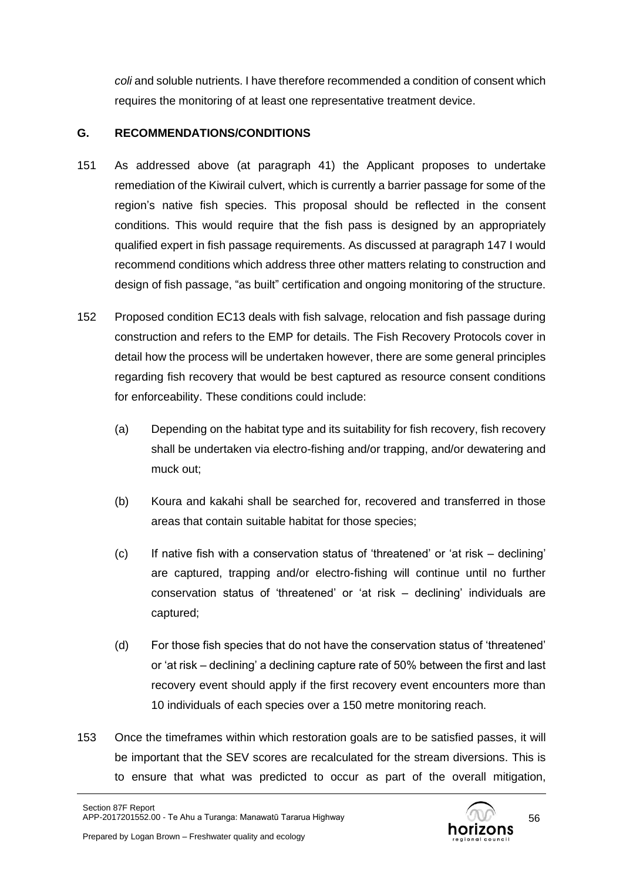*coli* and soluble nutrients. I have therefore recommended a condition of consent which requires the monitoring of at least one representative treatment device.

# **G. RECOMMENDATIONS/CONDITIONS**

- 151 As addressed above (at paragraph [41\)](#page-13-0) the Applicant proposes to undertake remediation of the Kiwirail culvert, which is currently a barrier passage for some of the region's native fish species. This proposal should be reflected in the consent conditions. This would require that the fish pass is designed by an appropriately qualified expert in fish passage requirements. As discussed at paragraph [147](#page-53-0) I would recommend conditions which address three other matters relating to construction and design of fish passage, "as built" certification and ongoing monitoring of the structure.
- 152 Proposed condition EC13 deals with fish salvage, relocation and fish passage during construction and refers to the EMP for details. The Fish Recovery Protocols cover in detail how the process will be undertaken however, there are some general principles regarding fish recovery that would be best captured as resource consent conditions for enforceability. These conditions could include:
	- (a) Depending on the habitat type and its suitability for fish recovery, fish recovery shall be undertaken via electro-fishing and/or trapping, and/or dewatering and muck out;
	- (b) Koura and kakahi shall be searched for, recovered and transferred in those areas that contain suitable habitat for those species;
	- (c) If native fish with a conservation status of 'threatened' or 'at risk declining' are captured, trapping and/or electro-fishing will continue until no further conservation status of 'threatened' or 'at risk – declining' individuals are captured;
	- (d) For those fish species that do not have the conservation status of 'threatened' or 'at risk – declining' a declining capture rate of 50% between the first and last recovery event should apply if the first recovery event encounters more than 10 individuals of each species over a 150 metre monitoring reach.
- 153 Once the timeframes within which restoration goals are to be satisfied passes, it will be important that the SEV scores are recalculated for the stream diversions. This is to ensure that what was predicted to occur as part of the overall mitigation,

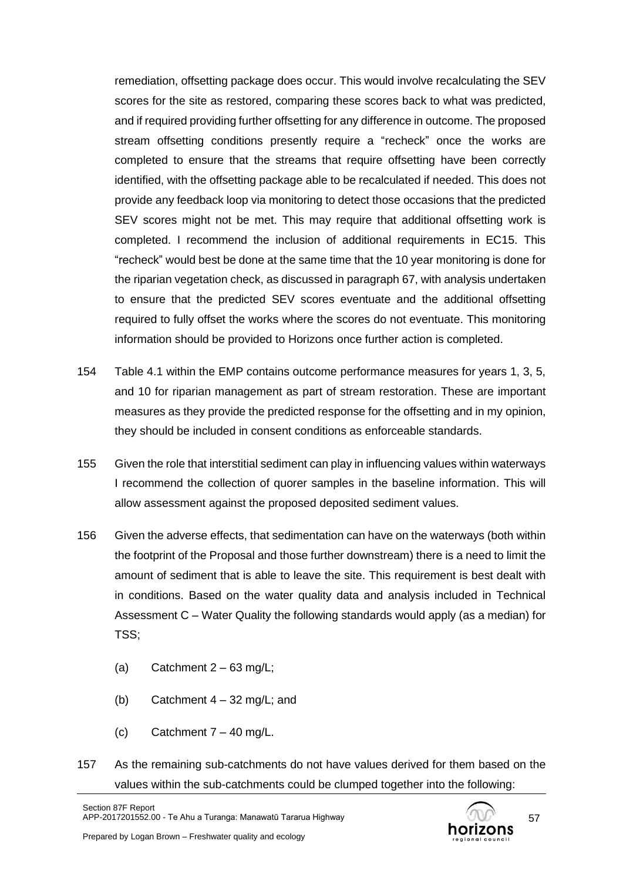remediation, offsetting package does occur. This would involve recalculating the SEV scores for the site as restored, comparing these scores back to what was predicted, and if required providing further offsetting for any difference in outcome. The proposed stream offsetting conditions presently require a "recheck" once the works are completed to ensure that the streams that require offsetting have been correctly identified, with the offsetting package able to be recalculated if needed. This does not provide any feedback loop via monitoring to detect those occasions that the predicted SEV scores might not be met. This may require that additional offsetting work is completed. I recommend the inclusion of additional requirements in EC15. This "recheck" would best be done at the same time that the 10 year monitoring is done for the riparian vegetation check, as discussed in paragraph [67,](#page-20-0) with analysis undertaken to ensure that the predicted SEV scores eventuate and the additional offsetting required to fully offset the works where the scores do not eventuate. This monitoring information should be provided to Horizons once further action is completed.

- 154 Table 4.1 within the EMP contains outcome performance measures for years 1, 3, 5, and 10 for riparian management as part of stream restoration. These are important measures as they provide the predicted response for the offsetting and in my opinion, they should be included in consent conditions as enforceable standards.
- 155 Given the role that interstitial sediment can play in influencing values within waterways I recommend the collection of quorer samples in the baseline information. This will allow assessment against the proposed deposited sediment values.
- 156 Given the adverse effects, that sedimentation can have on the waterways (both within the footprint of the Proposal and those further downstream) there is a need to limit the amount of sediment that is able to leave the site. This requirement is best dealt with in conditions. Based on the water quality data and analysis included in Technical Assessment C – Water Quality the following standards would apply (as a median) for TSS;
	- (a) Catchment  $2 63$  mg/L;
	- (b) Catchment  $4 32$  mg/L; and
	- $(c)$  Catchment  $7 40$  mg/L.
- 157 As the remaining sub-catchments do not have values derived for them based on the values within the sub-catchments could be clumped together into the following:

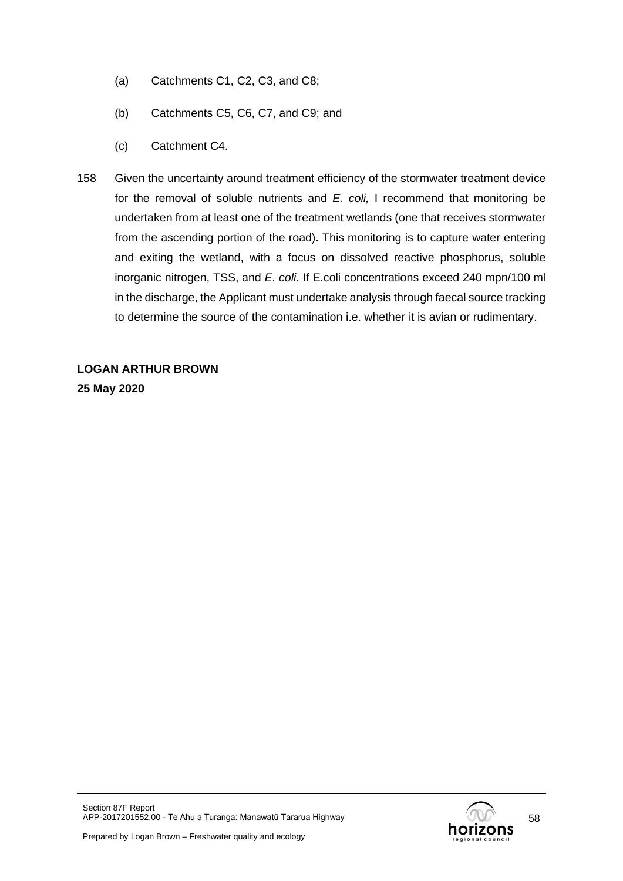- (a) Catchments C1, C2, C3, and C8;
- (b) Catchments C5, C6, C7, and C9; and
- (c) Catchment C4.
- 158 Given the uncertainty around treatment efficiency of the stormwater treatment device for the removal of soluble nutrients and *E. coli,* I recommend that monitoring be undertaken from at least one of the treatment wetlands (one that receives stormwater from the ascending portion of the road). This monitoring is to capture water entering and exiting the wetland, with a focus on dissolved reactive phosphorus, soluble inorganic nitrogen, TSS, and *E. coli*. If E.coli concentrations exceed 240 mpn/100 ml in the discharge, the Applicant must undertake analysis through faecal source tracking to determine the source of the contamination i.e. whether it is avian or rudimentary.

**LOGAN ARTHUR BROWN 25 May 2020**

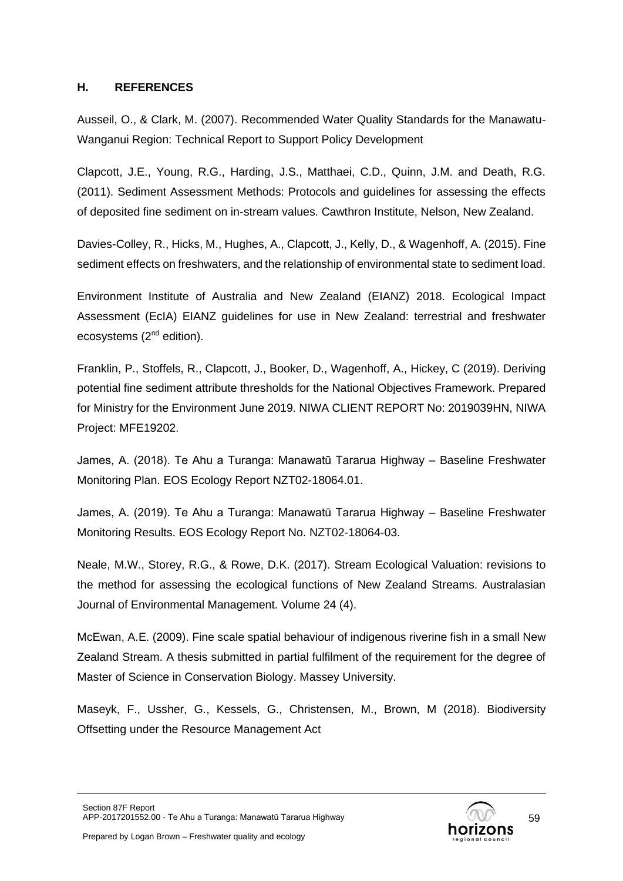### **H. REFERENCES**

Ausseil, O., & Clark, M. (2007). Recommended Water Quality Standards for the Manawatu-Wanganui Region: Technical Report to Support Policy Development

Clapcott, J.E., Young, R.G., Harding, J.S., Matthaei, C.D., Quinn, J.M. and Death, R.G. (2011). Sediment Assessment Methods: Protocols and guidelines for assessing the effects of deposited fine sediment on in-stream values. Cawthron Institute, Nelson, New Zealand.

Davies-Colley, R., Hicks, M., Hughes, A., Clapcott, J., Kelly, D., & Wagenhoff, A. (2015). Fine sediment effects on freshwaters, and the relationship of environmental state to sediment load.

Environment Institute of Australia and New Zealand (EIANZ) 2018. Ecological Impact Assessment (EcIA) EIANZ guidelines for use in New Zealand: terrestrial and freshwater ecosystems (2<sup>nd</sup> edition).

Franklin, P., Stoffels, R., Clapcott, J., Booker, D., Wagenhoff, A., Hickey, C (2019). Deriving potential fine sediment attribute thresholds for the National Objectives Framework. Prepared for Ministry for the Environment June 2019. NIWA CLIENT REPORT No: 2019039HN, NIWA Project: MFE19202.

James, A. (2018). Te Ahu a Turanga: Manawatū Tararua Highway – Baseline Freshwater Monitoring Plan. EOS Ecology Report NZT02-18064.01.

James, A. (2019). Te Ahu a Turanga: Manawatū Tararua Highway – Baseline Freshwater Monitoring Results. EOS Ecology Report No. NZT02-18064-03.

Neale, M.W., Storey, R.G., & Rowe, D.K. (2017). Stream Ecological Valuation: revisions to the method for assessing the ecological functions of New Zealand Streams. Australasian Journal of Environmental Management. Volume 24 (4).

McEwan, A.E. (2009). Fine scale spatial behaviour of indigenous riverine fish in a small New Zealand Stream. A thesis submitted in partial fulfilment of the requirement for the degree of Master of Science in Conservation Biology. Massey University.

Maseyk, F., Ussher, G., Kessels, G., Christensen, M., Brown, M (2018). Biodiversity Offsetting under the Resource Management Act